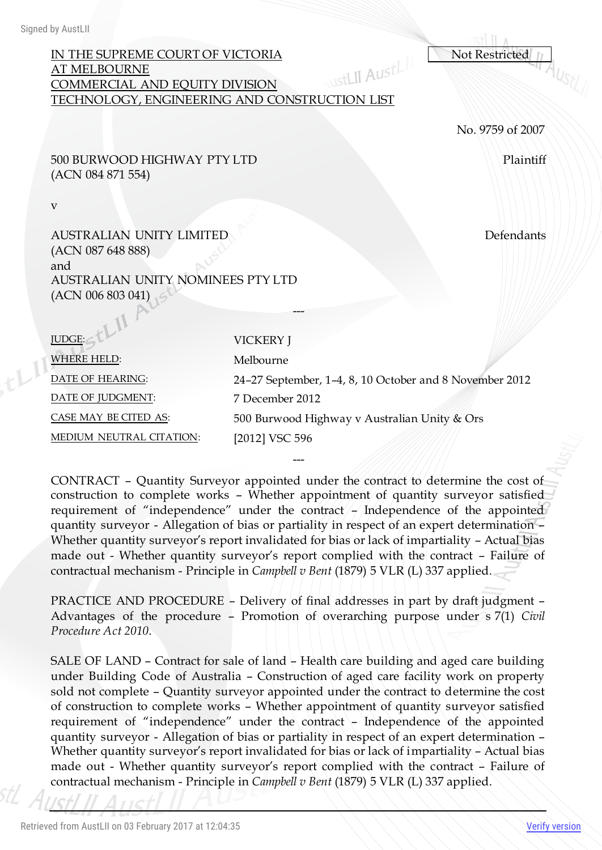# IN THE SUPREME COURT OF VICTORIA<br>AT MELBOURNE<br>COMMERCIAL AND FOUTTY DIVISION AT MELBOURNE COMMERCIAL AND EQUITY DIVISION TECHNOLOGY, ENGINEERING AND CONSTRUCTION LIST

No. 9759 of 2007

500 BURWOOD HIGHWAY PTY LTD (ACN 084 871 554)

v

 $t^{[1]}$ 

AUSTRALIAN UNITY LIMITED (ACN 087 648 888) and AUSTRALIAN UNITY NOMINEES PTY LTD  $(ACN 006 803 041)$ 

| JUDGE:                   | <b>VICKERY J</b>                                        |
|--------------------------|---------------------------------------------------------|
| <b>WHERE HELD:</b>       | Melbourne                                               |
| DATE OF HEARING:         | 24-27 September, 1-4, 8, 10 October and 8 November 2012 |
| DATE OF JUDGMENT:        | 7 December 2012                                         |
| CASE MAY BE CITED AS:    | 500 Burwood Highway v Australian Unity & Ors            |
| MEDIUM NEUTRAL CITATION: | [2012] VSC 596                                          |
|                          |                                                         |

---

CONTRACT – Quantity Surveyor appointed under the contract to determine the cost of construction to complete works – Whether appointment of quantity surveyor satisfied requirement of "independence" under the contract – Independence of the appointed quantity surveyor - Allegation of bias or partiality in respect of an expert determination – Whether quantity surveyor's report invalidated for bias or lack of impartiality – Actual bias made out - Whether quantity surveyor's report complied with the contract – Failure of contractual mechanism - Principle in *Campbell v Bent* (1879) 5 VLR (L) 337 applied.

---

PRACTICE AND PROCEDURE – Delivery of final addresses in part by draft judgment – Advantages of the procedure – Promotion of overarching purpose under s 7(1) *Civil Procedure Act 2010*.

SALE OF LAND – Contract for sale of land – Health care building and aged care building under Building Code of Australia – Construction of aged care facility work on property sold not complete – Quantity surveyor appointed under the contract to determine the cost of construction to complete works – Whether appointment of quantity surveyor satisfied requirement of "independence" under the contract – Independence of the appointed quantity surveyor - Allegation of bias or partiality in respect of an expert determination – Whether quantity surveyor's report invalidated for bias or lack of impartiality – Actual bias made out - Whether quantity surveyor's report complied with the contract – Failure of contractual mechanism - Principle in *Campbell v Bent* (1879) 5 VLR (L) 337 applied.

Defendants

Plaintiff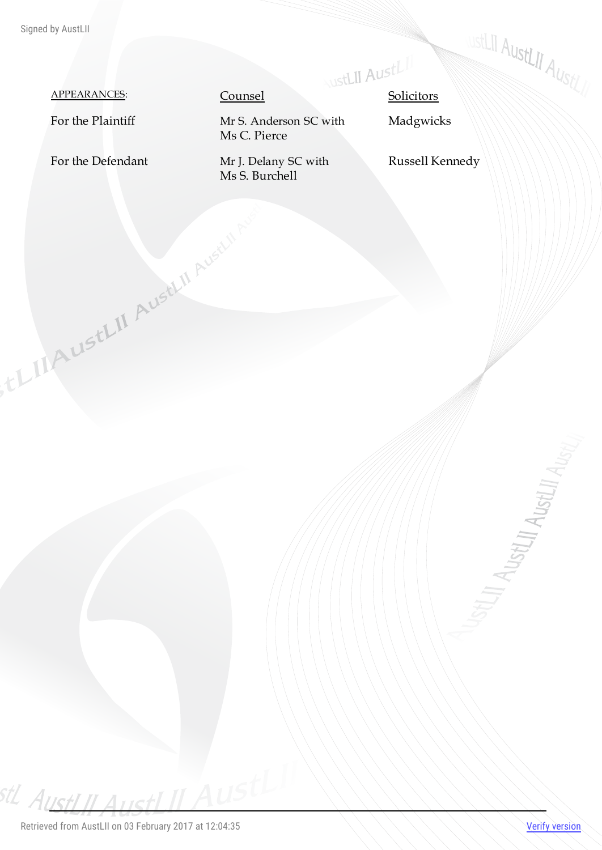# APPEARANCES: Counsel Solicitors

For the Defendant Mr J. Delany SC with

TLIAUSTLII AUSTLII AUSTLII

Ms S. Burchell

For the Plaintiff Mr S. Anderson SC with Ms C. Pierce

Madgwicks

Russell Kennedy

**WEELLI AUSTLII AUSTLIN** 

**STLIT AUSTLIT AUSTLIT AUSTLY**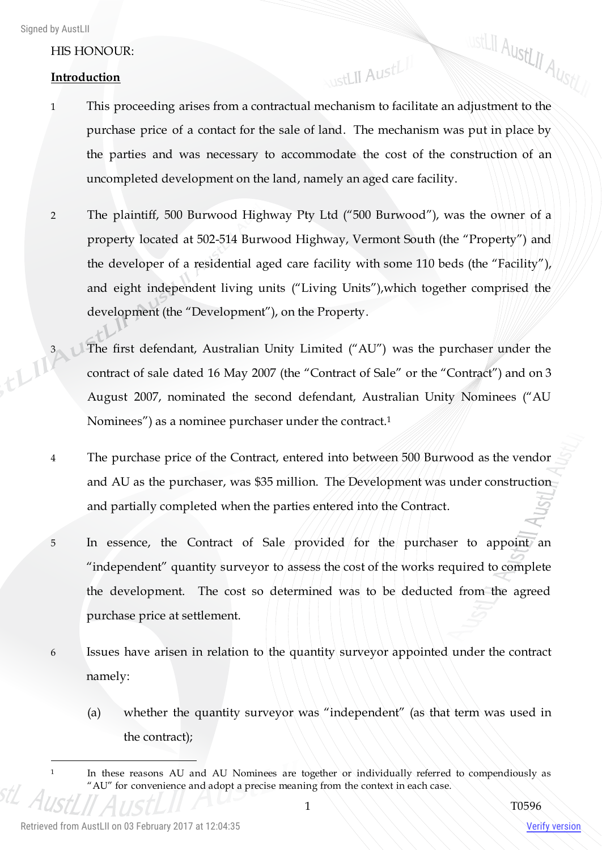## HIS HONOUR:

### **Introduction**

**WISTLII AustLII AustLII** 1 This proceeding arises from a contractual mechanism to facilitate an adjustment to the purchase price of a contact for the sale of land. The mechanism was put in place by the parties and was necessary to accommodate the cost of the construction of an uncompleted development on the land, namely an aged care facility.

WstLII AustLII

- 2 The plaintiff, 500 Burwood Highway Pty Ltd ("500 Burwood"), was the owner of a property located at 502-514 Burwood Highway, Vermont South (the "Property") and the developer of a residential aged care facility with some 110 beds (the "Facility"), and eight independent living units ("Living Units"),which together comprised the development (the "Development"), on the Property.
- <sup>3</sup> The first defendant, Australian Unity Limited ("AU") was the purchaser under the contract of sale dated 16 May 2007 (the "Contract of Sale" or the "Contract") contract of sale dated 16 May 2007 (the "Contract of Sale" or the "Contract") and on 3 August 2007, nominated the second defendant, Australian Unity Nominees ("AU Nominees") as a nominee purchaser under the contract.<sup>1</sup>
	- 4 The purchase price of the Contract, entered into between 500 Burwood as the vendor and AU as the purchaser, was \$35 million. The Development was under construction and partially completed when the parties entered into the Contract.
	- 5 In essence, the Contract of Sale provided for the purchaser to appoint an "independent" quantity surveyor to assess the cost of the works required to complete the development. The cost so determined was to be deducted from the agreed purchase price at settlement.
	- 6 Issues have arisen in relation to the quantity surveyor appointed under the contract namely:
		- (a) whether the quantity surveyor was "independent" (as that term was used in the contract);

 $\overline{a}$ 

<sup>&</sup>lt;sup>1</sup> In these reasons AU and AU Nominees are together or individually referred to compendiously as "AU" for convenience and adopt a precise meaning from the context in each case.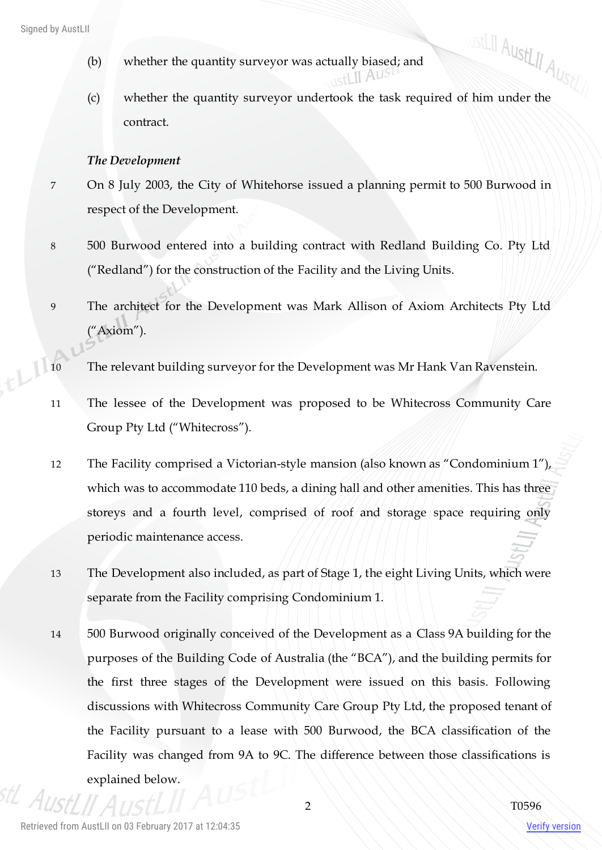- (b) whether the quantity surveyor was actually biased; and  $_{\rm setI}$  II Aus
- (b) whether the quantity surveyor was actually biased; and<br>
(c) whether the quantity surveyor undertook the task required of him under the contract.

#### *The Development*

- 7 On 8 July 2003, the City of Whitehorse issued a planning permit to 500 Burwood in respect of the Development.
- 8 500 Burwood entered into a building contract with Redland Building Co. Pty Ltd ("Redland") for the construction of the Facility and the Living Units.
- 9 The architect for the Development was Mark Allison of Axiom Architects Pty Ltd ("Axiom").
- 10 The relevant building surveyor for the Development was Mr Hank Van Ravenstein.
- 11 The lessee of the Development was proposed to be Whitecross Community Care Group Pty Ltd ("Whitecross").
- 12 The Facility comprised a Victorian-style mansion (also known as "Condominium 1"), which was to accommodate 110 beds, a dining hall and other amenities. This has three storeys and a fourth level, comprised of roof and storage space requiring only periodic maintenance access.
- 13 The Development also included, as part of Stage 1, the eight Living Units, which were separate from the Facility comprising Condominium 1.
- 14 500 Burwood originally conceived of the Development as a Class 9A building for the purposes of the Building Code of Australia (the "BCA"), and the building permits for the first three stages of the Development were issued on this basis. Following discussions with Whitecross Community Care Group Pty Ltd, the proposed tenant of the Facility pursuant to a lease with 500 Burwood, the BCA classification of the Facility was changed from 9A to 9C. The difference between those classifications is explained below.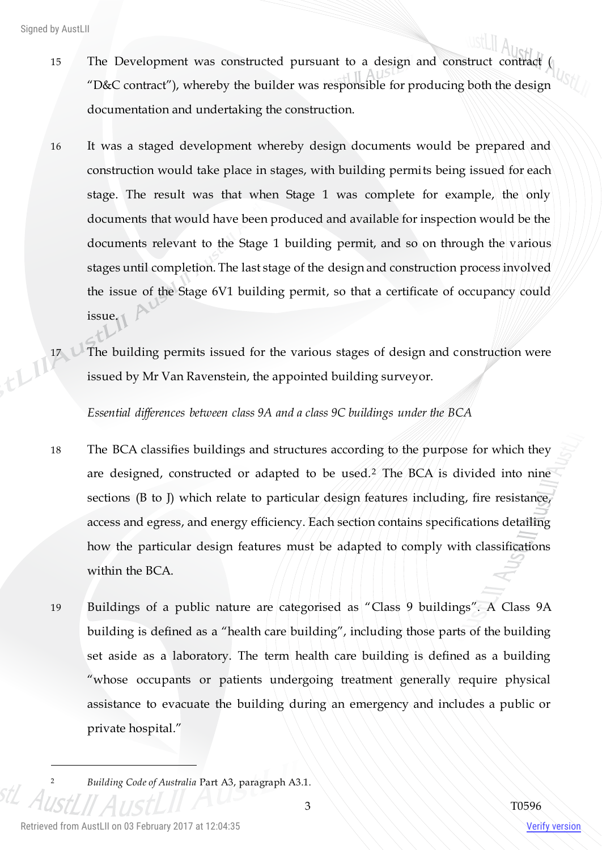- 15 The Development was constructed pursuant to a design and construct contract ( "D&C contract"), whereby the builder was responsible for producing both the design documentation and undertaking the construction.
- 16 It was a staged development whereby design documents would be prepared and construction would take place in stages, with building permits being issued for each stage. The result was that when Stage 1 was complete for example, the only documents that would have been produced and available for inspection would be the documents relevant to the Stage 1 building permit, and so on through the various stages until completion. The last stage of the design and construction process involved the issue of the Stage 6V1 building permit, so that a certificate of occupancy could issue.
- 17 **The building permits issued for the various stages of design and construction were** issued by Mr Van Ravenstein, the appointed building surveyor.

*Essential differences between class 9A and a class 9C buildings under the BCA*

- 18 The BCA classifies buildings and structures according to the purpose for which they are designed, constructed or adapted to be used.<sup>2</sup> The BCA is divided into nine sections (B to J) which relate to particular design features including, fire resistance, access and egress, and energy efficiency. Each section contains specifications detailing how the particular design features must be adapted to comply with classifications within the BCA.
- 19 Buildings of a public nature are categorised as "Class 9 buildings". A Class 9A building is defined as a "health care building", including those parts of the building set aside as a laboratory. The term health care building is defined as a building "whose occupants or patients undergoing treatment generally require physical assistance to evacuate the building during an emergency and includes a public or private hospital."

 $\overline{a}$ 

<sup>2</sup> *Building Code of Australia* Part A3, paragraph A3.1.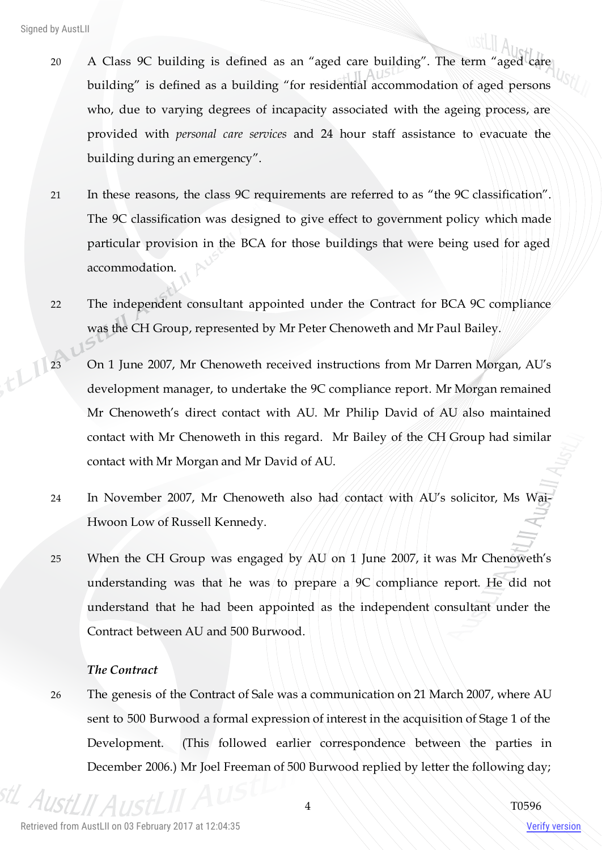- 20 A Class 9C building is defined as an "aged care building". The term "aged care building" is defined as a building "for residential accommodation of aged persons who, due to varying degrees of incapacity associated with the ageing process, are provided with *personal care services* and 24 hour staff assistance to evacuate the building during an emergency".
- 21 In these reasons, the class 9C requirements are referred to as "the 9C classification". The 9C classification was designed to give effect to government policy which made particular provision in the BCA for those buildings that were being used for aged accommodation.
- 22 The independent consultant appointed under the Contract for BCA 9C compliance was the CH Group, represented by Mr Peter Chenoweth and Mr Paul Bailey.
- 23 On 1 June 2007, Mr Chenoweth received instructions from Mr Darren Morgan, AU's development manager, to undertake the 9C compliance report. Mr Morgan remained Mr Chenoweth's direct contact with AU. Mr Philip David of AU also maintained contact with Mr Chenoweth in this regard. Mr Bailey of the CH Group had similar contact with Mr Morgan and Mr David of AU.
	- 24 In November 2007, Mr Chenoweth also had contact with AU's solicitor, Ms Wai-Hwoon Low of Russell Kennedy.
	- 25 When the CH Group was engaged by AU on 1 June 2007, it was Mr Chenoweth's understanding was that he was to prepare a 9C compliance report. He did not understand that he had been appointed as the independent consultant under the Contract between AU and 500 Burwood.

#### *The Contract*

26 The genesis of the Contract of Sale was a communication on 21 March 2007, where AU sent to 500 Burwood a formal expression of interest in the acquisition of Stage 1 of the Development. (This followed earlier correspondence between the parties in December 2006.) Mr Joel Freeman of 500 Burwood replied by letter the following day;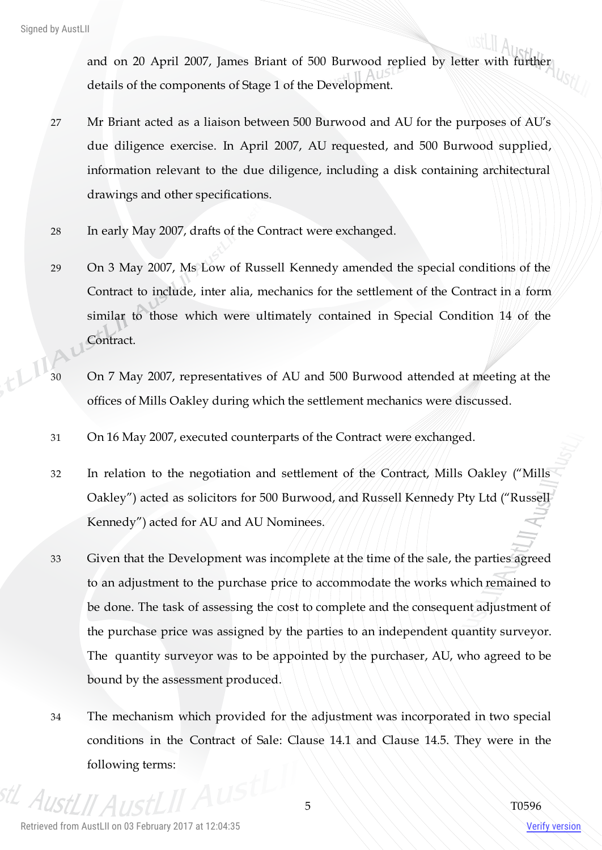and on 20 April 2007, James Briant of 500 Burwood replied by letter with further details of the components of Stage 1 of the Development.

- 27 Mr Briant acted as a liaison between 500 Burwood and AU for the purposes of AU's due diligence exercise. In April 2007, AU requested, and 500 Burwood supplied, information relevant to the due diligence, including a disk containing architectural drawings and other specifications.
- 28 In early May 2007, drafts of the Contract were exchanged.
- 29 On 3 May 2007, Ms Low of Russell Kennedy amended the special conditions of the Contract to include, inter alia, mechanics for the settlement of the Contract in a form similar to those which were ultimately contained in Special Condition 14 of the Contract.
- 30 On 7 May 2007, representatives of AU and 500 Burwood attended at meeting at the offices of Mills Oakley during which the settlement mechanics were discussed.
- 31 On 16 May 2007, executed counterparts of the Contract were exchanged.
- 32 In relation to the negotiation and settlement of the Contract, Mills Oakley ("Mills Oakley") acted as solicitors for 500 Burwood, and Russell Kennedy Pty Ltd ("Russell Kennedy") acted for AU and AU Nominees.
- 33 Given that the Development was incomplete at the time of the sale, the parties agreed to an adjustment to the purchase price to accommodate the works which remained to be done. The task of assessing the cost to complete and the consequent adjustment of the purchase price was assigned by the parties to an independent quantity surveyor. The quantity surveyor was to be appointed by the purchaser, AU, who agreed to be bound by the assessment produced.
- 34 The mechanism which provided for the adjustment was incorporated in two special conditions in the Contract of Sale: Clause 14.1 and Clause 14.5. They were in the following terms:

 $A_{II}$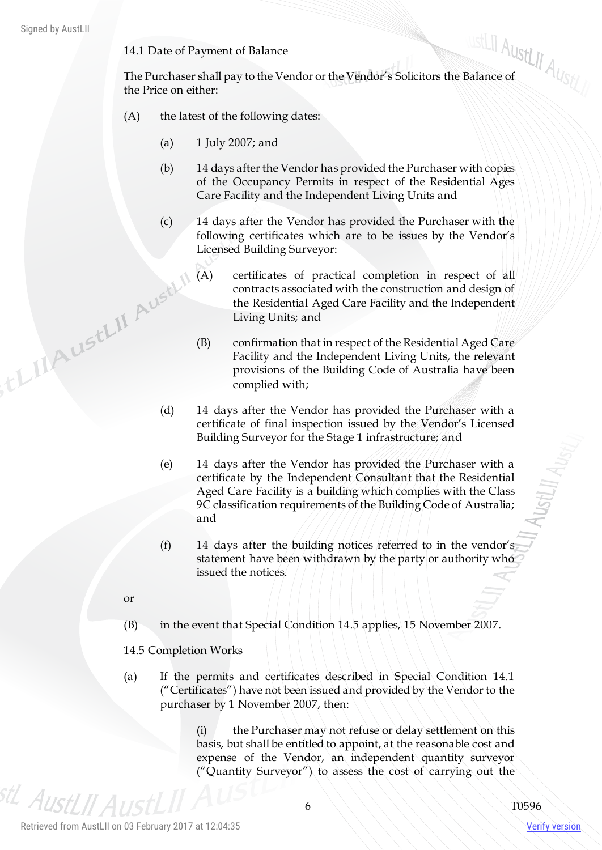14.1 Date of Payment of Balance

14.1 Date of Payment of Balance<br>The Purchaser shall pay to the Vendor or the Vendor's Solicitors the Balance of the Price on either:

- (A) the latest of the following dates:
	- (a) 1 July 2007; and
	- (b) 14 days after the Vendor has provided the Purchaser with copies of the Occupancy Permits in respect of the Residential Ages Care Facility and the Independent Living Units and
	- (c) 14 days after the Vendor has provided the Purchaser with the following certificates which are to be issues by the Vendor's Licensed Building Surveyor:
- (A) certificates of practical completion in respect of all contracts associated with the construction and design of the Residential Aged Care Facility and the Independing U.S. that (B) confirmation the control of the Cons contracts associated with the construction and design of the Residential Aged Care Facility and the Independent Living Units; and
	- (B) confirmation that in respect of the Residential Aged Care Facility and the Independent Living Units, the relevant provisions of the Building Code of Australia have been complied with;
	- (d) 14 days after the Vendor has provided the Purchaser with a certificate of final inspection issued by the Vendor's Licensed Building Surveyor for the Stage 1 infrastructure; and
	- (e) 14 days after the Vendor has provided the Purchaser with a certificate by the Independent Consultant that the Residential Aged Care Facility is a building which complies with the Class 9C classification requirements of the Building Code of Australia; and
	- (f) 14 days after the building notices referred to in the vendor's statement have been withdrawn by the party or authority who issued the notices.
	- or
	- (B) in the event that Special Condition 14.5 applies, 15 November 2007.
	- 14.5 Completion Works
	- (a) If the permits and certificates described in Special Condition 14.1 ("Certificates") have not been issued and provided by the Vendor to the purchaser by 1 November 2007, then:

(i) the Purchaser may not refuse or delay settlement on this basis, but shall be entitled to appoint, at the reasonable cost and expense of the Vendor, an independent quantity surveyor ("Quantity Surveyor") to assess the cost of carrying out the

<sup>stL</sup> AustLII A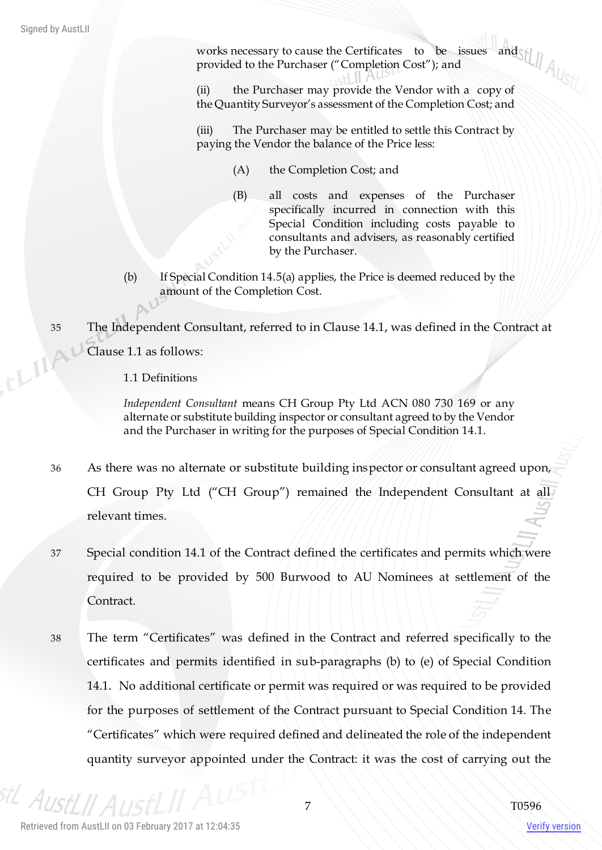works necessary to cause the Certificates to be issues and provided to the Purchaser ("Completion Cost"); and

(ii) the Purchaser may provide the Vendor with a copy of the Quantity Surveyor's assessment of the Completion Cost; and

(iii) The Purchaser may be entitled to settle this Contract by paying the Vendor the balance of the Price less:

- (A) the Completion Cost; and
- (B) all costs and expenses of the Purchaser specifically incurred in connection with this Special Condition including costs payable to consultants and advisers, as reasonably certified by the Purchaser.
- (b) If Special Condition 14.5(a) applies, the Price is deemed reduced by the amount of the Completion Cost.

35 The Independent Consultant, referred to in Clause 14.1, was defined in the Contract at Clause 1.1 as follows:<br>1.1 Definitions Clause 1.1 as follows:

1.1 Definitions

*Independent Consultant* means CH Group Pty Ltd ACN 080 730 169 or any alternate or substitute building inspector or consultant agreed to by the Vendor and the Purchaser in writing for the purposes of Special Condition 14.1.

- 36 As there was no alternate or substitute building inspector or consultant agreed upon, CH Group Pty Ltd ("CH Group") remained the Independent Consultant at all relevant times.
- 37 Special condition 14.1 of the Contract defined the certificates and permits which were required to be provided by 500 Burwood to AU Nominees at settlement of the Contract.
- 38 The term "Certificates" was defined in the Contract and referred specifically to the certificates and permits identified in sub-paragraphs (b) to (e) of Special Condition 14.1. No additional certificate or permit was required or was required to be provided for the purposes of settlement of the Contract pursuant to Special Condition 14. The "Certificates" which were required defined and delineated the role of the independent quantity surveyor appointed under the Contract: it was the cost of carrying out the

<sup>stL</sup> AustLII A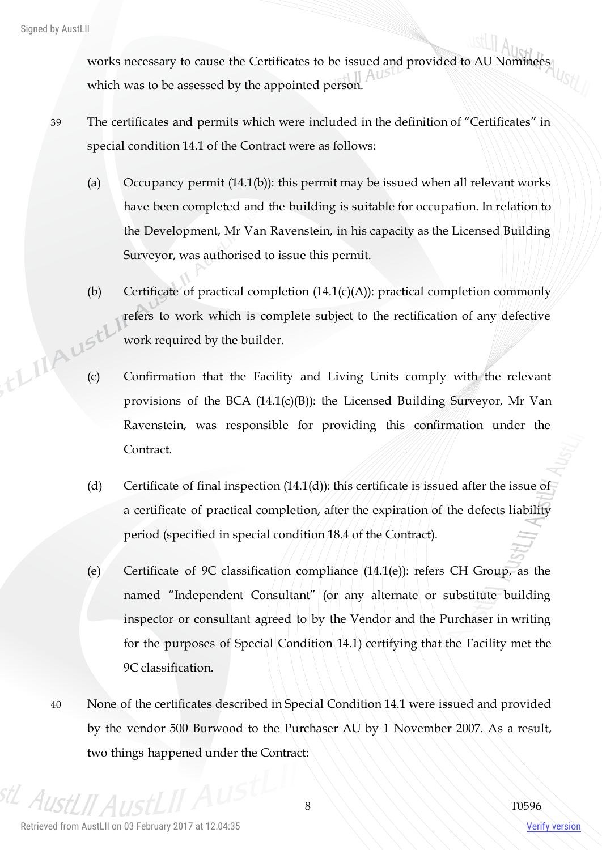works necessary to cause the Certificates to be issued and provided to AU Nominees which was to be assessed by the appointed person.

- 39 The certificates and permits which were included in the definition of "Certificates" in special condition 14.1 of the Contract were as follows:
	- (a) Occupancy permit  $(14.1(b))$ : this permit may be issued when all relevant works have been completed and the building is suitable for occupation. In relation to the Development, Mr Van Ravenstein, in his capacity as the Licensed Building Surveyor, was authorised to issue this permit.
- (b) Certificate of practical completion  $(14.1(c)(A))$ : practical completion commonly refers to work which is complete subject to the rectification of any defective work required by the builder. (c) Confirmation that the Facility and Living Units comply with the relevant
	- provisions of the BCA (14.1(c)(B)): the Licensed Building Surveyor, Mr Van Ravenstein, was responsible for providing this confirmation under the Contract.
	- (d) Certificate of final inspection  $(14.1(d))$ : this certificate is issued after the issue of a certificate of practical completion, after the expiration of the defects liability period (specified in special condition 18.4 of the Contract).
	- (e) Certificate of 9C classification compliance  $(14.1(e))$ : refers CH Group, as the named "Independent Consultant" (or any alternate or substitute building inspector or consultant agreed to by the Vendor and the Purchaser in writing for the purposes of Special Condition 14.1) certifying that the Facility met the 9C classification.
	- 40 None of the certificates described in Special Condition 14.1 were issued and provided by the vendor 500 Burwood to the Purchaser AU by 1 November 2007. As a result, two things happened under the Contract:

 $A_{I\!I\!C}$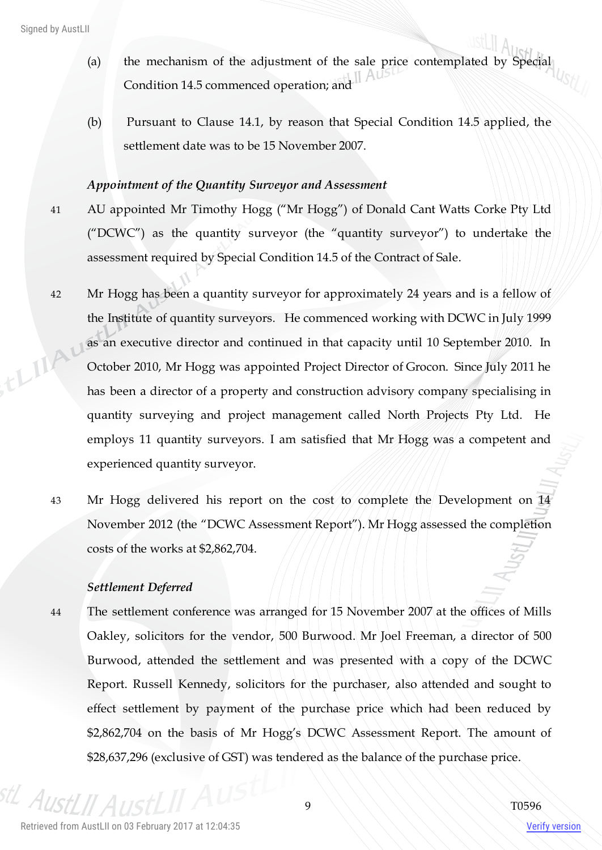- (a) the mechanism of the adjustment of the sale price contemplated by Special Condition 14.5 commenced operation; and II Aus
- (b) Pursuant to Clause 14.1, by reason that Special Condition 14.5 applied, the settlement date was to be 15 November 2007.

#### *Appointment of the Quantity Surveyor and Assessment*

- 41 AU appointed Mr Timothy Hogg ("Mr Hogg") of Donald Cant Watts Corke Pty Ltd ("DCWC") as the quantity surveyor (the "quantity surveyor") to undertake the assessment required by Special Condition 14.5 of the Contract of Sale.
- 42 Mr Hogg has been a quantity surveyor for approximately 24 years and is a fellow of the Institute of quantity surveyors. He commenced working with DCWC in July 1999 as an executive director and continued in that capacity until 10 September 2010. In ELIA October 2010, Mr Hogg was appointed Project Director of Grocon. Since July 2011 he has been a director of a property and construction advisory company specialising in quantity surveying and project management called North Projects Pty Ltd. He employs 11 quantity surveyors. I am satisfied that Mr Hogg was a competent and experienced quantity surveyor.
	- 43 Mr Hogg delivered his report on the cost to complete the Development on 14 November 2012 (the "DCWC Assessment Report"). Mr Hogg assessed the completion costs of the works at \$2,862,704.

#### *Settlement Deferred*

44 The settlement conference was arranged for 15 November 2007 at the offices of Mills Oakley, solicitors for the vendor, 500 Burwood. Mr Joel Freeman, a director of 500 Burwood, attended the settlement and was presented with a copy of the DCWC Report. Russell Kennedy, solicitors for the purchaser, also attended and sought to effect settlement by payment of the purchase price which had been reduced by \$2,862,704 on the basis of Mr Hogg's DCWC Assessment Report. The amount of \$28,637,296 (exclusive of GST) was tendered as the balance of the purchase price.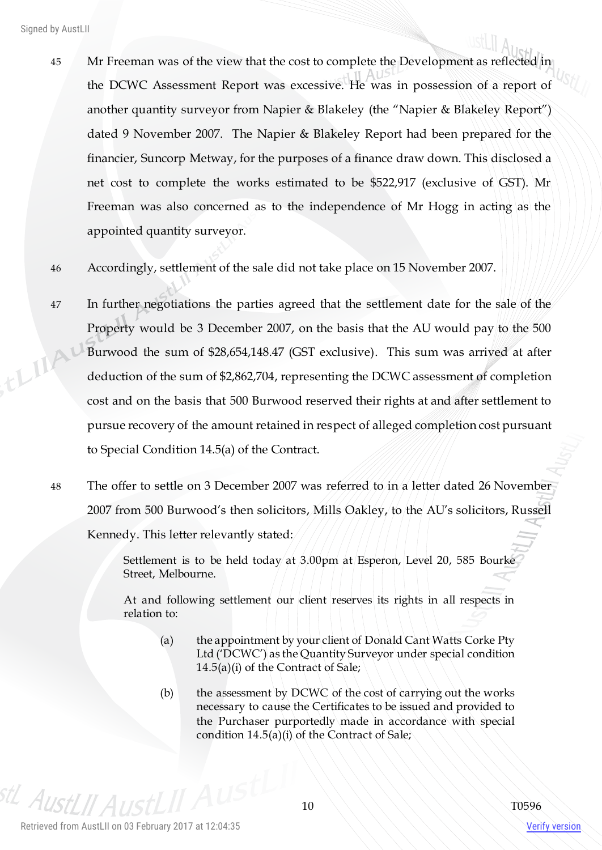- 45 Mr Freeman was of the view that the cost to complete the Development as reflected in the DCWC Assessment Report was excessive. He was in possession of a report of another quantity surveyor from Napier & Blakeley (the "Napier & Blakeley Report") dated 9 November 2007. The Napier & Blakeley Report had been prepared for the financier, Suncorp Metway, for the purposes of a finance draw down. This disclosed a net cost to complete the works estimated to be \$522,917 (exclusive of GST). Mr Freeman was also concerned as to the independence of Mr Hogg in acting as the appointed quantity surveyor.
- 46 Accordingly, settlement of the sale did not take place on 15 November 2007.
- 47 In further negotiations the parties agreed that the settlement date for the sale of the Property would be 3 December 2007, on the basis that the AU would pay to the 500 ELIA Burwood the sum of \$28,654,148.47 (GST exclusive). This sum was arrived at after deduction of the sum of \$2,862,704, representing the DCWC assessment of completion cost and on the basis that 500 Burwood reserved their rights at and after settlement to pursue recovery of the amount retained in respect of alleged completion cost pursuant to Special Condition 14.5(a) of the Contract.
	- 48 The offer to settle on 3 December 2007 was referred to in a letter dated 26 November 2007 from 500 Burwood's then solicitors, Mills Oakley, to the AU's solicitors, Russell Kennedy. This letter relevantly stated:

Settlement is to be held today at 3.00pm at Esperon, Level 20, 585 Bourke Street, Melbourne.

At and following settlement our client reserves its rights in all respects in relation to:

- (a) the appointment by your client of Donald Cant Watts Corke Pty Ltd ('DCWC') as the Quantity Surveyor under special condition 14.5(a)(i) of the Contract of Sale;
- (b) the assessment by DCWC of the cost of carrying out the works necessary to cause the Certificates to be issued and provided to the Purchaser purportedly made in accordance with special condition 14.5(a)(i) of the Contract of Sale;

stL Aust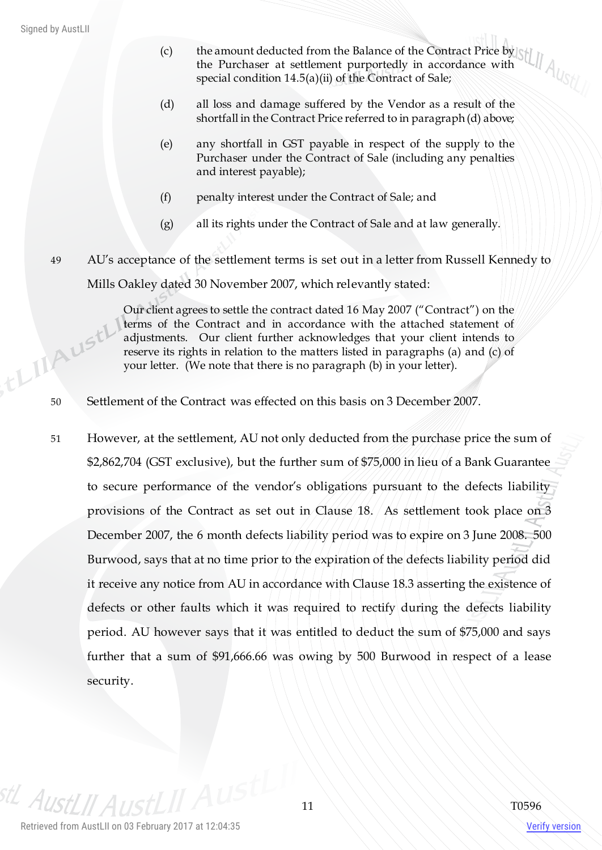- (c) the amount deducted from the Balance of the Contract Price by the Purchaser at settlement purportedly in accordance with special condition 14.5(a)(ii) of the Contract of Sale;
- (d) all loss and damage suffered by the Vendor as a result of the shortfall in the Contract Price referred to in paragraph (d) above;
- (e) any shortfall in GST payable in respect of the supply to the Purchaser under the Contract of Sale (including any penalties and interest payable);
- (f) penalty interest under the Contract of Sale; and
- (g) all its rights under the Contract of Sale and at law generally.

49 AU's acceptance of the settlement terms is set out in a letter from Russell Kennedy to Mills Oakley dated 30 November 2007, which relevantly stated:

Our client agrees to settle the contract dated 16 May 2007 ("Contract") on the terms of the Contract and in accordance with the attached statement of adjustments. Our client further acknowledges that your client intends to reserve its rights in relation to the matters listed in paragraphs (a) and (c) of your letter. (We note that there is no paragraph (b) in your letter). For the Contract was effected on this basis on 3 December 2007.<br>Settlement of the Contract was effected on this basis on 3 December 2007.

51 However, at the settlement, AU not only deducted from the purchase price the sum of \$2,862,704 (GST exclusive), but the further sum of \$75,000 in lieu of a Bank Guarantee to secure performance of the vendor's obligations pursuant to the defects liability provisions of the Contract as set out in Clause 18. As settlement took place on 3 December 2007, the 6 month defects liability period was to expire on 3 June 2008. 500 Burwood, says that at no time prior to the expiration of the defects liability period did it receive any notice from AU in accordance with Clause 18.3 asserting the existence of defects or other faults which it was required to rectify during the defects liability period. AU however says that it was entitled to deduct the sum of \$75,000 and says further that a sum of \$91,666.66 was owing by 500 Burwood in respect of a lease security.

stL AustLII A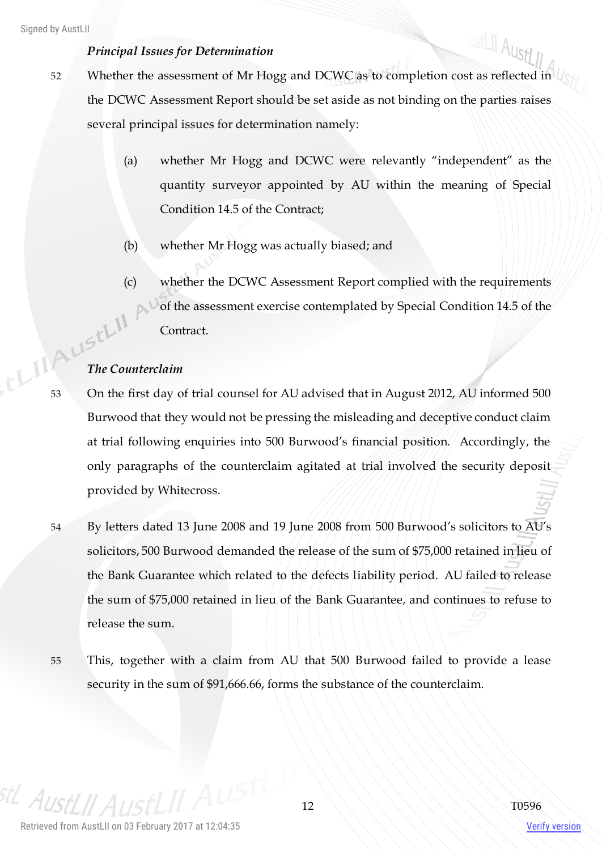#### *Principal Issues for Determination*

- ustLII AustLII 52 Whether the assessment of Mr Hogg and DCWC as to completion cost as reflected in the DCWC Assessment Report should be set aside as not binding on the parties raises several principal issues for determination namely:
	- (a) whether Mr Hogg and DCWC were relevantly "independent" as the quantity surveyor appointed by AU within the meaning of Special Condition 14.5 of the Contract;
	- (b) whether Mr Hogg was actually biased; and
- (c) whether the DCWC Assessment Report complied with the requirements of the assessment exercise contemplated by Special Condition 14.5 of the Contract. **The Counterclaim**

- 53 On the first day of trial counsel for AU advised that in August 2012, AU informed 500 Burwood that they would not be pressing the misleading and deceptive conduct claim at trial following enquiries into 500 Burwood's financial position. Accordingly, the only paragraphs of the counterclaim agitated at trial involved the security deposit provided by Whitecross.
- 54 By letters dated 13 June 2008 and 19 June 2008 from 500 Burwood's solicitors to AU's solicitors, 500 Burwood demanded the release of the sum of \$75,000 retained in lieu of the Bank Guarantee which related to the defects liability period. AU failed to release the sum of \$75,000 retained in lieu of the Bank Guarantee, and continues to refuse to release the sum.
- 55 This, together with a claim from AU that 500 Burwood failed to provide a lease security in the sum of \$91,666.66, forms the substance of the counterclaim.

Aust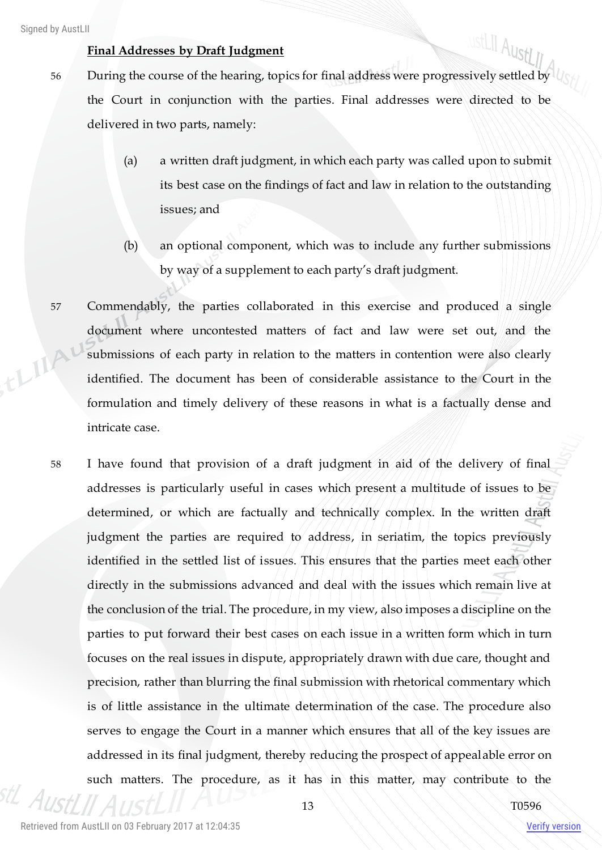## **Final Addresses by Draft Judgment**

- ustLII AustLII 56 During the course of the hearing, topics for final address were progressively settled by the Court in conjunction with the parties. Final addresses were directed to be delivered in two parts, namely:
	- (a) a written draft judgment, in which each party was called upon to submit its best case on the findings of fact and law in relation to the outstanding issues; and
	- (b) an optional component, which was to include any further submissions by way of a supplement to each party's draft judgment.
- 57 Commendably, the parties collaborated in this exercise and produced a single document where uncontested matters of fact and law were set out, and the thing! submissions of each party in relation to the matters in contention were also clearly identified. The document has been of considerable assistance to the Court in the formulation and timely delivery of these reasons in what is a factually dense and intricate case.
	- 58 I have found that provision of a draft judgment in aid of the delivery of final addresses is particularly useful in cases which present a multitude of issues to be determined, or which are factually and technically complex. In the written draft judgment the parties are required to address, in seriatim, the topics previously identified in the settled list of issues. This ensures that the parties meet each other directly in the submissions advanced and deal with the issues which remain live at the conclusion of the trial. The procedure, in my view, also imposes a discipline on the parties to put forward their best cases on each issue in a written form which in turn focuses on the real issues in dispute, appropriately drawn with due care, thought and precision, rather than blurring the final submission with rhetorical commentary which is of little assistance in the ultimate determination of the case. The procedure also serves to engage the Court in a manner which ensures that all of the key issues are addressed in its final judgment, thereby reducing the prospect of appealable error on such matters. The procedure, as it has in this matter, may contribute to the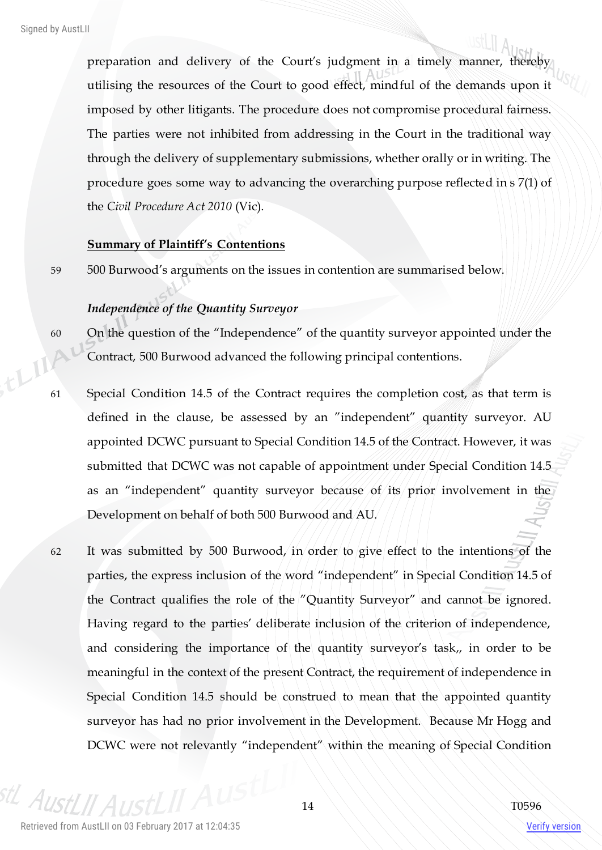preparation and delivery of the Court's judgment in a timely manner, thereby utilising the resources of the Court to good effect, mindful of the demands upon it imposed by other litigants. The procedure does not compromise procedural fairness. The parties were not inhibited from addressing in the Court in the traditional way through the delivery of supplementary submissions, whether orally or in writing. The procedure goes some way to advancing the overarching purpose reflected in s 7(1) of the *Civil Procedure Act 2010* (Vic).

#### **Summary of Plaintiff's Contentions**

59 500 Burwood's arguments on the issues in contention are summarised below.

#### *Independence of the Quantity Surveyor*

- 60 On the question of the "Independence" of the quantity surveyor appointed under the Contract, 500 Burwood advanced the following principal contentions.
- 61 Special Condition 14.5 of the Contract requires the completion cost, as that term is defined in the clause, be assessed by an "independent" quantity surveyor. AU appointed DCWC pursuant to Special Condition 14.5 of the Contract. However, it was submitted that DCWC was not capable of appointment under Special Condition 14.5 as an "independent" quantity surveyor because of its prior involvement in the Development on behalf of both 500 Burwood and AU.
- 62 It was submitted by 500 Burwood, in order to give effect to the intentions of the parties, the express inclusion of the word "independent" in Special Condition 14.5 of the Contract qualifies the role of the "Quantity Surveyor" and cannot be ignored. Having regard to the parties' deliberate inclusion of the criterion of independence, and considering the importance of the quantity surveyor's task,, in order to be meaningful in the context of the present Contract, the requirement of independence in Special Condition 14.5 should be construed to mean that the appointed quantity surveyor has had no prior involvement in the Development. Because Mr Hogg and DCWC were not relevantly "independent" within the meaning of Special Condition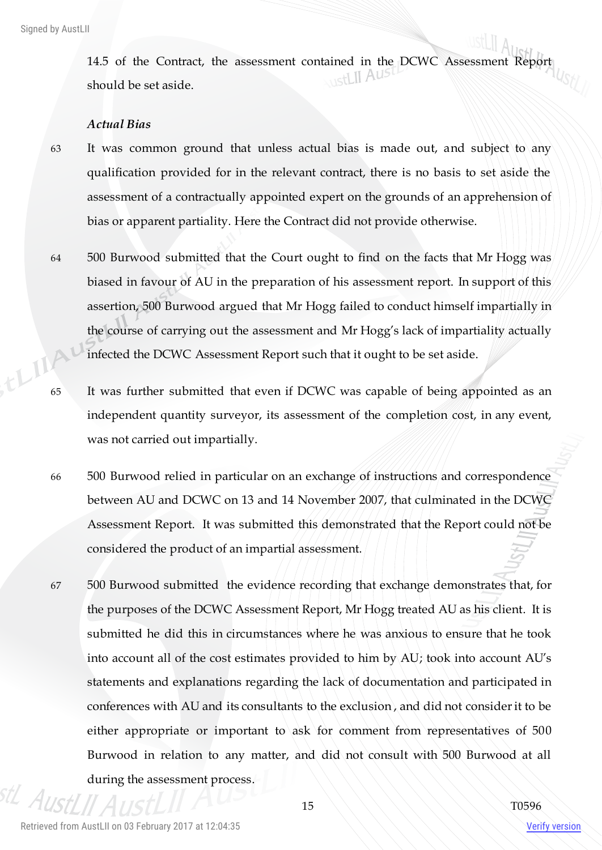14.5 of the Contract, the assessment contained in the DCWC Assessment Report should be set aside.

#### *Actual Bias*

- 63 It was common ground that unless actual bias is made out, and subject to any qualification provided for in the relevant contract, there is no basis to set aside the assessment of a contractually appointed expert on the grounds of an apprehension of bias or apparent partiality. Here the Contract did not provide otherwise.
- 64 500 Burwood submitted that the Court ought to find on the facts that Mr Hogg was biased in favour of AU in the preparation of his assessment report. In support of this assertion, 500 Burwood argued that Mr Hogg failed to conduct himself impartially in the course of carrying out the assessment and Mr Hogg's lack of impartiality actually infected the DCWC Assessment Report such that it ought to be set aside.
- 65 It was further submitted that even if DCWC was capable of being appointed as an independent quantity surveyor, its assessment of the completion cost, in any event, was not carried out impartially.
- 66 500 Burwood relied in particular on an exchange of instructions and correspondence between AU and DCWC on 13 and 14 November 2007, that culminated in the DCWC Assessment Report. It was submitted this demonstrated that the Report could not be considered the product of an impartial assessment.
- 67 500 Burwood submitted the evidence recording that exchange demonstrates that, for the purposes of the DCWC Assessment Report, Mr Hogg treated AU as his client. It is submitted he did this in circumstances where he was anxious to ensure that he took into account all of the cost estimates provided to him by AU; took into account AU's statements and explanations regarding the lack of documentation and participated in conferences with AU and its consultants to the exclusion , and did not consider it to be either appropriate or important to ask for comment from representatives of 500 Burwood in relation to any matter, and did not consult with 500 Burwood at all during the assessment process.

Retrieved from AustLII on 03 February 2017 at 12:04:35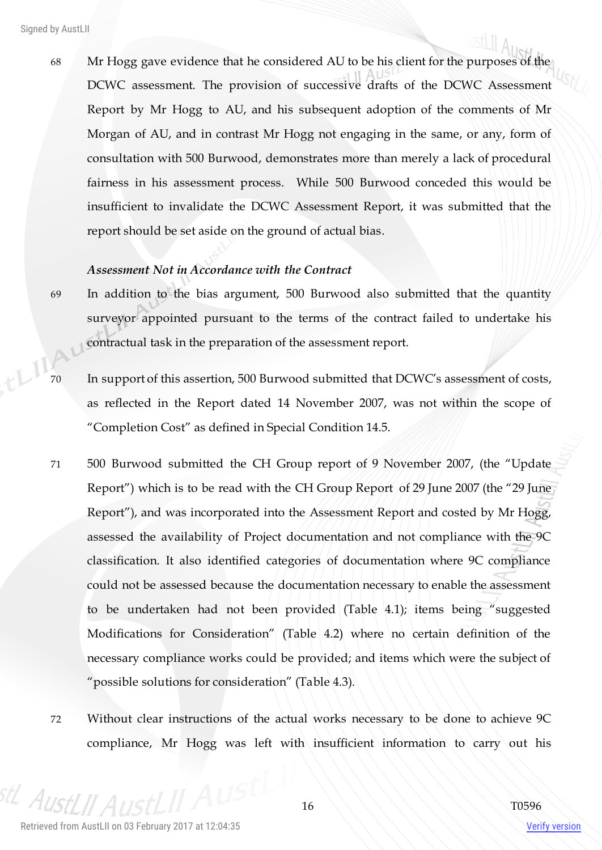68 Mr Hogg gave evidence that he considered AU to be his client for the purposes of the DCWC assessment. The provision of successive drafts of the DCWC Assessment Report by Mr Hogg to AU, and his subsequent adoption of the comments of Mr Morgan of AU, and in contrast Mr Hogg not engaging in the same, or any, form of consultation with 500 Burwood, demonstrates more than merely a lack of procedural fairness in his assessment process. While 500 Burwood conceded this would be insufficient to invalidate the DCWC Assessment Report, it was submitted that the report should be set aside on the ground of actual bias.

#### *Assessment Not in Accordance with the Contract*

- 69 In addition to the bias argument, 500 Burwood also submitted that the quantity surveyor appointed pursuant to the terms of the contract failed to undertake his contractual task in the preparation of the assessment report.
- 70 In support of this assertion, 500 Burwood submitted that DCWC's assessment of costs, as reflected in the Report dated 14 November 2007, was not within the scope of "Completion Cost" as defined in Special Condition 14.5.
- 71 500 Burwood submitted the CH Group report of 9 November 2007, (the "Update Report") which is to be read with the CH Group Report of 29 June 2007 (the "29 June Report"), and was incorporated into the Assessment Report and costed by Mr Hogg, assessed the availability of Project documentation and not compliance with the 9C classification. It also identified categories of documentation where 9C compliance could not be assessed because the documentation necessary to enable the assessment to be undertaken had not been provided (Table 4.1); items being "suggested Modifications for Consideration" (Table 4.2) where no certain definition of the necessary compliance works could be provided; and items which were the subject of "possible solutions for consideration" (Table 4.3).
- 72 Without clear instructions of the actual works necessary to be done to achieve 9C compliance, Mr Hogg was left with insufficient information to carry out his

 $A_{II}$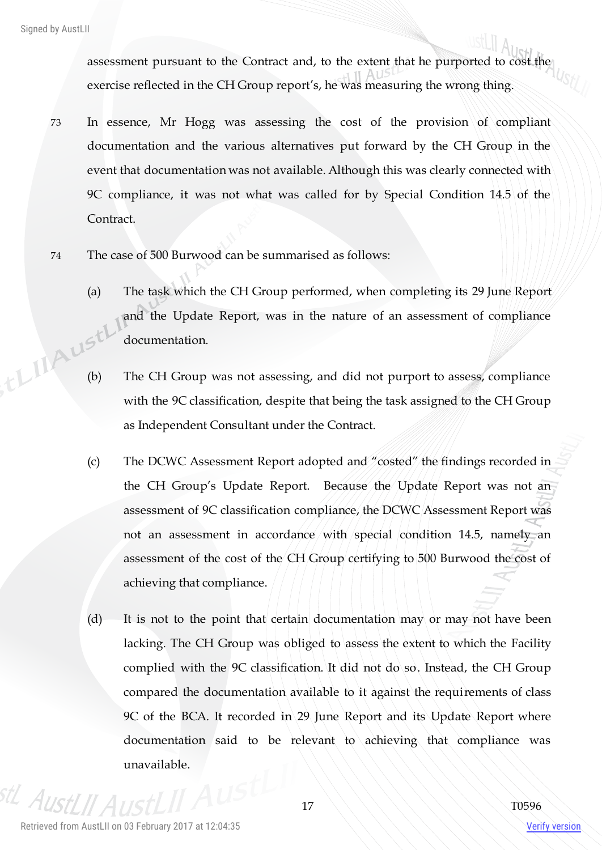assessment pursuant to the Contract and, to the extent that he purported to cost the exercise reflected in the CH Group report's, he was measuring the wrong thing.

- 73 In essence, Mr Hogg was assessing the cost of the provision of compliant documentation and the various alternatives put forward by the CH Group in the event that documentation was not available. Although this was clearly connected with 9C compliance, it was not what was called for by Special Condition 14.5 of the Contract.
- 74 The case of 500 Burwood can be summarised as follows:
- (a) The task which the CH Group performed, when completing its 29 June Report and the Update Report, was in the nature of an assessment of compliance documentation. (b) The CH Group was not assessing, and did not purport to assess, compliance
	- with the 9C classification, despite that being the task assigned to the CH Group as Independent Consultant under the Contract.
	- (c) The DCWC Assessment Report adopted and "costed" the findings recorded in the CH Group's Update Report. Because the Update Report was not an assessment of 9C classification compliance, the DCWC Assessment Report was not an assessment in accordance with special condition 14.5, namely an assessment of the cost of the CH Group certifying to 500 Burwood the cost of achieving that compliance.
	- (d) It is not to the point that certain documentation may or may not have been lacking. The CH Group was obliged to assess the extent to which the Facility complied with the 9C classification. It did not do so. Instead, the CH Group compared the documentation available to it against the requirements of class 9C of the BCA. It recorded in 29 June Report and its Update Report where documentation said to be relevant to achieving that compliance was unavailable.

 $A$ IIc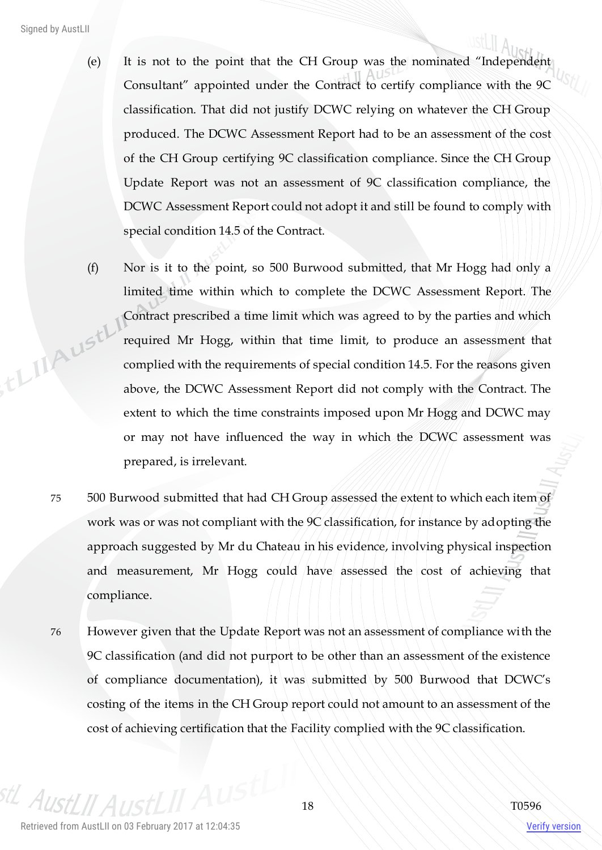- (e) It is not to the point that the CH Group was the nominated "Independent Consultant" appointed under the Contract to certify compliance with the 9C classification. That did not justify DCWC relying on whatever the CH Group produced. The DCWC Assessment Report had to be an assessment of the cost of the CH Group certifying 9C classification compliance. Since the CH Group Update Report was not an assessment of 9C classification compliance, the DCWC Assessment Report could not adopt it and still be found to comply with special condition 14.5 of the Contract.
- (f) Nor is it to the point, so 500 Burwood submitted, that Mr Hogg had only a limited time within which to complete the DCWC Assessment Report. The Contract prescribed a time limit which was agreed to by the parties and which th IIA ust! required Mr Hogg, within that time limit, to produce an assessment that complied with the requirements of special condition 14.5. For the reasons given above, the DCWC Assessment Report did not comply with the Contract. The extent to which the time constraints imposed upon Mr Hogg and DCWC may or may not have influenced the way in which the DCWC assessment was prepared, is irrelevant.
	- 75 500 Burwood submitted that had CH Group assessed the extent to which each item of work was or was not compliant with the 9C classification, for instance by adopting the approach suggested by Mr du Chateau in his evidence, involving physical inspection and measurement, Mr Hogg could have assessed the cost of achieving that compliance.
	- 76 However given that the Update Report was not an assessment of compliance with the 9C classification (and did not purport to be other than an assessment of the existence of compliance documentation), it was submitted by 500 Burwood that DCWC's costing of the items in the CH Group report could not amount to an assessment of the cost of achieving certification that the Facility complied with the 9C classification.

 $A_{I}$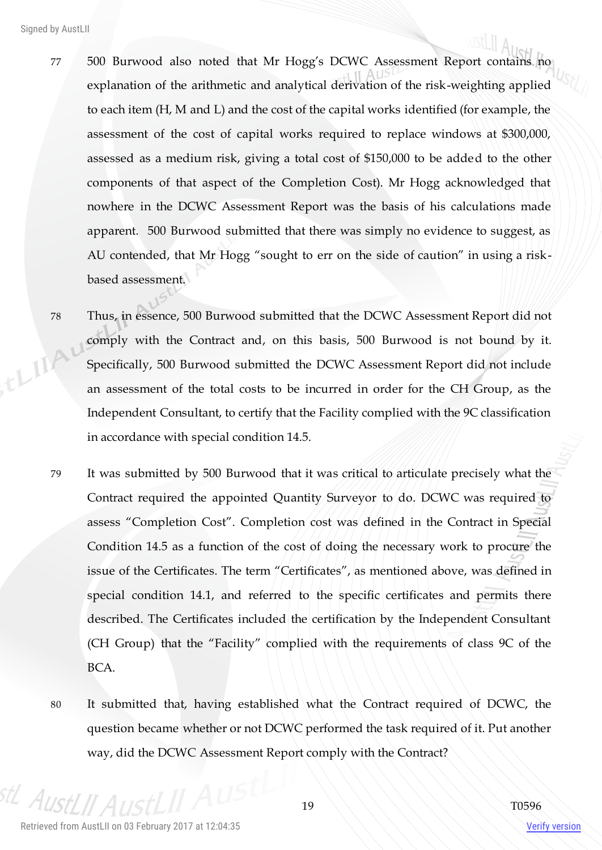- 77 500 Burwood also noted that Mr Hogg's DCWC Assessment Report contains no explanation of the arithmetic and analytical derivation of the risk-weighting applied to each item (H, M and L) and the cost of the capital works identified (for example, the assessment of the cost of capital works required to replace windows at \$300,000, assessed as a medium risk, giving a total cost of \$150,000 to be added to the other components of that aspect of the Completion Cost). Mr Hogg acknowledged that nowhere in the DCWC Assessment Report was the basis of his calculations made apparent. 500 Burwood submitted that there was simply no evidence to suggest, as AU contended, that Mr Hogg "sought to err on the side of caution" in using a riskbased assessment.
- 78 Thus, in essence, 500 Burwood submitted that the DCWC Assessment Report did not comply with the Contract and, on this basis, 500 Burwood is not bound by it. ELIA Specifically, 500 Burwood submitted the DCWC Assessment Report did not include an assessment of the total costs to be incurred in order for the CH Group, as the Independent Consultant, to certify that the Facility complied with the 9C classification in accordance with special condition 14.5.
	- 79 It was submitted by 500 Burwood that it was critical to articulate precisely what the Contract required the appointed Quantity Surveyor to do. DCWC was required to assess "Completion Cost". Completion cost was defined in the Contract in Special Condition 14.5 as a function of the cost of doing the necessary work to procure the issue of the Certificates. The term "Certificates", as mentioned above, was defined in special condition 14.1, and referred to the specific certificates and permits there described. The Certificates included the certification by the Independent Consultant (CH Group) that the "Facility" complied with the requirements of class 9C of the BCA.
	- 80 It submitted that, having established what the Contract required of DCWC, the question became whether or not DCWC performed the task required of it. Put another way, did the DCWC Assessment Report comply with the Contract?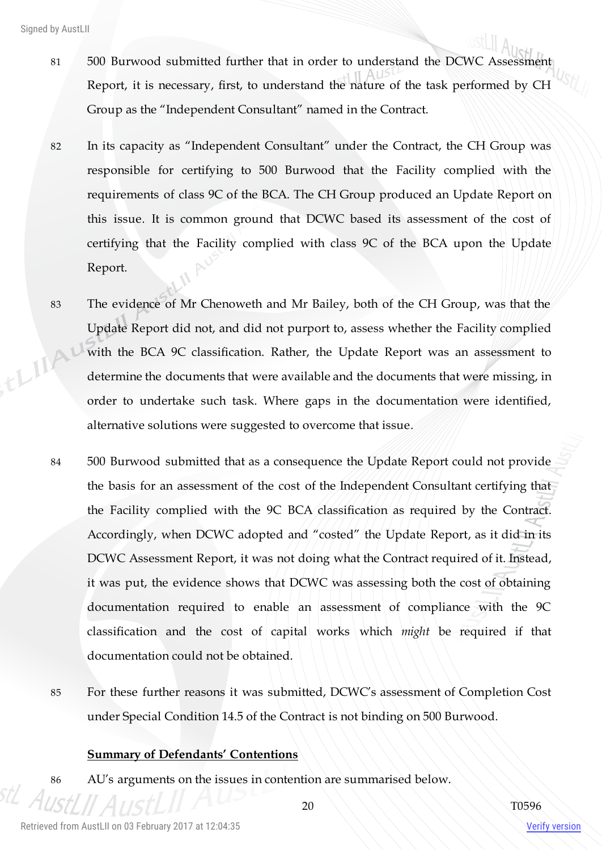- 81 500 Burwood submitted further that in order to understand the DCWC Assessment Report, it is necessary, first, to understand the nature of the task performed by CH Group as the "Independent Consultant" named in the Contract.
- 82 In its capacity as "Independent Consultant" under the Contract, the CH Group was responsible for certifying to 500 Burwood that the Facility complied with the requirements of class 9C of the BCA. The CH Group produced an Update Report on this issue. It is common ground that DCWC based its assessment of the cost of certifying that the Facility complied with class 9C of the BCA upon the Update Report.
- 83 The evidence of Mr Chenoweth and Mr Bailey, both of the CH Group, was that the Update Report did not, and did not purport to, assess whether the Facility complied this with the BCA 9C classification. Rather, the Update Report was an assessment to determine the documents that were available and the documents that were missing, in order to undertake such task. Where gaps in the documentation were identified, alternative solutions were suggested to overcome that issue.
	- 84 500 Burwood submitted that as a consequence the Update Report could not provide the basis for an assessment of the cost of the Independent Consultant certifying that the Facility complied with the 9C BCA classification as required by the Contract. Accordingly, when DCWC adopted and "costed" the Update Report, as it did in its DCWC Assessment Report, it was not doing what the Contract required of it. Instead, it was put, the evidence shows that DCWC was assessing both the cost of obtaining documentation required to enable an assessment of compliance with the 9C classification and the cost of capital works which *might* be required if that documentation could not be obtained.
	- 85 For these further reasons it was submitted, DCWC's assessment of Completion Cost under Special Condition 14.5 of the Contract is not binding on 500 Burwood.

#### **Summary of Defendants' Contentions**

86 AU's arguments on the issues in contention are summarised below.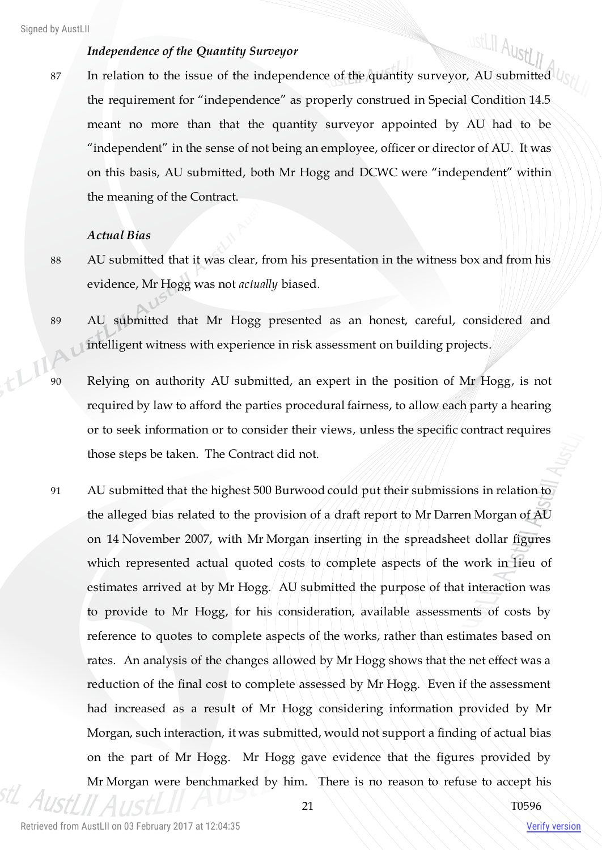#### *Independence of the Quantity Surveyor*

87 In relation to the issue of the independence of the quantity surveyor, AU submitted  $\mathbb{Q}_\mathbb{C}$ the requirement for "independence" as properly construed in Special Condition 14.5 meant no more than that the quantity surveyor appointed by AU had to be "independent" in the sense of not being an employee, officer or director of AU. It was on this basis, AU submitted, both Mr Hogg and DCWC were "independent" within the meaning of the Contract.

#### *Actual Bias*

- 88 AU submitted that it was clear, from his presentation in the witness box and from his evidence, Mr Hogg was not *actually* biased.
- 89 AU submitted that Mr Hogg presented as an honest, careful, considered and intelligent witness with experience in risk assessment on building projects.
- 90 Relying on authority AU submitted, an expert in the position of Mr Hogg, is not required by law to afford the parties procedural fairness, to allow each party a hearing or to seek information or to consider their views, unless the specific contract requires those steps be taken. The Contract did not.
- 91 AU submitted that the highest 500 Burwood could put their submissions in relation to the alleged bias related to the provision of a draft report to Mr Darren Morgan of AU on 14 November 2007, with Mr Morgan inserting in the spreadsheet dollar figures which represented actual quoted costs to complete aspects of the work in lieu of estimates arrived at by Mr Hogg. AU submitted the purpose of that interaction was to provide to Mr Hogg, for his consideration, available assessments of costs by reference to quotes to complete aspects of the works, rather than estimates based on rates. An analysis of the changes allowed by Mr Hogg shows that the net effect was a reduction of the final cost to complete assessed by Mr Hogg. Even if the assessment had increased as a result of Mr Hogg considering information provided by Mr Morgan, such interaction, it was submitted, would not support a finding of actual bias on the part of Mr Hogg. Mr Hogg gave evidence that the figures provided by Mr Morgan were benchmarked by him. There is no reason to refuse to accept his

ustLII AustLII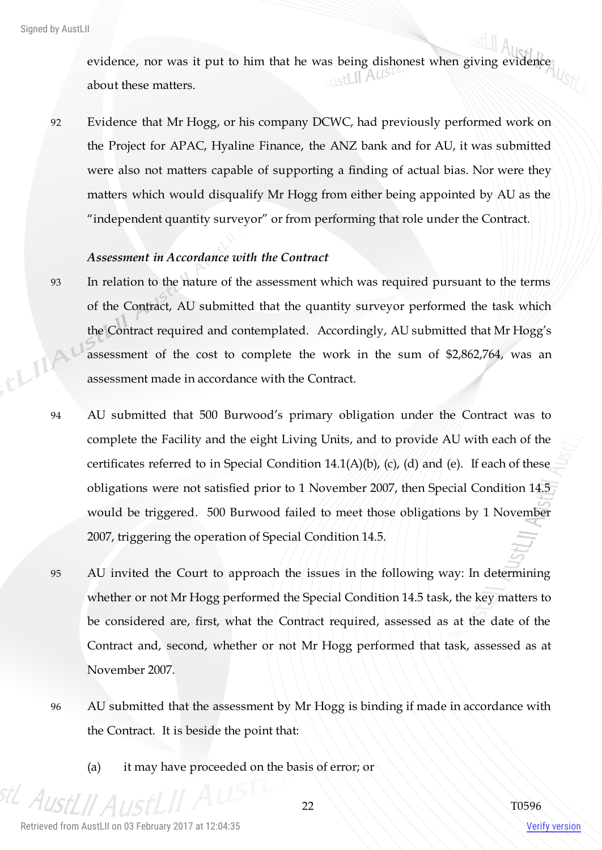evidence, nor was it put to him that he was being dishonest when giving evidence about these matters.

92 Evidence that Mr Hogg, or his company DCWC, had previously performed work on the Project for APAC, Hyaline Finance, the ANZ bank and for AU, it was submitted were also not matters capable of supporting a finding of actual bias. Nor were they matters which would disqualify Mr Hogg from either being appointed by AU as the "independent quantity surveyor" or from performing that role under the Contract.

#### *Assessment in Accordance with the Contract*

- 93 In relation to the nature of the assessment which was required pursuant to the terms of the Contract, AU submitted that the quantity surveyor performed the task which the Contract required and contemplated. Accordingly, AU submitted that Mr Hogg's this assessment of the cost to complete the work in the sum of \$2,862,764, was an assessment made in accordance with the Contract.
	- 94 AU submitted that 500 Burwood's primary obligation under the Contract was to complete the Facility and the eight Living Units, and to provide AU with each of the certificates referred to in Special Condition  $14.1(A)(b)$ , (c), (d) and (e). If each of these obligations were not satisfied prior to 1 November 2007, then Special Condition 14.5 would be triggered. 500 Burwood failed to meet those obligations by 1 November 2007, triggering the operation of Special Condition 14.5.
	- 95 AU invited the Court to approach the issues in the following way: In determining whether or not Mr Hogg performed the Special Condition 14.5 task, the key matters to be considered are, first, what the Contract required, assessed as at the date of the Contract and, second, whether or not Mr Hogg performed that task, assessed as at November 2007.
	- 96 AU submitted that the assessment by Mr Hogg is binding if made in accordance with the Contract. It is beside the point that:
		- (a) it may have proceeded on the basis of error; or

 $A_{IR}$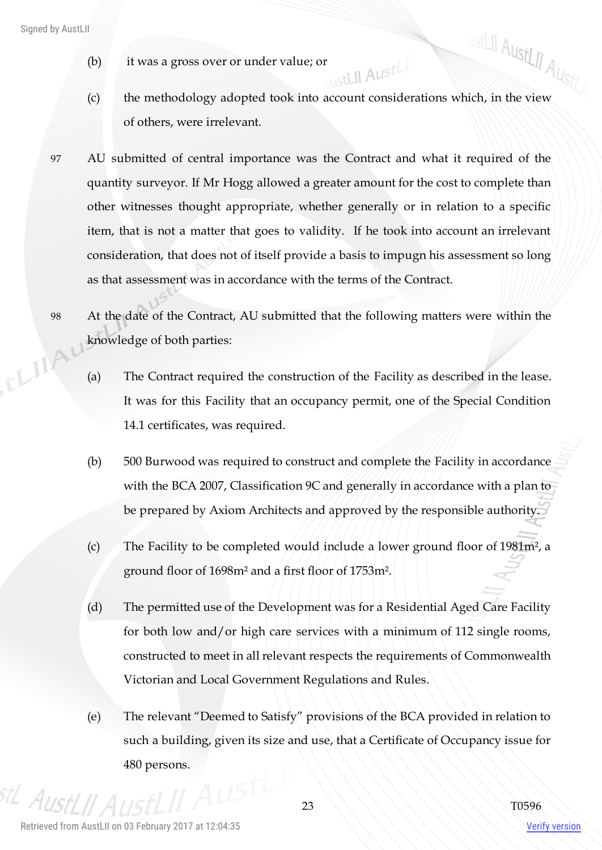- (b) it was a gross over or under value; or
- (b) it was a gross over or under value; or<br>
(c) the methodology adopted took into account considerations which, in the view ustLII AustLII of others, were irrelevant.
- 97 AU submitted of central importance was the Contract and what it required of the quantity surveyor. If Mr Hogg allowed a greater amount for the cost to complete than other witnesses thought appropriate, whether generally or in relation to a specific item, that is not a matter that goes to validity. If he took into account an irrelevant consideration, that does not of itself provide a basis to impugn his assessment so long as that assessment was in accordance with the terms of the Contract.

98 At the date of the Contract, AU submitted that the following matters were within the knowledge of both parties: thing

- (a) The Contract required the construction of the Facility as described in the lease. It was for this Facility that an occupancy permit, one of the Special Condition 14.1 certificates, was required.
- (b) 500 Burwood was required to construct and complete the Facility in accordance with the BCA 2007, Classification 9C and generally in accordance with a plan to be prepared by Axiom Architects and approved by the responsible authority.
- (c) The Facility to be completed would include a lower ground floor of 1981m², a ground floor of 1698m² and a first floor of 1753m².
- (d) The permitted use of the Development was for a Residential Aged Care Facility for both low and/or high care services with a minimum of 112 single rooms, constructed to meet in all relevant respects the requirements of Commonwealth Victorian and Local Government Regulations and Rules.
- (e) The relevant "Deemed to Satisfy" provisions of the BCA provided in relation to such a building, given its size and use, that a Certificate of Occupancy issue for 480 persons.

stL Aust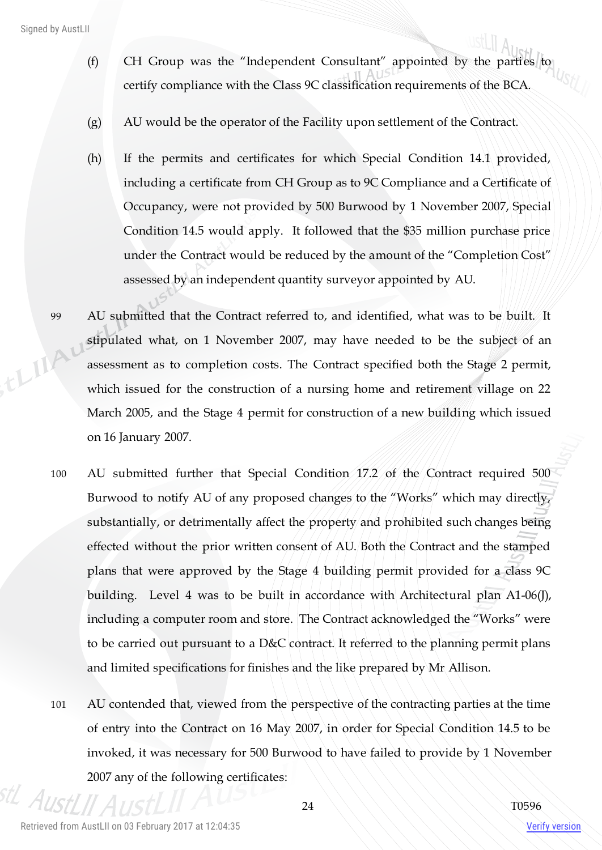Signed by AustLII

- (f) CH Group was the "Independent Consultant" appointed by the parties to certify compliance with the Class 9C classification requirements of the BCA.
- (g) AU would be the operator of the Facility upon settlement of the Contract.
- (h) If the permits and certificates for which Special Condition 14.1 provided, including a certificate from CH Group as to 9C Compliance and a Certificate of Occupancy, were not provided by 500 Burwood by 1 November 2007, Special Condition 14.5 would apply. It followed that the \$35 million purchase price under the Contract would be reduced by the amount of the "Completion Cost" assessed by an independent quantity surveyor appointed by AU.
- 99 AU submitted that the Contract referred to, and identified, what was to be built. It stipulated what, on 1 November 2007, may have needed to be the subject of an ELIA assessment as to completion costs. The Contract specified both the Stage 2 permit, which issued for the construction of a nursing home and retirement village on 22 March 2005, and the Stage 4 permit for construction of a new building which issued on 16 January 2007.
	- 100 AU submitted further that Special Condition 17.2 of the Contract required 500 Burwood to notify AU of any proposed changes to the "Works" which may directly, substantially, or detrimentally affect the property and prohibited such changes being effected without the prior written consent of AU. Both the Contract and the stamped plans that were approved by the Stage 4 building permit provided for a class 9C building. Level 4 was to be built in accordance with Architectural plan A1-06(J), including a computer room and store. The Contract acknowledged the "Works" were to be carried out pursuant to a D&C contract. It referred to the planning permit plans and limited specifications for finishes and the like prepared by Mr Allison.
	- 101 AU contended that, viewed from the perspective of the contracting parties at the time of entry into the Contract on 16 May 2007, in order for Special Condition 14.5 to be invoked, it was necessary for 500 Burwood to have failed to provide by 1 November 2007 any of the following certificates: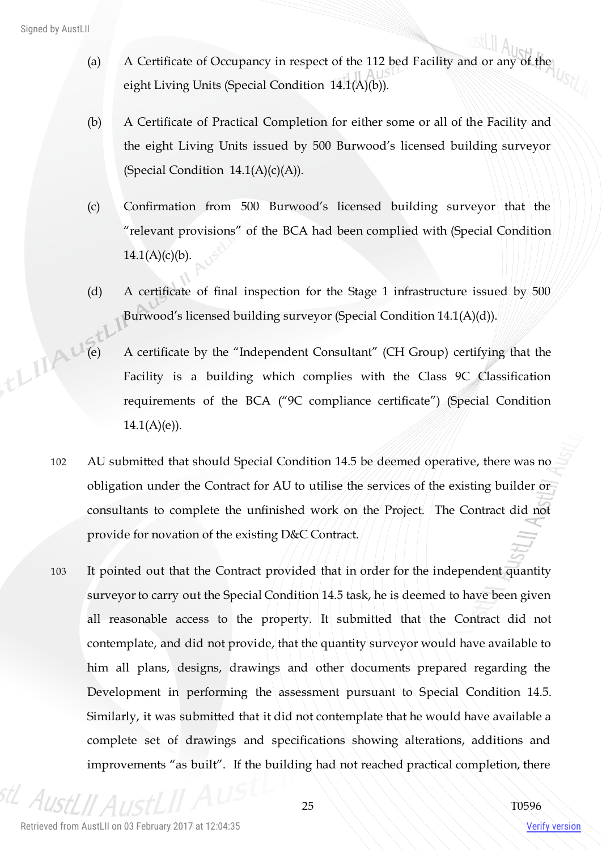- (a) A Certificate of Occupancy in respect of the 112 bed Facility and or any of the eight Living Units (Special Condition 14.1(A)(b)).
- (b) A Certificate of Practical Completion for either some or all of the Facility and the eight Living Units issued by 500 Burwood's licensed building surveyor (Special Condition  $14.1(A)(c)(A)$ ).
- (c) Confirmation from 500 Burwood's licensed building surveyor that the "relevant provisions" of the BCA had been complied with (Special Condition  $14.1(A)(c)(b)$ .
- (d) A certificate of final inspection for the Stage 1 infrastructure issued by 500 Burwood's licensed building surveyor (Special Condition 14.1(A)(d)).
- (e) A certificate by the "Independent Consultant" (CH Group) certifying that the Facility is a building which Facility is a building which complies with the Class 9C Classification requirements of the BCA ("9C compliance certificate") (Special Condition  $14.1(A)(e)$ ).
	- 102 AU submitted that should Special Condition 14.5 be deemed operative, there was no obligation under the Contract for AU to utilise the services of the existing builder or consultants to complete the unfinished work on the Project. The Contract did not provide for novation of the existing D&C Contract.
	- 103 It pointed out that the Contract provided that in order for the independent quantity surveyor to carry out the Special Condition 14.5 task, he is deemed to have been given all reasonable access to the property. It submitted that the Contract did not contemplate, and did not provide, that the quantity surveyor would have available to him all plans, designs, drawings and other documents prepared regarding the Development in performing the assessment pursuant to Special Condition 14.5. Similarly, it was submitted that it did not contemplate that he would have available a complete set of drawings and specifications showing alterations, additions and improvements "as built". If the building had not reached practical completion, there

 $A_{II}$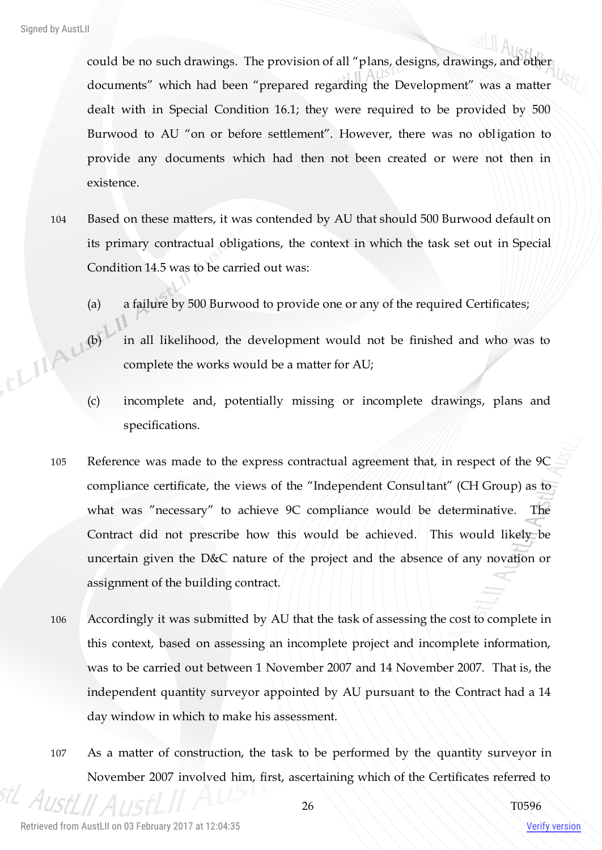could be no such drawings. The provision of all "plans, designs, drawings, and other documents" which had been "prepared regarding the Development" was a matter dealt with in Special Condition 16.1; they were required to be provided by 500 Burwood to AU "on or before settlement". However, there was no obligation to provide any documents which had then not been created or were not then in existence.

- 104 Based on these matters, it was contended by AU that should 500 Burwood default on its primary contractual obligations, the context in which the task set out in Special Condition 14.5 was to be carried out was:
	- (a) a failure by 500 Burwood to provide one or any of the required Certificates;
- (b) in all likelihood, the development would not be finished and who was to complete the works would be a matter for  $\Delta T$ . complete the works would be a matter for AU;
	- (c) incomplete and, potentially missing or incomplete drawings, plans and specifications.
	- 105 Reference was made to the express contractual agreement that, in respect of the 9C compliance certificate, the views of the "Independent Consultant" (CH Group) as to what was "necessary" to achieve 9C compliance would be determinative. The Contract did not prescribe how this would be achieved. This would likely be uncertain given the D&C nature of the project and the absence of any novation or assignment of the building contract.
	- 106 Accordingly it was submitted by AU that the task of assessing the cost to complete in this context, based on assessing an incomplete project and incomplete information, was to be carried out between 1 November 2007 and 14 November 2007. That is, the independent quantity surveyor appointed by AU pursuant to the Contract had a 14 day window in which to make his assessment.
	- 107 As a matter of construction, the task to be performed by the quantity surveyor in November 2007 involved him, first, ascertaining which of the Certificates referred to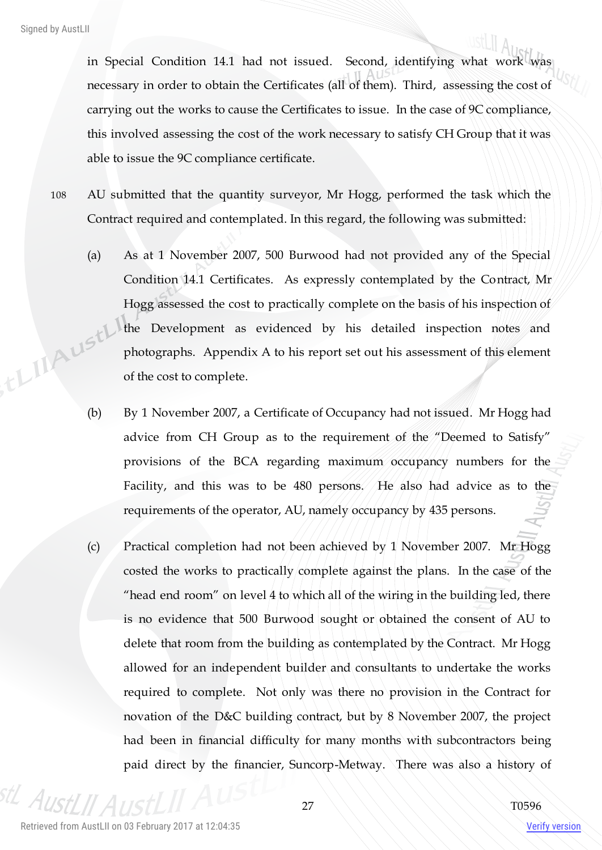in Special Condition 14.1 had not issued. Second, identifying what work was necessary in order to obtain the Certificates (all of them). Third, assessing the cost of carrying out the works to cause the Certificates to issue. In the case of 9C compliance, this involved assessing the cost of the work necessary to satisfy CH Group that it was able to issue the 9C compliance certificate.

- 108 AU submitted that the quantity surveyor, Mr Hogg, performed the task which the Contract required and contemplated. In this regard, the following was submitted:
- (a) As at 1 November 2007, 500 Burwood had not provided any of the Special Condition 14.1 Certificates. As expressly contemplated by the Contract, Mr Hogg assessed the cost to practically complete on the basis of his inspection of , the MALISTL' the Development as evidenced by his detailed inspection notes and photographs. Appendix A to his report set out his assessment of this element of the cost to complete.
	- (b) By 1 November 2007, a Certificate of Occupancy had not issued. Mr Hogg had advice from CH Group as to the requirement of the "Deemed to Satisfy" provisions of the BCA regarding maximum occupancy numbers for the Facility, and this was to be 480 persons. He also had advice as to the requirements of the operator, AU, namely occupancy by 435 persons.
	- (c) Practical completion had not been achieved by 1 November 2007. Mr Hogg costed the works to practically complete against the plans. In the case of the "head end room" on level 4 to which all of the wiring in the building led, there is no evidence that 500 Burwood sought or obtained the consent of AU to delete that room from the building as contemplated by the Contract. Mr Hogg allowed for an independent builder and consultants to undertake the works required to complete. Not only was there no provision in the Contract for novation of the D&C building contract, but by 8 November 2007, the project had been in financial difficulty for many months with subcontractors being paid direct by the financier, Suncorp-Metway. There was also a history of

 $A$ lici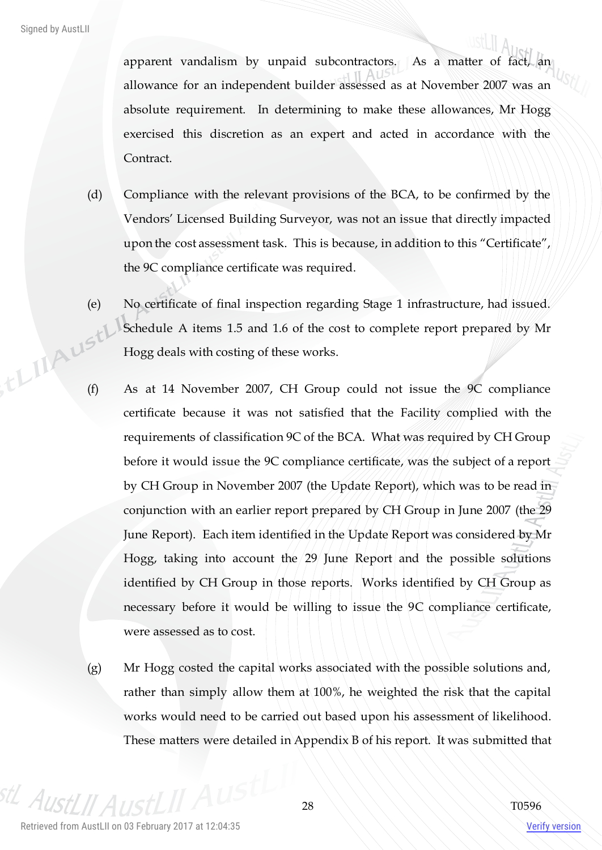apparent vandalism by unpaid subcontractors. As a matter of fact, an allowance for an independent builder assessed as at November 2007 was an absolute requirement. In determining to make these allowances, Mr Hogg exercised this discretion as an expert and acted in accordance with the Contract.

- (d) Compliance with the relevant provisions of the BCA, to be confirmed by the Vendors' Licensed Building Surveyor, was not an issue that directly impacted upon the cost assessment task. This is because, in addition to this "Certificate", the 9C compliance certificate was required.
- (e) No certificate of final inspection regarding Stage 1 infrastructure, had issued. Schedule A items 1.5 and 1.6 of the cost to complete report prepared by Mr Hogg deals with costing of these works. (f) As at 14 November 2007, CH Group could not issue the 9C compliance
	- certificate because it was not satisfied that the Facility complied with the requirements of classification 9C of the BCA. What was required by CH Group before it would issue the 9C compliance certificate, was the subject of a report by CH Group in November 2007 (the Update Report), which was to be read in conjunction with an earlier report prepared by CH Group in June 2007 (the 29 June Report). Each item identified in the Update Report was considered by Mr Hogg, taking into account the 29 June Report and the possible solutions identified by CH Group in those reports. Works identified by CH Group as necessary before it would be willing to issue the 9C compliance certificate, were assessed as to cost.
	- (g) Mr Hogg costed the capital works associated with the possible solutions and, rather than simply allow them at 100%, he weighted the risk that the capital works would need to be carried out based upon his assessment of likelihood. These matters were detailed in Appendix B of his report. It was submitted that

 $A$ IIsi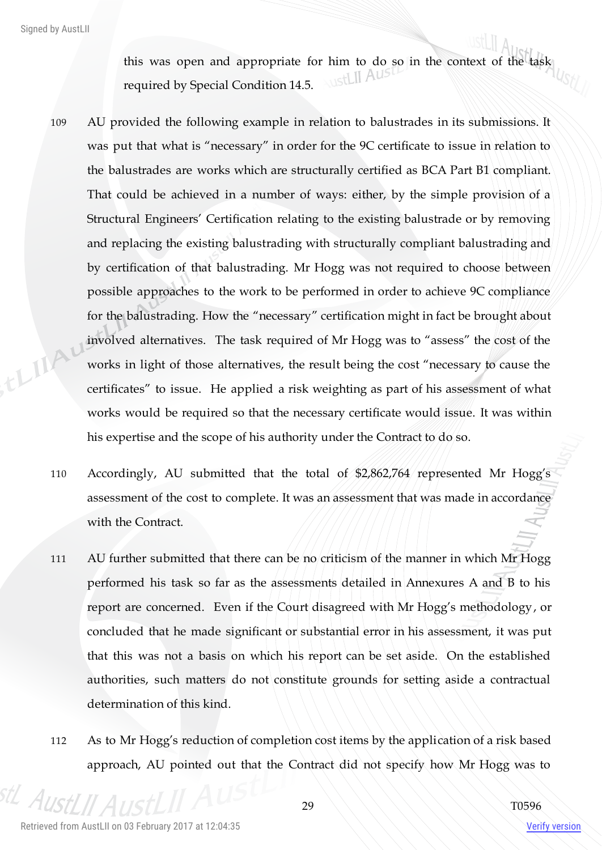this was open and appropriate for him to do so in the context of the task required by Special Condition 14.5.

- 109 AU provided the following example in relation to balustrades in its submissions. It was put that what is "necessary" in order for the 9C certificate to issue in relation to the balustrades are works which are structurally certified as BCA Part B1 compliant. That could be achieved in a number of ways: either, by the simple provision of a Structural Engineers' Certification relating to the existing balustrade or by removing and replacing the existing balustrading with structurally compliant balustrading and by certification of that balustrading. Mr Hogg was not required to choose between possible approaches to the work to be performed in order to achieve 9C compliance for the balustrading. How the "necessary" certification might in fact be brought about things involved alternatives. The task required of Mr Hogg was to "assess" the cost of the works in light of those alternatives, the result being the cost "necessary to cause the certificates" to issue. He applied a risk weighting as part of his assessment of what works would be required so that the necessary certificate would issue. It was within his expertise and the scope of his authority under the Contract to do so.
	- 110 Accordingly, AU submitted that the total of \$2,862,764 represented Mr Hogg's assessment of the cost to complete. It was an assessment that was made in accordance with the Contract.
	- 111 AU further submitted that there can be no criticism of the manner in which Mr Hogg performed his task so far as the assessments detailed in Annexures A and B to his report are concerned. Even if the Court disagreed with Mr Hogg's methodology, or concluded that he made significant or substantial error in his assessment, it was put that this was not a basis on which his report can be set aside. On the established authorities, such matters do not constitute grounds for setting aside a contractual determination of this kind.
	- 112 As to Mr Hogg's reduction of completion cost items by the application of a risk based approach, AU pointed out that the Contract did not specify how Mr Hogg was to

 $A_{II}$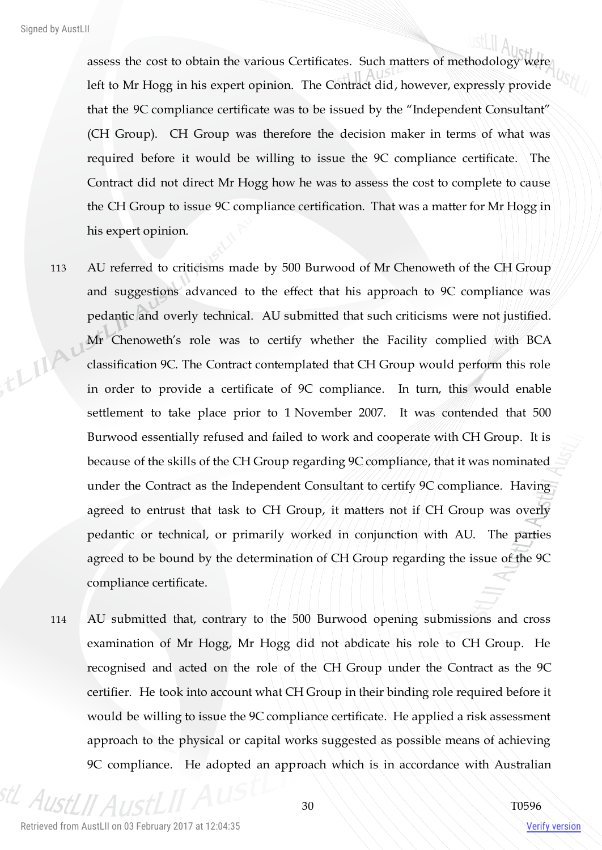assess the cost to obtain the various Certificates. Such matters of methodology were left to Mr Hogg in his expert opinion. The Contract did, however, expressly provide that the 9C compliance certificate was to be issued by the "Independent Consultant" (CH Group). CH Group was therefore the decision maker in terms of what was required before it would be willing to issue the 9C compliance certificate. The Contract did not direct Mr Hogg how he was to assess the cost to complete to cause the CH Group to issue 9C compliance certification. That was a matter for Mr Hogg in his expert opinion.

- 113 AU referred to criticisms made by 500 Burwood of Mr Chenoweth of the CH Group and suggestions advanced to the effect that his approach to 9C compliance was pedantic and overly technical. AU submitted that such criticisms were not justified. thinky Mr Chenoweth's role was to certify whether the Facility complied with BCA classification 9C. The Contract contemplated that CH Group would perform this role in order to provide a certificate of 9C compliance. In turn, this would enable settlement to take place prior to 1 November 2007. It was contended that 500 Burwood essentially refused and failed to work and cooperate with CH Group. It is because of the skills of the CH Group regarding 9C compliance, that it was nominated under the Contract as the Independent Consultant to certify 9C compliance. Having agreed to entrust that task to CH Group, it matters not if CH Group was overly pedantic or technical, or primarily worked in conjunction with AU. The parties agreed to be bound by the determination of CH Group regarding the issue of the 9C compliance certificate.
	- 114 AU submitted that, contrary to the 500 Burwood opening submissions and cross examination of Mr Hogg, Mr Hogg did not abdicate his role to CH Group. He recognised and acted on the role of the CH Group under the Contract as the 9C certifier. He took into account what CH Group in their binding role required before it would be willing to issue the 9C compliance certificate. He applied a risk assessment approach to the physical or capital works suggested as possible means of achieving 9C compliance. He adopted an approach which is in accordance with Australian

 $A_{II}$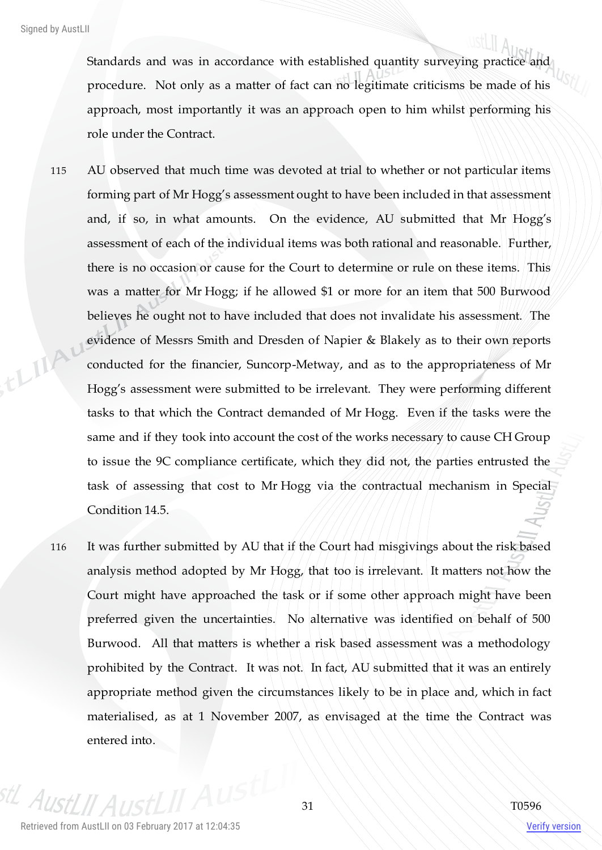Standards and was in accordance with established quantity surveying practice and procedure. Not only as a matter of fact can no legitimate criticisms be made of his approach, most importantly it was an approach open to him whilst performing his role under the Contract.

- 115 AU observed that much time was devoted at trial to whether or not particular items forming part of Mr Hogg's assessment ought to have been included in that assessment and, if so, in what amounts. On the evidence, AU submitted that Mr Hogg's assessment of each of the individual items was both rational and reasonable. Further, there is no occasion or cause for the Court to determine or rule on these items. This was a matter for Mr Hogg; if he allowed \$1 or more for an item that 500 Burwood believes he ought not to have included that does not invalidate his assessment. The think evidence of Messrs Smith and Dresden of Napier & Blakely as to their own reports conducted for the financier, Suncorp-Metway, and as to the appropriateness of Mr Hogg's assessment were submitted to be irrelevant. They were performing different tasks to that which the Contract demanded of Mr Hogg. Even if the tasks were the same and if they took into account the cost of the works necessary to cause CH Group to issue the 9C compliance certificate, which they did not, the parties entrusted the task of assessing that cost to Mr Hogg via the contractual mechanism in Special Condition 14.5.
	- 116 It was further submitted by AU that if the Court had misgivings about the risk based analysis method adopted by Mr Hogg, that too is irrelevant. It matters not how the Court might have approached the task or if some other approach might have been preferred given the uncertainties. No alternative was identified on behalf of 500 Burwood. All that matters is whether a risk based assessment was a methodology prohibited by the Contract. It was not. In fact, AU submitted that it was an entirely appropriate method given the circumstances likely to be in place and, which in fact materialised, as at 1 November 2007, as envisaged at the time the Contract was entered into.

 $A$ II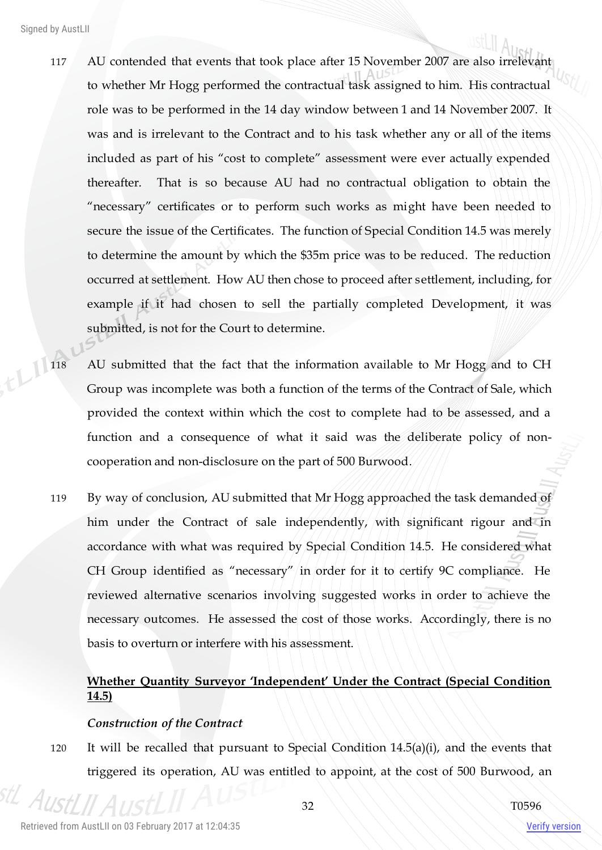- 117 AU contended that events that took place after 15 November 2007 are also irrelevant to whether Mr Hogg performed the contractual task assigned to him. His contractual role was to be performed in the 14 day window between 1 and 14 November 2007. It was and is irrelevant to the Contract and to his task whether any or all of the items included as part of his "cost to complete" assessment were ever actually expended thereafter. That is so because AU had no contractual obligation to obtain the "necessary" certificates or to perform such works as might have been needed to secure the issue of the Certificates. The function of Special Condition 14.5 was merely to determine the amount by which the \$35m price was to be reduced. The reduction occurred at settlement. How AU then chose to proceed after settlement, including, for example if it had chosen to sell the partially completed Development, it was submitted, is not for the Court to determine.
- 118 AU submitted that the fact that the information available to Mr Hogg and to CH Group was incomplete was both a function of the terms of the Contract of Sale, which provided the context within which the cost to complete had to be assessed, and a function and a consequence of what it said was the deliberate policy of noncooperation and non-disclosure on the part of 500 Burwood.
	- 119 By way of conclusion, AU submitted that Mr Hogg approached the task demanded of him under the Contract of sale independently, with significant rigour and in accordance with what was required by Special Condition 14.5. He considered what CH Group identified as "necessary" in order for it to certify 9C compliance. He reviewed alternative scenarios involving suggested works in order to achieve the necessary outcomes. He assessed the cost of those works. Accordingly, there is no basis to overturn or interfere with his assessment.

# **Whether Quantity Surveyor 'Independent' Under the Contract (Special Condition 14.5)**

#### *Construction of the Contract*

120 It will be recalled that pursuant to Special Condition 14.5(a)(i), and the events that triggered its operation, AU was entitled to appoint, at the cost of 500 Burwood, an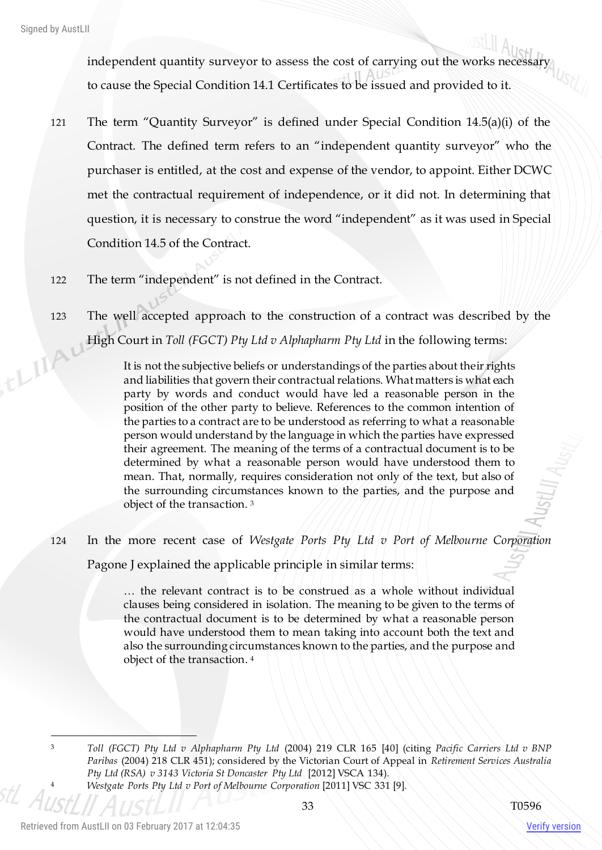independent quantity surveyor to assess the cost of carrying out the works necessary to cause the Special Condition 14.1 Certificates to be issued and provided to it.

- 121 The term "Quantity Surveyor" is defined under Special Condition 14.5(a)(i) of the Contract. The defined term refers to an "independent quantity surveyor" who the purchaser is entitled, at the cost and expense of the vendor, to appoint. Either DCWC met the contractual requirement of independence, or it did not. In determining that question, it is necessary to construe the word "independent" as it was used in Special Condition 14.5 of the Contract.
- 122 The term "independent" is not defined in the Contract.
- 123 The well accepted approach to the construction of a contract was described by the thing High Court in *Toll (FGCT) Pty Ltd v Alphapharm Pty Ltd* in the following terms:

It is not the subjective beliefs or understandings of the parties about their rights and liabilities that govern their contractual relations. What matters is what each party by words and conduct would have led a reasonable person in the position of the other party to believe. References to the common intention of the parties to a contract are to be understood as referring to what a reasonable person would understand by the language in which the parties have expressed their agreement. The meaning of the terms of a contractual document is to be determined by what a reasonable person would have understood them to mean. That, normally, requires consideration not only of the text, but also of the surrounding circumstances known to the parties, and the purpose and object of the transaction. <sup>3</sup>

124 In the more recent case of *Westgate Ports Pty Ltd v Port of Melbourne Corporation*

Pagone J explained the applicable principle in similar terms:

 $\ldots$  the relevant contract is to be construed as a whole without individual clauses being considered in isolation. The meaning to be given to the terms of the contractual document is to be determined by what a reasonable person would have understood them to mean taking into account both the text and also the surrounding circumstances known to the parties, and the purpose and object of the transaction. 4

 $\overline{a}$ 

<sup>3</sup> *Toll (FGCT) Pty Ltd v Alphapharm Pty Ltd* (2004) 219 CLR 165 [40] (citing *Pacific Carriers Ltd v BNP Paribas* (2004) 218 CLR 451); considered by the Victorian Court of Appeal in *Retirement Services Australia Pty Ltd (RSA) v 3143 Victoria St Doncaster Pty Ltd* [2012] VSCA 134).

<sup>4</sup> *Westgate Ports Pty Ltd v Port of Melbourne Corporation* [2011] VSC 331 [9].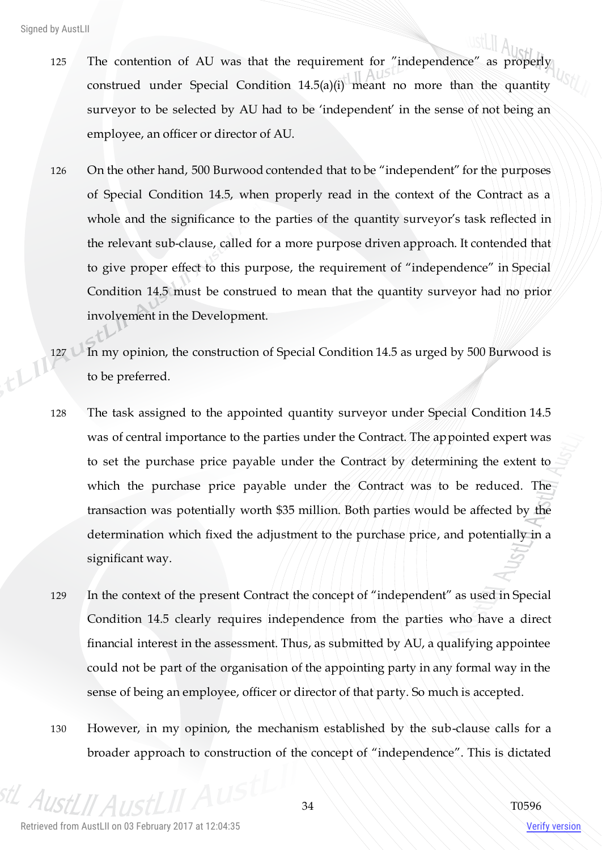- 125 The contention of AU was that the requirement for "independence" as properly construed under Special Condition 14.5(a)(i) meant no more than the quantity surveyor to be selected by AU had to be 'independent' in the sense of not being an employee, an officer or director of AU.
- 126 On the other hand, 500 Burwood contended that to be "independent" for the purposes of Special Condition 14.5, when properly read in the context of the Contract as a whole and the significance to the parties of the quantity surveyor's task reflected in the relevant sub-clause, called for a more purpose driven approach. It contended that to give proper effect to this purpose, the requirement of "independence" in Special Condition 14.5 must be construed to mean that the quantity surveyor had no prior involvement in the Development.
- 127 In my opinion, the construction of Special Condition 14.5 as urged by 500 Burwood is to be preferred.
- 128 The task assigned to the appointed quantity surveyor under Special Condition 14.5 was of central importance to the parties under the Contract. The appointed expert was to set the purchase price payable under the Contract by determining the extent to which the purchase price payable under the Contract was to be reduced. The transaction was potentially worth \$35 million. Both parties would be affected by the determination which fixed the adjustment to the purchase price, and potentially in a significant way.
- 129 In the context of the present Contract the concept of "independent" as used in Special Condition 14.5 clearly requires independence from the parties who have a direct financial interest in the assessment. Thus, as submitted by AU, a qualifying appointee could not be part of the organisation of the appointing party in any formal way in the sense of being an employee, officer or director of that party. So much is accepted.
- 130 However, in my opinion, the mechanism established by the sub-clause calls for a broader approach to construction of the concept of "independence". This is dictated

 $A_L$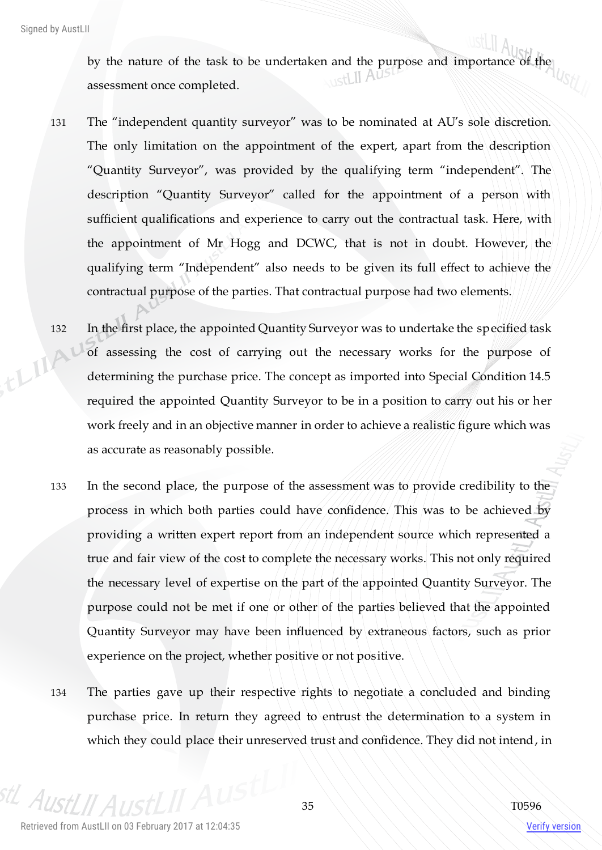by the nature of the task to be undertaken and the purpose and importance of the assessment once completed.

- 131 The "independent quantity surveyor" was to be nominated at AU's sole discretion. The only limitation on the appointment of the expert, apart from the description "Quantity Surveyor", was provided by the qualifying term "independent". The description "Quantity Surveyor" called for the appointment of a person with sufficient qualifications and experience to carry out the contractual task. Here, with the appointment of Mr Hogg and DCWC, that is not in doubt. However, the qualifying term "Independent" also needs to be given its full effect to achieve the contractual purpose of the parties. That contractual purpose had two elements.
- 132 In the first place, the appointed Quantity Surveyor was to undertake the specified task<br>of assessing the cost of carrying out the necessary works for the purpose of<br>determining the purchase price.  $T$ of assessing the cost of carrying out the necessary works for the purpose of determining the purchase price. The concept as imported into Special Condition 14.5 required the appointed Quantity Surveyor to be in a position to carry out his or her work freely and in an objective manner in order to achieve a realistic figure which was as accurate as reasonably possible.
	- 133 In the second place, the purpose of the assessment was to provide credibility to the process in which both parties could have confidence. This was to be achieved by providing a written expert report from an independent source which represented a true and fair view of the cost to complete the necessary works. This not only required the necessary level of expertise on the part of the appointed Quantity Surveyor. The purpose could not be met if one or other of the parties believed that the appointed Quantity Surveyor may have been influenced by extraneous factors, such as prior experience on the project, whether positive or not positive.
	- 134 The parties gave up their respective rights to negotiate a concluded and binding purchase price. In return they agreed to entrust the determination to a system in which they could place their unreserved trust and confidence. They did not intend, in

 $A_{I}$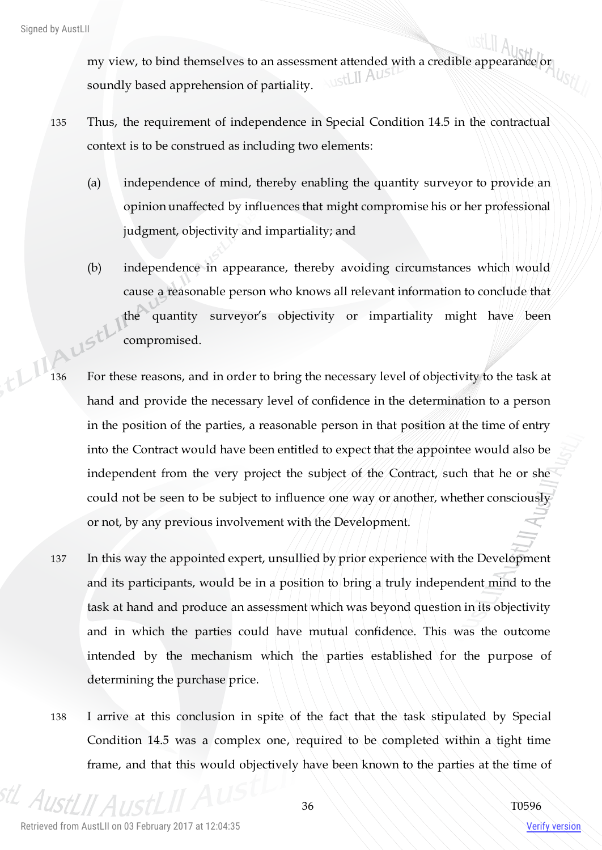my view, to bind themselves to an assessment attended with a credible appearance or soundly based apprehension of partiality.

- 135 Thus, the requirement of independence in Special Condition 14.5 in the contractual context is to be construed as including two elements:
	- (a) independence of mind, thereby enabling the quantity surveyor to provide an opinion unaffected by influences that might compromise his or her professional judgment, objectivity and impartiality; and
- (b) independence in appearance, thereby avoiding circumstances which would cause a reasonable person who knows all relevant information to conclude that the quantity surveyor's objectivity or impartiality might have been AUStl compromised.
- 136 For these reasons, and in order to bring the necessary level of objectivity to the task at hand and provide the necessary level of confidence in the determination to a person in the position of the parties, a reasonable person in that position at the time of entry into the Contract would have been entitled to expect that the appointee would also be independent from the very project the subject of the Contract, such that he or she could not be seen to be subject to influence one way or another, whether consciously or not, by any previous involvement with the Development.
- 137 In this way the appointed expert, unsullied by prior experience with the Development and its participants, would be in a position to bring a truly independent mind to the task at hand and produce an assessment which was beyond question in its objectivity and in which the parties could have mutual confidence. This was the outcome intended by the mechanism which the parties established for the purpose of determining the purchase price.
- 138 I arrive at this conclusion in spite of the fact that the task stipulated by Special Condition 14.5 was a complex one, required to be completed within a tight time frame, and that this would objectively have been known to the parties at the time of

 $A_{II}$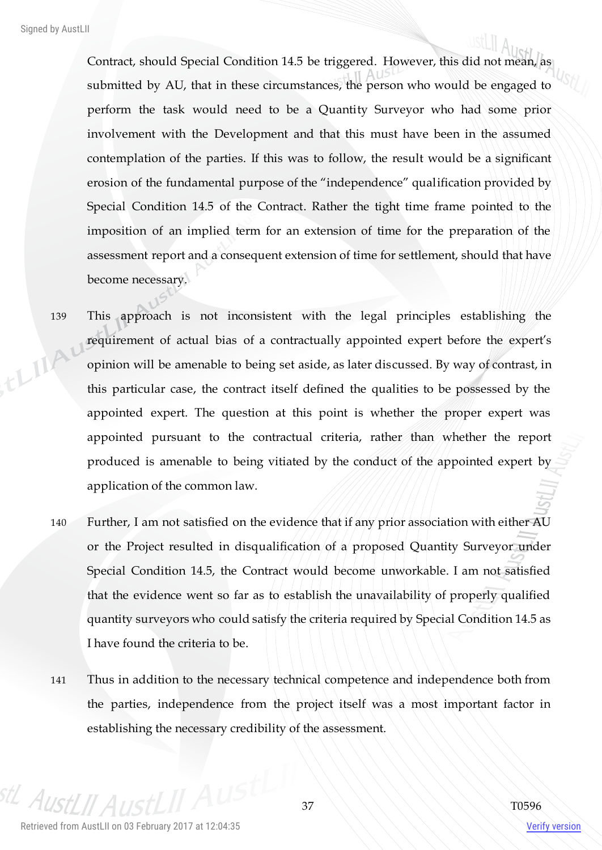Contract, should Special Condition 14.5 be triggered. However, this did not mean, as submitted by AU, that in these circumstances, the person who would be engaged to perform the task would need to be a Quantity Surveyor who had some prior involvement with the Development and that this must have been in the assumed contemplation of the parties. If this was to follow, the result would be a significant erosion of the fundamental purpose of the "independence" qualification provided by Special Condition 14.5 of the Contract. Rather the tight time frame pointed to the imposition of an implied term for an extension of time for the preparation of the assessment report and a consequent extension of time for settlement, should that have become necessary.

- 139 This approach is not inconsistent with the legal principles establishing the requirement of actual bias of a contractually appointed expert before the expert's ELIA opinion will be amenable to being set aside, as later discussed. By way of contrast, in this particular case, the contract itself defined the qualities to be possessed by the appointed expert. The question at this point is whether the proper expert was appointed pursuant to the contractual criteria, rather than whether the report produced is amenable to being vitiated by the conduct of the appointed expert by application of the common law.
	- 140 Further, I am not satisfied on the evidence that if any prior association with either AU or the Project resulted in disqualification of a proposed Quantity Surveyor under Special Condition 14.5, the Contract would become unworkable. I am not satisfied that the evidence went so far as to establish the unavailability of properly qualified quantity surveyors who could satisfy the criteria required by Special Condition 14.5 as I have found the criteria to be.
	- 141 Thus in addition to the necessary technical competence and independence both from the parties, independence from the project itself was a most important factor in establishing the necessary credibility of the assessment.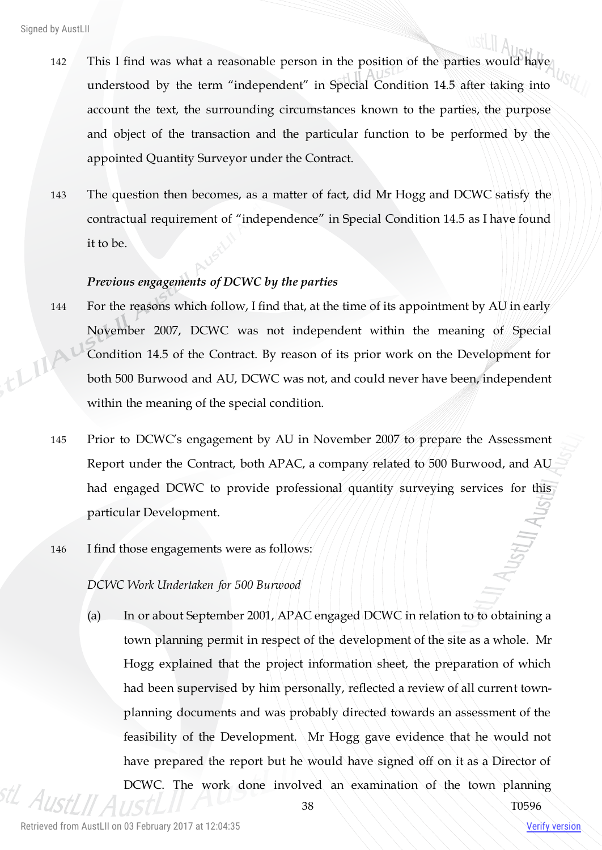- 142 This I find was what a reasonable person in the position of the parties would have understood by the term "independent" in Special Condition 14.5 after taking into account the text, the surrounding circumstances known to the parties, the purpose and object of the transaction and the particular function to be performed by the appointed Quantity Surveyor under the Contract.
- 143 The question then becomes, as a matter of fact, did Mr Hogg and DCWC satisfy the contractual requirement of "independence" in Special Condition 14.5 as I have found it to be.

# *Previous engagements of DCWC by the parties*

- 144 For the reasons which follow, I find that, at the time of its appointment by AU in early November 2007, DCWC was not independent within the meaning of Special thing Condition 14.5 of the Contract. By reason of its prior work on the Development for both 500 Burwood and AU, DCWC was not, and could never have been, independent within the meaning of the special condition.
	- 145 Prior to DCWC's engagement by AU in November 2007 to prepare the Assessment Report under the Contract, both APAC, a company related to 500 Burwood, and AU had engaged DCWC to provide professional quantity surveying services for this particular Development.
	- 146 I find those engagements were as follows:

## *DCWC Work Undertaken for 500 Burwood*

(a) In or about September 2001, APAC engaged DCWC in relation to to obtaining a town planning permit in respect of the development of the site as a whole. Mr Hogg explained that the project information sheet, the preparation of which had been supervised by him personally, reflected a review of all current townplanning documents and was probably directed towards an assessment of the feasibility of the Development. Mr Hogg gave evidence that he would not have prepared the report but he would have signed off on it as a Director of DCWC. The work done involved an examination of the town planning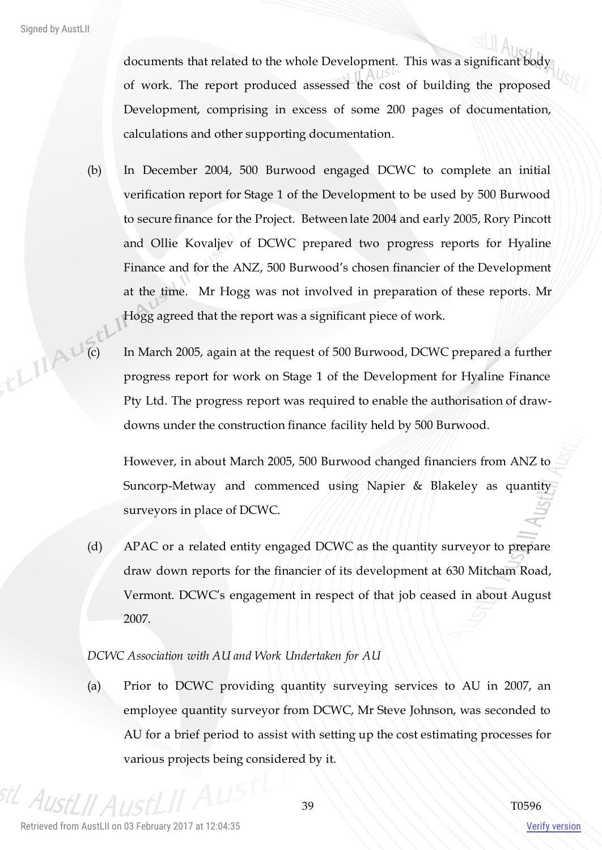documents that related to the whole Development. This was a significant body of work. The report produced assessed the cost of building the proposed Development, comprising in excess of some 200 pages of documentation, calculations and other supporting documentation.

- (b) In December 2004, 500 Burwood engaged DCWC to complete an initial verification report for Stage 1 of the Development to be used by 500 Burwood to secure finance for the Project. Between late 2004 and early 2005, Rory Pincott and Ollie Kovaljev of DCWC prepared two progress reports for Hyaline Finance and for the ANZ, 500 Burwood's chosen financier of the Development at the time. Mr Hogg was not involved in preparation of these reports. Mr Hogg agreed that the report was a significant piece of work.
- (c) In March 2005, again at the request of 500 Burwood, DCWC prepared a further progress report for work on State 1, 1979. progress report for work on Stage 1 of the Development for Hyaline Finance Pty Ltd. The progress report was required to enable the authorisation of drawdowns under the construction finance facility held by 500 Burwood.

However, in about March 2005, 500 Burwood changed financiers from ANZ to Suncorp-Metway and commenced using Napier & Blakeley as quantity surveyors in place of DCWC.

(d) APAC or a related entity engaged DCWC as the quantity surveyor to prepare draw down reports for the financier of its development at 630 Mitcham Road, Vermont. DCWC's engagement in respect of that job ceased in about August 2007.

## *DCWC Association with AU and Work Undertaken for AU*

(a) Prior to DCWC providing quantity surveying services to AU in 2007, an employee quantity surveyor from DCWC, Mr Steve Johnson, was seconded to AU for a brief period to assist with setting up the cost estimating processes for various projects being considered by it.

 $A_{I}$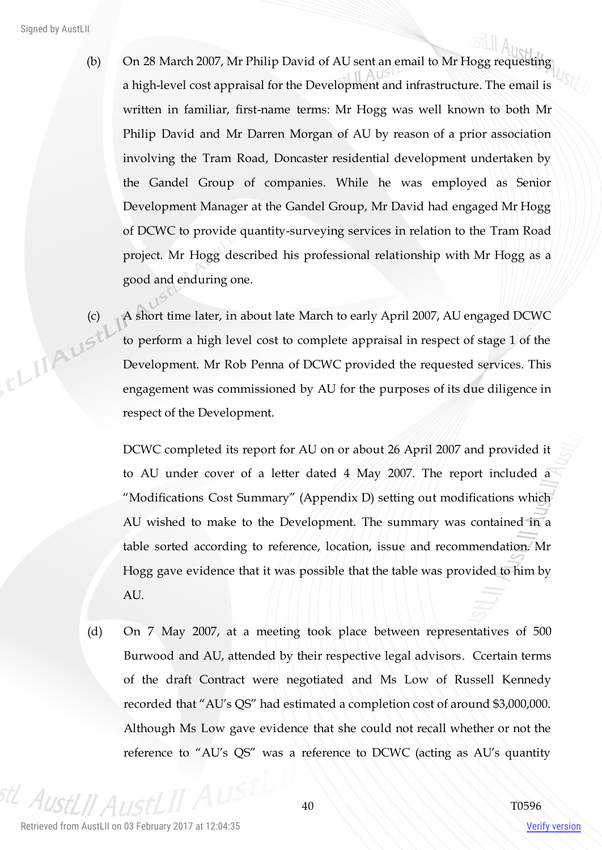- (b) On 28 March 2007, Mr Philip David of AU sent an email to Mr Hogg requesting a high-level cost appraisal for the Development and infrastructure. The email is written in familiar, first-name terms: Mr Hogg was well known to both Mr Philip David and Mr Darren Morgan of AU by reason of a prior association involving the Tram Road, Doncaster residential development undertaken by the Gandel Group of companies. While he was employed as Senior Development Manager at the Gandel Group, Mr David had engaged Mr Hogg of DCWC to provide quantity-surveying services in relation to the Tram Road project. Mr Hogg described his professional relationship with Mr Hogg as a good and enduring one.
- (c) A short time later, in about late March to early April 2007, AU engaged DCWC to perform a high level cost to complete appraisal in respect of stage 1 of the Development. Mr Rob Penna of DCWC to perform a high level cost to complete appraisal in respect of stage 1 of the Development. Mr Rob Penna of DCWC provided the requested services. This engagement was commissioned by AU for the purposes of its due diligence in respect of the Development.

DCWC completed its report for AU on or about 26 April 2007 and provided it to AU under cover of a letter dated 4 May 2007. The report included a "Modifications Cost Summary" (Appendix D) setting out modifications which AU wished to make to the Development. The summary was contained in a table sorted according to reference, location, issue and recommendation. Mr Hogg gave evidence that it was possible that the table was provided to him by AU.

(d) On 7 May 2007, at a meeting took place between representatives of 500 Burwood and AU, attended by their respective legal advisors. Ccertain terms of the draft Contract were negotiated and Ms Low of Russell Kennedy recorded that "AU's QS" had estimated a completion cost of around \$3,000,000. Although Ms Low gave evidence that she could not recall whether or not the reference to "AU's QS" was a reference to DCWC (acting as AU's quantity

 $A_{II}$ 

Verify version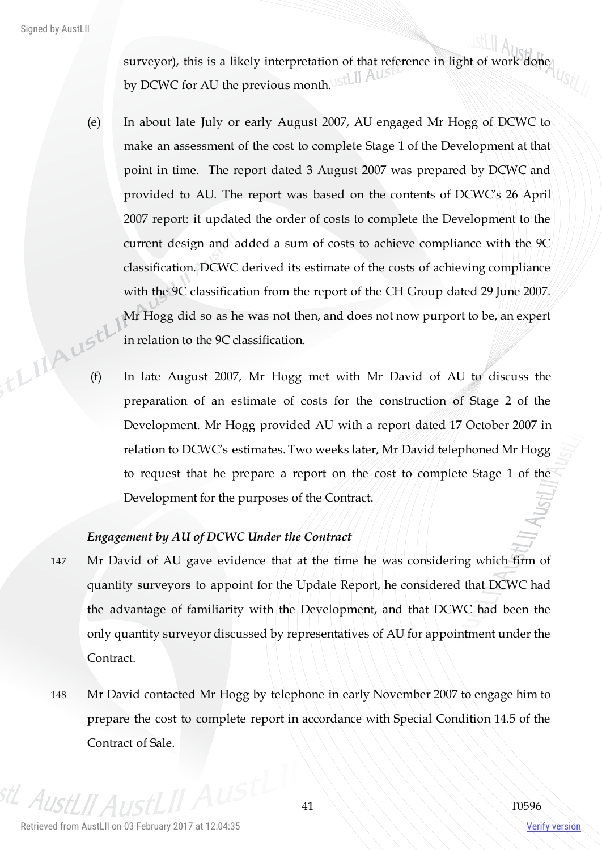surveyor), this is a likely interpretation of that reference in light of work done by DCWC for AU the previous month. IStLII AUST

- (e) In about late July or early August 2007, AU engaged Mr Hogg of DCWC to make an assessment of the cost to complete Stage 1 of the Development at that point in time. The report dated 3 August 2007 was prepared by DCWC and provided to AU. The report was based on the contents of DCWC's 26 April 2007 report: it updated the order of costs to complete the Development to the current design and added a sum of costs to achieve compliance with the 9C classification. DCWC derived its estimate of the costs of achieving compliance with the 9C classification from the report of the CH Group dated 29 June 2007. Mr Hogg did so as he was not then, and does not now purport to be, an expert in relation to the 9C classification. Example 1<br>
(f) In late August 2007, Mr Hogg met with Mr David of AU to discuss the
	- preparation of an estimate of costs for the construction of Stage 2 of the Development. Mr Hogg provided AU with a report dated 17 October 2007 in relation to DCWC's estimates. Two weeks later, Mr David telephoned Mr Hogg to request that he prepare a report on the cost to complete Stage 1 of the Development for the purposes of the Contract.

# *Engagement by AU of DCWC Under the Contract*

- 147 Mr David of AU gave evidence that at the time he was considering which firm of quantity surveyors to appoint for the Update Report, he considered that DCWC had the advantage of familiarity with the Development, and that DCWC had been the only quantity surveyor discussed by representatives of AU for appointment under the Contract.
- 148 Mr David contacted Mr Hogg by telephone in early November 2007 to engage him to prepare the cost to complete report in accordance with Special Condition 14.5 of the Contract of Sale.

 $A_{I}$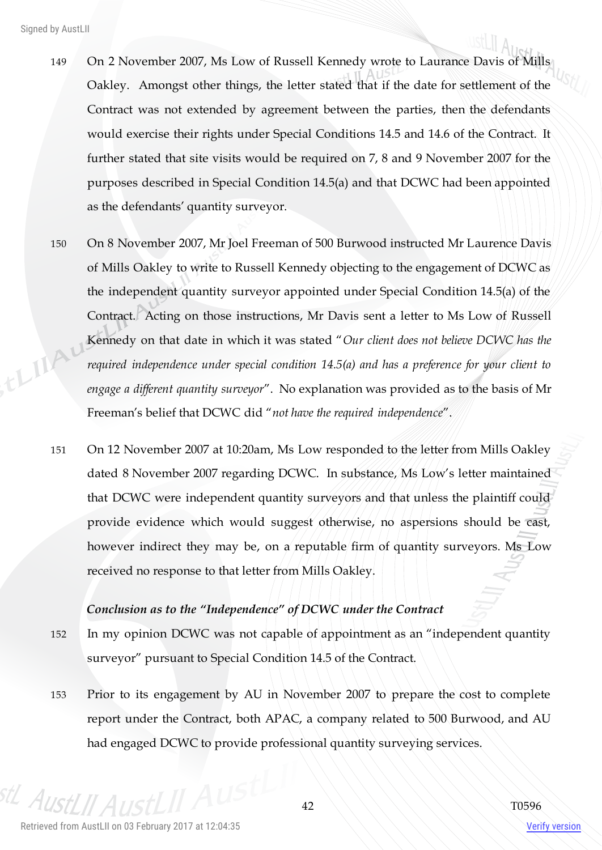- 149 On 2 November 2007, Ms Low of Russell Kennedy wrote to Laurance Davis of Mills Oakley. Amongst other things, the letter stated that if the date for settlement of the Contract was not extended by agreement between the parties, then the defendants would exercise their rights under Special Conditions 14.5 and 14.6 of the Contract. It further stated that site visits would be required on 7, 8 and 9 November 2007 for the purposes described in Special Condition 14.5(a) and that DCWC had been appointed as the defendants' quantity surveyor.
- 150 On 8 November 2007, Mr Joel Freeman of 500 Burwood instructed Mr Laurence Davis of Mills Oakley to write to Russell Kennedy objecting to the engagement of DCWC as the independent quantity surveyor appointed under Special Condition 14.5(a) of the Contract. Acting on those instructions, Mr Davis sent a letter to Ms Low of Russell think Kennedy on that date in which it was stated "*Our client does not believe DCWC has the required independence under special condition 14.5(a) and has a preference for your client to engage a different quantity surveyor*". No explanation was provided as to the basis of Mr Freeman's belief that DCWC did "*not have the required independence*".
	- 151 On 12 November 2007 at 10:20am, Ms Low responded to the letter from Mills Oakley dated 8 November 2007 regarding DCWC. In substance, Ms Low's letter maintained that DCWC were independent quantity surveyors and that unless the plaintiff could provide evidence which would suggest otherwise, no aspersions should be cast, however indirect they may be, on a reputable firm of quantity surveyors. Ms Low received no response to that letter from Mills Oakley.

## *Conclusion as to the "Independence" of DCWC under the Contract*

- 152 In my opinion DCWC was not capable of appointment as an "independent quantity surveyor" pursuant to Special Condition 14.5 of the Contract.
- 153 Prior to its engagement by AU in November 2007 to prepare the cost to complete report under the Contract, both APAC, a company related to 500 Burwood, and AU had engaged DCWC to provide professional quantity surveying services.

 $A_{II}$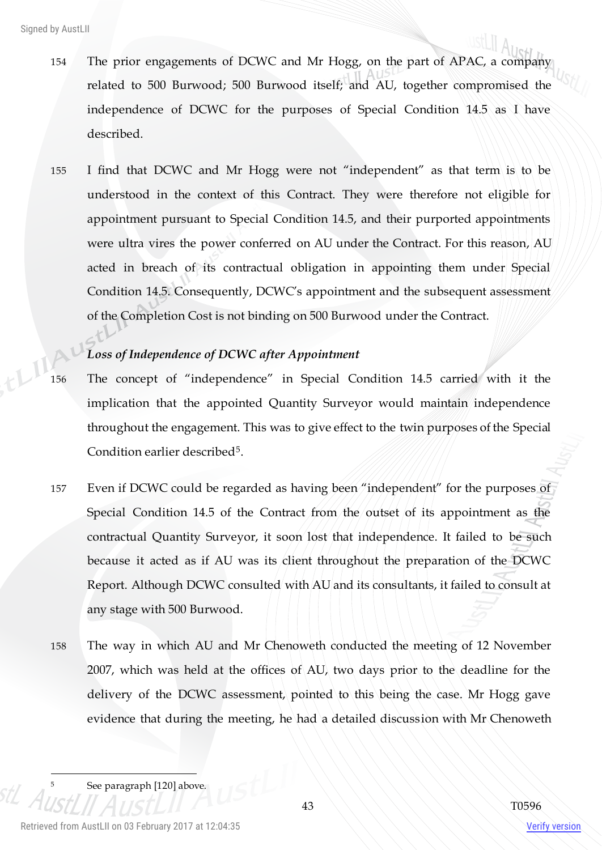- 154 The prior engagements of DCWC and Mr Hogg, on the part of APAC, a company related to 500 Burwood; 500 Burwood itself; and AU, together compromised the independence of DCWC for the purposes of Special Condition 14.5 as I have described.
- 155 I find that DCWC and Mr Hogg were not "independent" as that term is to be understood in the context of this Contract. They were therefore not eligible for appointment pursuant to Special Condition 14.5, and their purported appointments were ultra vires the power conferred on AU under the Contract. For this reason, AU acted in breach of its contractual obligation in appointing them under Special Condition 14.5. Consequently, DCWC's appointment and the subsequent assessment of the Completion Cost is not binding on 500 Burwood under the Contract.

# *Loss of Independence of DCWC after Appointment*

- 156 The concept of "independence" in Special Condition 14.5 carried with it the implication that the appointed Quantity Surveyor would maintain independence throughout the engagement. This was to give effect to the twin purposes of the Special Condition earlier described<sup>5</sup>.
- 157 Even if DCWC could be regarded as having been "independent" for the purposes of Special Condition 14.5 of the Contract from the outset of its appointment as the contractual Quantity Surveyor, it soon lost that independence. It failed to be such because it acted as if AU was its client throughout the preparation of the DCWC Report. Although DCWC consulted with AU and its consultants, it failed to consult at any stage with 500 Burwood.
- 158 The way in which AU and Mr Chenoweth conducted the meeting of 12 November 2007, which was held at the offices of AU, two days prior to the deadline for the delivery of the DCWC assessment, pointed to this being the case. Mr Hogg gave evidence that during the meeting, he had a detailed discussion with Mr Chenoweth

See paragraph [120] above.

 $\overline{a}$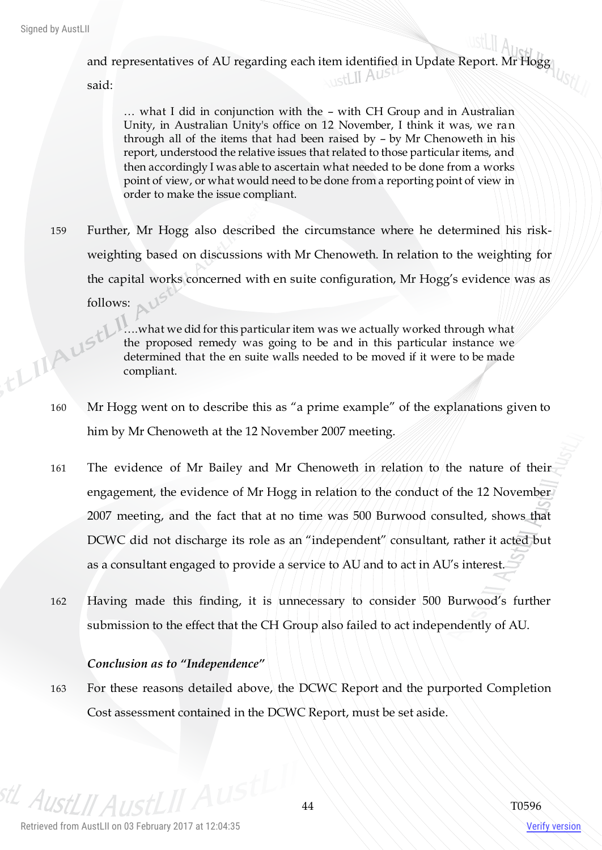, EL IIAUSTI

and representatives of AU regarding each item identified in Update Report. Mr Hogg

said:

… what I did in conjunction with the – with CH Group and in Australian Unity, in Australian Unity's office on 12 November, I think it was, we ran through all of the items that had been raised by – by Mr Chenoweth in his report, understood the relative issues that related to those particular items, and then accordingly I was able to ascertain what needed to be done from a works point of view, or what would need to be done from a reporting point of view in order to make the issue compliant.

159 Further, Mr Hogg also described the circumstance where he determined his riskweighting based on discussions with Mr Chenoweth. In relation to the weighting for the capital works concerned with en suite configuration, Mr Hogg's evidence was as follows:

> ….what we did for this particular item was we actually worked through what the proposed remedy was going to be and in this particular instance we determined that the en suite walls needed to be moved if it were to be made compliant.

- 160 Mr Hogg went on to describe this as "a prime example" of the explanations given to him by Mr Chenoweth at the 12 November 2007 meeting.
- 161 The evidence of Mr Bailey and Mr Chenoweth in relation to the nature of their engagement, the evidence of Mr Hogg in relation to the conduct of the 12 November 2007 meeting, and the fact that at no time was 500 Burwood consulted, shows that DCWC did not discharge its role as an "independent" consultant, rather it acted but as a consultant engaged to provide a service to AU and to act in AU's interest.
- 162 Having made this finding, it is unnecessary to consider 500 Burwood's further submission to the effect that the CH Group also failed to act independently of AU.

## *Conclusion as to "Independence"*

163 For these reasons detailed above, the DCWC Report and the purported Completion Cost assessment contained in the DCWC Report, must be set aside.

<sup>stL</sup> AustLII A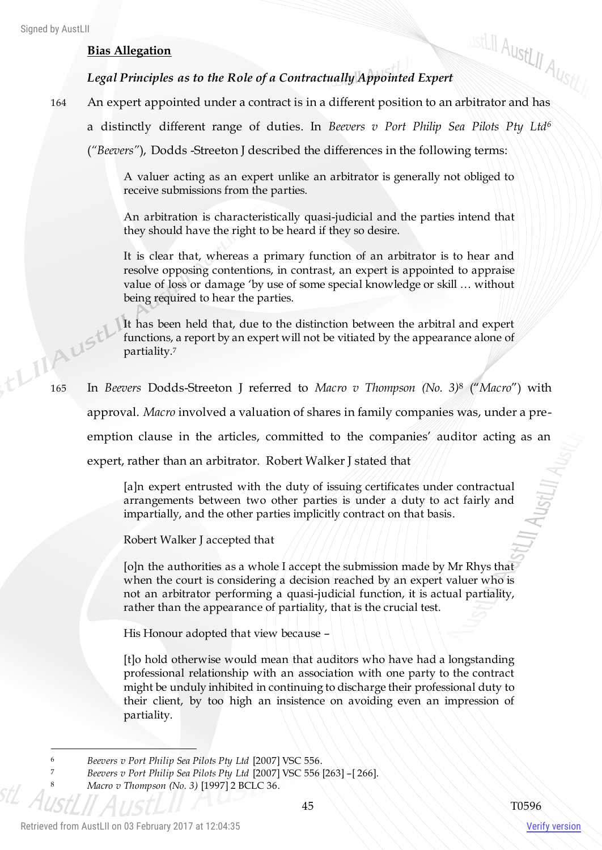# **Bias Allegation**

# *Legal Principles as to the Role of a Contractually Appointed Expert*

- 164 Bias Allegation<br>
164 An expert appointed under a contract is in a different position to an arbitrator and has
	- a distinctly different range of duties. In *Beevers v Port Philip Sea Pilots Pty Ltd<sup>6</sup>*

(*"Beevers"*), Dodds -Streeton J described the differences in the following terms:

A valuer acting as an expert unlike an arbitrator is generally not obliged to receive submissions from the parties.

An arbitration is characteristically quasi-judicial and the parties intend that they should have the right to be heard if they so desire.

It is clear that, whereas a primary function of an arbitrator is to hear and resolve opposing contentions, in contrast, an expert is appointed to appraise value of loss or damage 'by use of some special knowledge or skill … without being required to hear the parties.

It has been held that, due to the distinction between the arbitral and expert functions, a report by an expert will not be vitiated by the appearance alone of partiality.<sup>7</sup> 165 In *Beevers* Dodds-Streeton J referred to *Macro v Thompson (No. 3)*<sup>8</sup> ("*Macro*") with

approval. *Macro* involved a valuation of shares in family companies was, under a preemption clause in the articles, committed to the companies' auditor acting as an expert, rather than an arbitrator. Robert Walker J stated that

> [a]n expert entrusted with the duty of issuing certificates under contractual arrangements between two other parties is under a duty to act fairly and impartially, and the other parties implicitly contract on that basis.

Robert Walker J accepted that

[o]n the authorities as a whole I accept the submission made by Mr Rhys that when the court is considering a decision reached by an expert valuer who is not an arbitrator performing a quasi-judicial function, it is actual partiality, rather than the appearance of partiality, that is the crucial test.

His Honour adopted that view because –

[t]o hold otherwise would mean that auditors who have had a longstanding professional relationship with an association with one party to the contract might be unduly inhibited in continuing to discharge their professional duty to their client, by too high an insistence on avoiding even an impression of partiality.

 $\overline{a}$ 

<sup>6</sup> *Beevers v Port Philip Sea Pilots Pty Ltd* [2007] VSC 556.

<sup>7</sup> *Beevers v Port Philip Sea Pilots Pty Ltd* [2007] VSC 556 [263] –[ 266].

<sup>8</sup> *Macro v Thompson (No. 3)* [1997] 2 BCLC 36.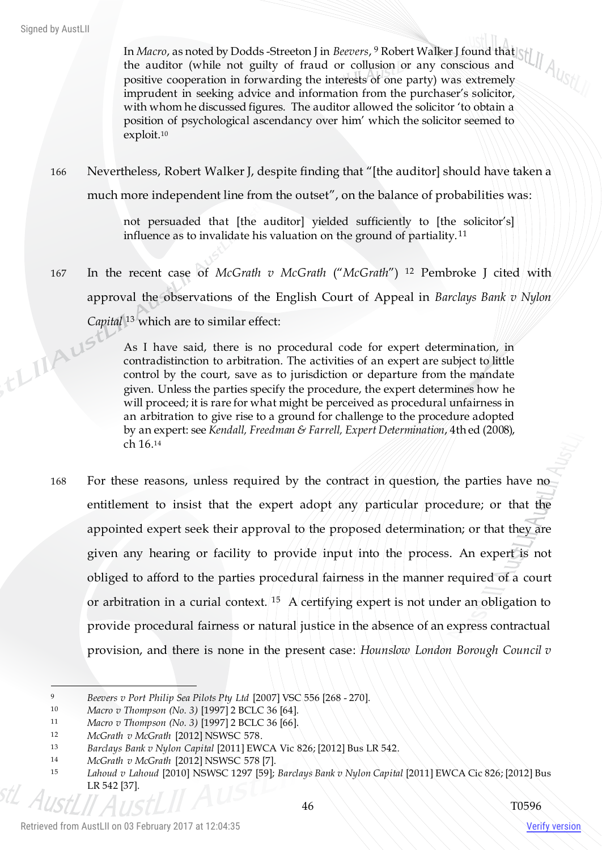In *Macro*, as noted by Dodds -Streeton J in *Beevers*, <sup>9</sup> Robert Walker J found that the auditor (while not guilty of fraud or collusion or any conscious and positive cooperation in forwarding the interests of one party) was extremely imprudent in seeking advice and information from the purchaser's solicitor, with whom he discussed figures. The auditor allowed the solicitor 'to obtain a position of psychological ascendancy over him' which the solicitor seemed to exploit.<sup>10</sup>

166 Nevertheless, Robert Walker J, despite finding that "[the auditor] should have taken a much more independent line from the outset", on the balance of probabilities was:

> not persuaded that [the auditor] yielded sufficiently to [the solicitor's] influence as to invalidate his valuation on the ground of partiality.<sup>11</sup>

167 In the recent case of *McGrath v McGrath* ("*McGrath*") <sup>12</sup> Pembroke J cited with approval the observations of the English Court of Appeal in *Barclays Bank v Nylon* 

Capital<sup>13</sup> which are to similar effect:<br>As I have said, there is no recontradistinction As I have said, there is no procedural code for expert determination, in contradistinction to arbitration. The activities of an expert are subject to little control by the court, save as to jurisdiction or departure from the mandate given. Unless the parties specify the procedure, the expert determines how he will proceed; it is rare for what might be perceived as procedural unfairness in an arbitration to give rise to a ground for challenge to the procedure adopted by an expert: see *Kendall, Freedman & Farrell, Expert Determination*, 4th ed (2008), ch 16.<sup>14</sup>

168 For these reasons, unless required by the contract in question, the parties have no entitlement to insist that the expert adopt any particular procedure; or that the appointed expert seek their approval to the proposed determination; or that they are given any hearing or facility to provide input into the process. An expert is not obliged to afford to the parties procedural fairness in the manner required of a court or arbitration in a curial context. <sup>15</sup> A certifying expert is not under an obligation to provide procedural fairness or natural justice in the absence of an express contractual provision, and there is none in the present case: *Hounslow London Borough Council v* 

 $\overline{a}$ 

<sup>9</sup> *Beevers v Port Philip Sea Pilots Pty Ltd* [2007] VSC 556 [268 - 270].

<sup>10</sup> *Macro v Thompson (No. 3)* [1997] 2 BCLC 36 [64].

<sup>11</sup> *Macro v Thompson (No. 3)* [1997] 2 BCLC 36 [66].

<sup>12</sup> *McGrath v McGrath* [2012] NSWSC 578.

<sup>13</sup> *Barclays Bank v Nylon Capital* [2011] EWCA Vic 826; [2012] Bus LR 542.

<sup>14</sup> *McGrath v McGrath* [2012] NSWSC 578 [7].

<sup>15</sup> *Lahoud v Lahoud* [2010] NSWSC 1297 [59]; *Barclays Bank v Nylon Capital* [2011] EWCA Cic 826; [2012] Bus LR 542 [37].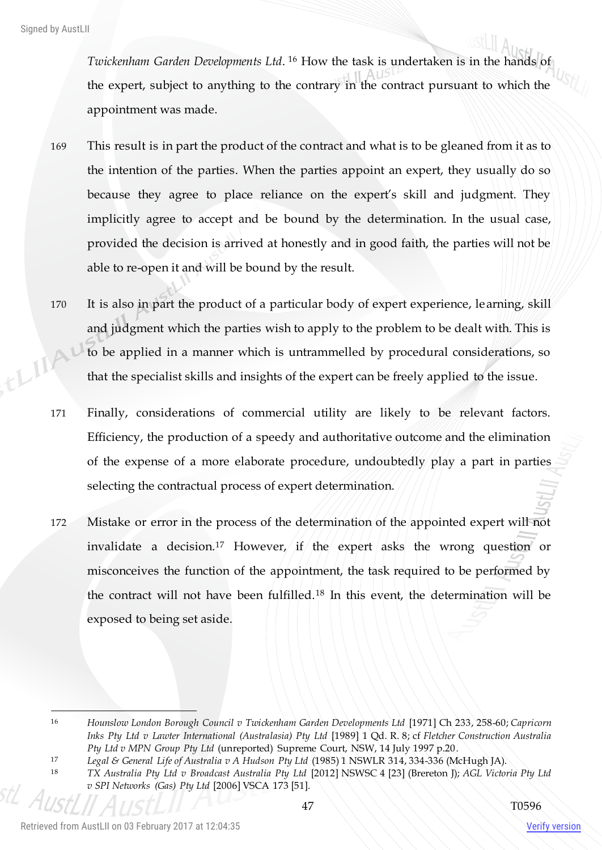Twickenham Garden Developments Ltd. <sup>16</sup> How the task is undertaken is in the hands of the expert, subject to anything to the contrary in the contract pursuant to which the appointment was made.

- 169 This result is in part the product of the contract and what is to be gleaned from it as to the intention of the parties. When the parties appoint an expert, they usually do so because they agree to place reliance on the expert's skill and judgment. They implicitly agree to accept and be bound by the determination. In the usual case, provided the decision is arrived at honestly and in good faith, the parties will not be able to re-open it and will be bound by the result.
- 170 It is also in part the product of a particular body of expert experience, learning, skill and judgment which the parties wish to apply to the problem to be dealt with. This is ELIIA to be applied in a manner which is untrammelled by procedural considerations, so that the specialist skills and insights of the expert can be freely applied to the issue.
	- 171 Finally, considerations of commercial utility are likely to be relevant factors. Efficiency, the production of a speedy and authoritative outcome and the elimination of the expense of a more elaborate procedure, undoubtedly play a part in parties selecting the contractual process of expert determination.
	- 172 Mistake or error in the process of the determination of the appointed expert will not invalidate a decision.<sup>17</sup> However, if the expert asks the wrong question or misconceives the function of the appointment, the task required to be performed by the contract will not have been fulfilled.<sup>18</sup> In this event, the determination will be exposed to being set aside.

<sup>17</sup> *Legal & General Life of Australia v A Hudson Pty Ltd* (1985) 1 NSWLR 314, 334-336 (McHugh JA).

 $\overline{a}$ 

<sup>16</sup> *Hounslow London Borough Council v Twickenham Garden Developments Ltd* [1971] Ch 233, 258-60; *Capricorn Inks Pty Ltd v Lawter International (Australasia) Pty Ltd* [1989] 1 Qd. R. 8; cf *Fletcher Construction Australia Pty Ltd v MPN Group Pty Ltd* (unreported) Supreme Court, NSW, 14 July 1997 p.20.

<sup>18</sup> *TX Australia Pty Ltd v Broadcast Australia Pty Ltd* [2012] NSWSC 4 [23] (Brereton J); *AGL Victoria Pty Ltd v SPI Networks (Gas) Pty Ltd* [2006] VSCA 173 [51].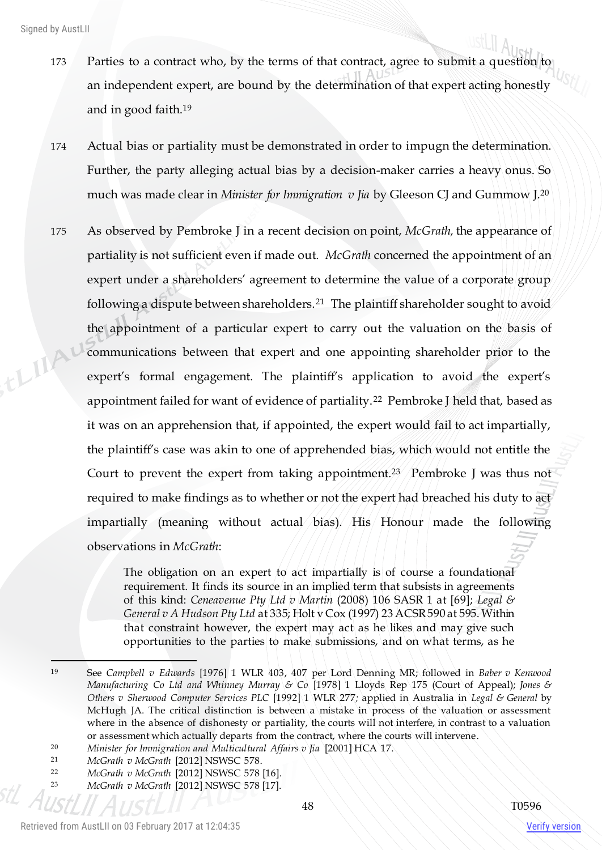- 173 Parties to a contract who, by the terms of that contract, agree to submit a question to an independent expert, are bound by the determination of that expert acting honestly and in good faith.<sup>19</sup>
- 174 Actual bias or partiality must be demonstrated in order to impugn the determination. Further, the party alleging actual bias by a decision-maker carries a heavy onus. So much was made clear in *Minister for Immigration v Jia* by Gleeson CJ and Gummow J.<sup>20</sup>
- 175 As observed by Pembroke J in a recent decision on point, *McGrath,* the appearance of partiality is not sufficient even if made out. *McGrath* concerned the appointment of an expert under a shareholders' agreement to determine the value of a corporate group following a dispute between shareholders.<sup>21</sup> The plaintiff shareholder sought to avoid the appointment of a particular expert to carry out the valuation on the basis of this communications between that expert and one appointing shareholder prior to the expert's formal engagement. The plaintiff's application to avoid the expert's appointment failed for want of evidence of partiality.<sup>22</sup> Pembroke J held that, based as it was on an apprehension that, if appointed, the expert would fail to act impartially, the plaintiff's case was akin to one of apprehended bias, which would not entitle the Court to prevent the expert from taking appointment.<sup>23</sup> Pembroke J was thus not required to make findings as to whether or not the expert had breached his duty to act impartially (meaning without actual bias). His Honour made the following observations in *McGrath*:

The obligation on an expert to act impartially is of course a foundational requirement. It finds its source in an implied term that subsists in agreements of this kind: *Ceneavenue Pty Ltd v Martin* (2008) 106 SASR 1 at [69]; *Legal & General v A Hudson Pty Ltd* at 335; Holt v Cox (1997) 23 ACSR 590 at 595. Within that constraint however, the expert may act as he likes and may give such opportunities to the parties to make submissions, and on what terms, as he

<sup>21</sup> *McGrath v McGrath* [2012] NSWSC 578.

 $\overline{\phantom{0}}$ 

<sup>19</sup> See *Campbell v Edwards* [1976] 1 WLR 403, 407 per Lord Denning MR; followed in *Baber v Kenwood Manufacturing Co Ltd and Whinney Murray & Co* [1978] 1 Lloyds Rep 175 (Court of Appeal); *Jones & Others v Sherwood Computer Services PLC* [1992] 1 WLR 277*;* applied in Australia in *Legal & General* by McHugh JA. The critical distinction is between a mistake in process of the valuation or assessment where in the absence of dishonesty or partiality, the courts will not interfere, in contrast to a valuation or assessment which actually departs from the contract, where the courts will intervene.

<sup>20</sup> *Minister for Immigration and Multicultural Affairs v Jia* [2001] HCA 17.

<sup>22</sup> *McGrath v McGrath* [2012] NSWSC 578 [16].

<sup>23</sup> *McGrath v McGrath* [2012] NSWSC 578 [17].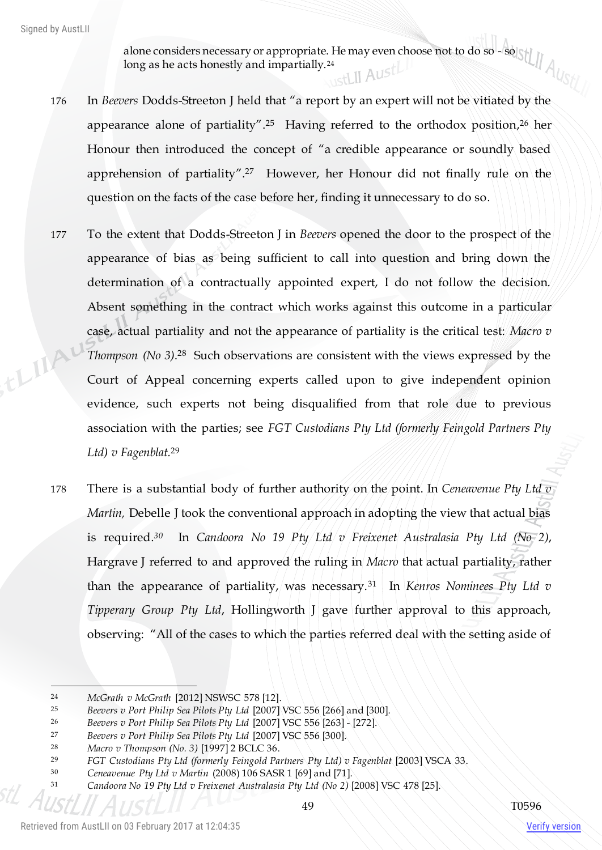alone considers necessary or appropriate. He may even choose not to do so - so long as he acts honestly and impartially.<sup>24</sup>

- 176 In *Beevers* Dodds-Streeton J held that "a report by an expert will not be vitiated by the appearance alone of partiality". <sup>25</sup> Having referred to the orthodox position, <sup>26</sup> her Honour then introduced the concept of "a credible appearance or soundly based apprehension of partiality". <sup>27</sup> However, her Honour did not finally rule on the question on the facts of the case before her, finding it unnecessary to do so.
- 177 To the extent that Dodds-Streeton J in *Beevers* opened the door to the prospect of the appearance of bias as being sufficient to call into question and bring down the determination of a contractually appointed expert, I do not follow the decision. Absent something in the contract which works against this outcome in a particular case, actual partiality and not the appearance of partiality is the critical test: *Macro v*  this *Thompson (No 3)*. <sup>28</sup> Such observations are consistent with the views expressed by the Court of Appeal concerning experts called upon to give independent opinion evidence, such experts not being disqualified from that role due to previous association with the parties; see *FGT Custodians Pty Ltd (formerly Feingold Partners Pty Ltd) v Fagenblat.* 29
	- 178 There is a substantial body of further authority on the point. In *Ceneavenue Pty Ltd v Martin,* Debelle J took the conventional approach in adopting the view that actual bias is required. *<sup>30</sup>* In *Candoora No 19 Pty Ltd v Freixenet Australasia Pty Ltd (No 2)*, Hargrave J referred to and approved the ruling in *Macro* that actual partiality, rather than the appearance of partiality, was necessary.<sup>31</sup> In *Kenros Nominees Pty Ltd v Tipperary Group Pty Ltd*, Hollingworth J gave further approval to this approach, observing: "All of the cases to which the parties referred deal with the setting aside of

 $\overline{a}$ 

<sup>24</sup> *McGrath v McGrath* [2012] NSWSC 578 [12].

<sup>25</sup> *Beevers v Port Philip Sea Pilots Pty Ltd* [2007] VSC 556 [266] and [300].

<sup>26</sup> *Beevers v Port Philip Sea Pilots Pty Ltd* [2007] VSC 556 [263] - [272].

<sup>27</sup> *Beevers v Port Philip Sea Pilots Pty Ltd* [2007] VSC 556 [300].

<sup>28</sup> *Macro v Thompson (No. 3)* [1997] 2 BCLC 36.

<sup>29</sup> *FGT Custodians Pty Ltd (formerly Feingold Partners Pty Ltd) v Fagenblat* [2003] VSCA 33.

<sup>30</sup> *Ceneavenue Pty Ltd v Martin* (2008) 106 SASR 1 [69] and [71].

<sup>31</sup> *Candoora No 19 Pty Ltd v Freixenet Australasia Pty Ltd (No 2)* [2008] VSC 478 [25].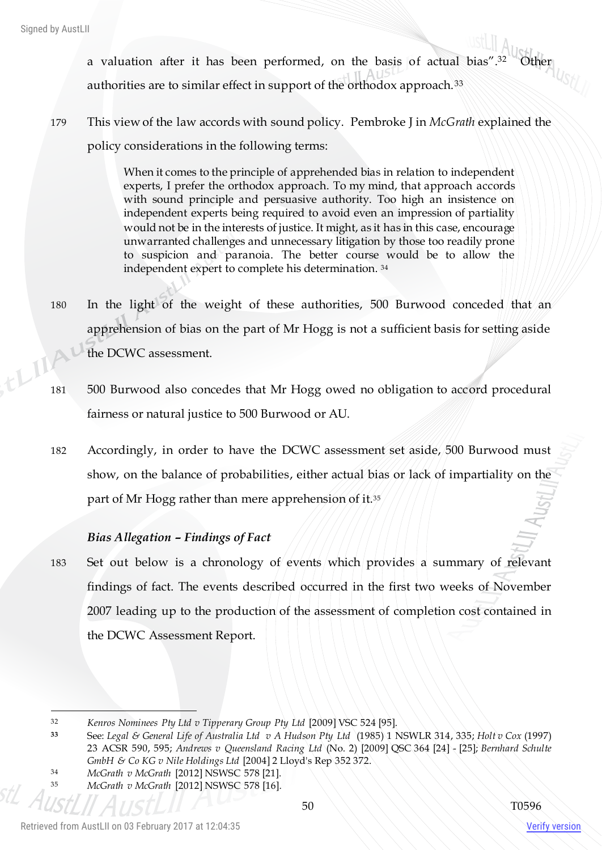a valuation after it has been performed, on the basis of actual bias". Austrier authorities are to similar effect in support of the orthodox approach.<sup>33</sup>

179 This view of the law accords with sound policy. Pembroke J in *McGrath* explained the policy considerations in the following terms:

> When it comes to the principle of apprehended bias in relation to independent experts, I prefer the orthodox approach. To my mind, that approach accords with sound principle and persuasive authority. Too high an insistence on independent experts being required to avoid even an impression of partiality would not be in the interests of justice. It might, as it has in this case, encourage unwarranted challenges and unnecessary litigation by those too readily prone to suspicion and paranoia. The better course would be to allow the independent expert to complete his determination. <sup>34</sup>

- 180 In the light of the weight of these authorities, 500 Burwood conceded that an apprehension of bias on the part of Mr Hogg is not a sufficient basis for setting aside the DCWC assessment.
- 181 500 Burwood also concedes that Mr Hogg owed no obligation to accord procedural fairness or natural justice to 500 Burwood or AU.
- 182 Accordingly, in order to have the DCWC assessment set aside, 500 Burwood must show, on the balance of probabilities, either actual bias or lack of impartiality on the part of Mr Hogg rather than mere apprehension of it.<sup>35</sup>

# *Bias Allegation – Findings of Fact*

183 Set out below is a chronology of events which provides a summary of relevant findings of fact. The events described occurred in the first two weeks of November 2007 leading up to the production of the assessment of completion cost contained in the DCWC Assessment Report.

 $\overline{a}$ 

 $tL^{\Gamma}$ 

<sup>32</sup> *Kenros Nominees Pty Ltd v Tipperary Group Pty Ltd* [2009] VSC 524 [95].

**<sup>33</sup>** See: *Legal & General Life of Australia Ltd v A Hudson Pty Ltd* (1985) 1 NSWLR 314, 335; *Holt v Cox* (1997) 23 ACSR 590, 595; *Andrews v Queensland Racing Ltd* (No. 2) [2009] QSC 364 [24] - [25]; *Bernhard Schulte GmbH & Co KG v Nile Holdings Ltd* [2004] 2 Lloyd's Rep 352 372.

<sup>34</sup> *McGrath v McGrath* [2012] NSWSC 578 [21].

<sup>35</sup> *McGrath v McGrath* [2012] NSWSC 578 [16].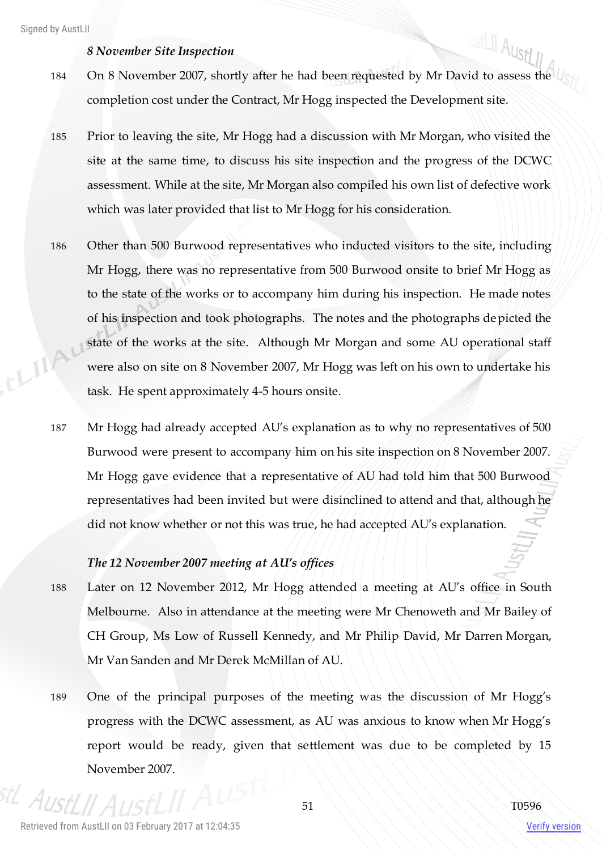### *8 November Site Inspection*

- 184 On 8 November 2007, shortly after he had been requested by Mr David to assess the completion cost under the Contract, Mr Hogg inspected the Development site.
- 185 Prior to leaving the site, Mr Hogg had a discussion with Mr Morgan, who visited the site at the same time, to discuss his site inspection and the progress of the DCWC assessment. While at the site, Mr Morgan also compiled his own list of defective work which was later provided that list to Mr Hogg for his consideration.
- 186 Other than 500 Burwood representatives who inducted visitors to the site, including Mr Hogg, there was no representative from 500 Burwood onsite to brief Mr Hogg as to the state of the works or to accompany him during his inspection. He made notes of his inspection and took photographs. The notes and the photographs depicted the thinky state of the works at the site. Although Mr Morgan and some AU operational staff were also on site on 8 November 2007, Mr Hogg was left on his own to undertake his task. He spent approximately 4-5 hours onsite.
	- 187 Mr Hogg had already accepted AU's explanation as to why no representatives of 500 Burwood were present to accompany him on his site inspection on 8 November 2007. Mr Hogg gave evidence that a representative of AU had told him that 500 Burwood representatives had been invited but were disinclined to attend and that, although he did not know whether or not this was true, he had accepted AU's explanation.

## *The 12 November 2007 meeting at AU's offices*

- 188 Later on 12 November 2012, Mr Hogg attended a meeting at AU's office in South Melbourne. Also in attendance at the meeting were Mr Chenoweth and Mr Bailey of CH Group, Ms Low of Russell Kennedy, and Mr Philip David, Mr Darren Morgan, Mr Van Sanden and Mr Derek McMillan of AU.
- 189 One of the principal purposes of the meeting was the discussion of Mr Hogg's progress with the DCWC assessment, as AU was anxious to know when Mr Hogg's report would be ready, given that settlement was due to be completed by 15 November 2007.

Verify version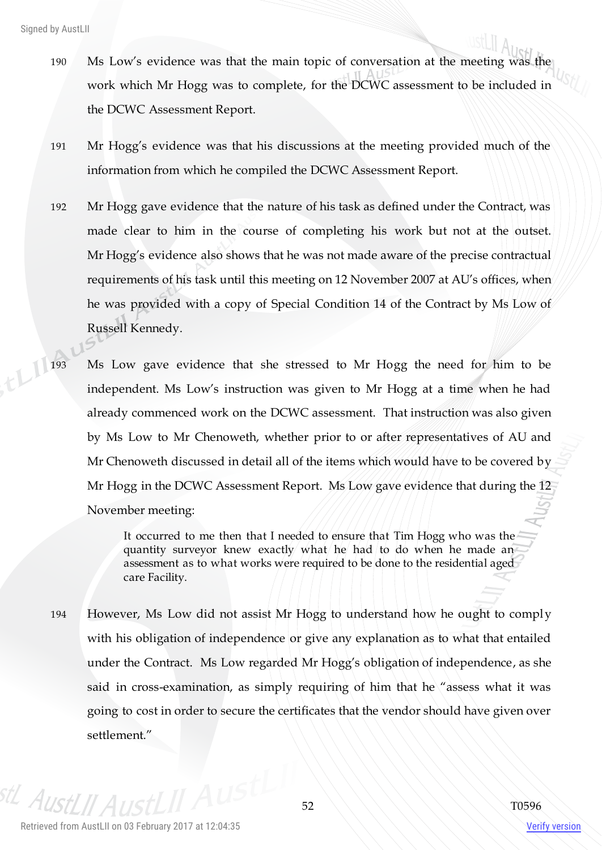- 190 Ms Low's evidence was that the main topic of conversation at the meeting was the work which Mr Hogg was to complete, for the DCWC assessment to be included in the DCWC Assessment Report.
- 191 Mr Hogg's evidence was that his discussions at the meeting provided much of the information from which he compiled the DCWC Assessment Report.
- 192 Mr Hogg gave evidence that the nature of his task as defined under the Contract, was made clear to him in the course of completing his work but not at the outset. Mr Hogg's evidence also shows that he was not made aware of the precise contractual requirements of his task until this meeting on 12 November 2007 at AU's offices, when he was provided with a copy of Special Condition 14 of the Contract by Ms Low of Russell Kennedy.
- 193 Ms Low gave evidence that she stressed to Mr Hogg the need for him to be independent. Ms Low's instruction was given to Mr Hogg at a time when he had already commenced work on the DCWC assessment. That instruction was also given by Ms Low to Mr Chenoweth, whether prior to or after representatives of AU and Mr Chenoweth discussed in detail all of the items which would have to be covered by Mr Hogg in the DCWC Assessment Report. Ms Low gave evidence that during the 12 November meeting:

It occurred to me then that I needed to ensure that Tim Hogg who was the quantity surveyor knew exactly what he had to do when he made an assessment as to what works were required to be done to the residential aged care Facility.

194 However, Ms Low did not assist Mr Hogg to understand how he ought to comply with his obligation of independence or give any explanation as to what that entailed under the Contract. Ms Low regarded Mr Hogg's obligation of independence, as she said in cross-examination, as simply requiring of him that he "assess what it was going to cost in order to secure the certificates that the vendor should have given over settlement."

 $A_{I\!I\!S}$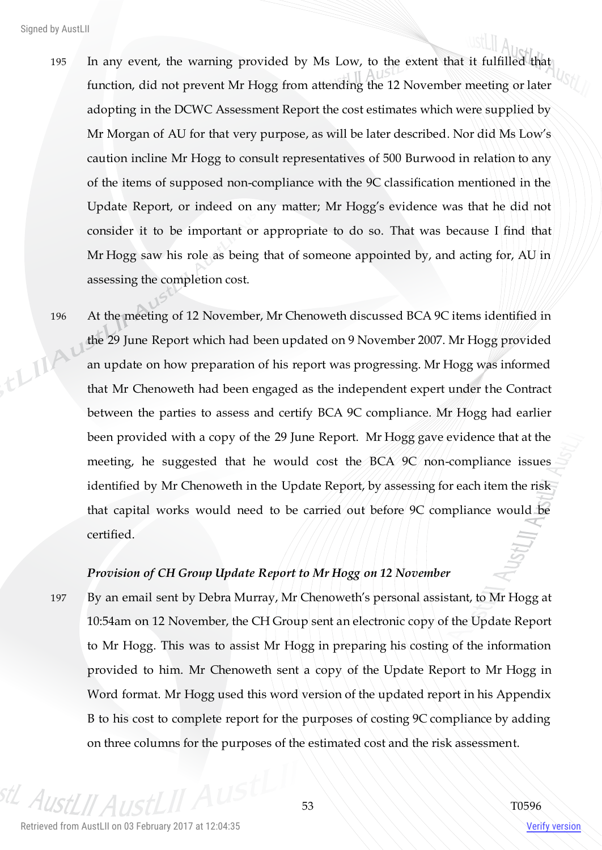- 195 In any event, the warning provided by Ms Low, to the extent that it fulfilled that function, did not prevent Mr Hogg from attending the 12 November meeting or later adopting in the DCWC Assessment Report the cost estimates which were supplied by Mr Morgan of AU for that very purpose, as will be later described. Nor did Ms Low's caution incline Mr Hogg to consult representatives of 500 Burwood in relation to any of the items of supposed non-compliance with the 9C classification mentioned in the Update Report, or indeed on any matter; Mr Hogg's evidence was that he did not consider it to be important or appropriate to do so. That was because I find that Mr Hogg saw his role as being that of someone appointed by, and acting for, AU in assessing the completion cost.
- 196 At the meeting of 12 November, Mr Chenoweth discussed BCA 9C items identified in the 29 June Report which had been updated on 9 November 2007. Mr Hogg provided LIIA an update on how preparation of his report was progressing. Mr Hogg was informed that Mr Chenoweth had been engaged as the independent expert under the Contract between the parties to assess and certify BCA 9C compliance. Mr Hogg had earlier been provided with a copy of the 29 June Report. Mr Hogg gave evidence that at the meeting, he suggested that he would cost the BCA 9C non-compliance issues identified by Mr Chenoweth in the Update Report, by assessing for each item the risk that capital works would need to be carried out before 9C compliance would be certified.

# *Provision of CH Group Update Report to Mr Hogg on 12 November*

197 By an email sent by Debra Murray, Mr Chenoweth's personal assistant, to Mr Hogg at 10:54am on 12 November, the CH Group sent an electronic copy of the Update Report to Mr Hogg. This was to assist Mr Hogg in preparing his costing of the information provided to him. Mr Chenoweth sent a copy of the Update Report to Mr Hogg in Word format. Mr Hogg used this word version of the updated report in his Appendix B to his cost to complete report for the purposes of costing 9C compliance by adding on three columns for the purposes of the estimated cost and the risk assessment.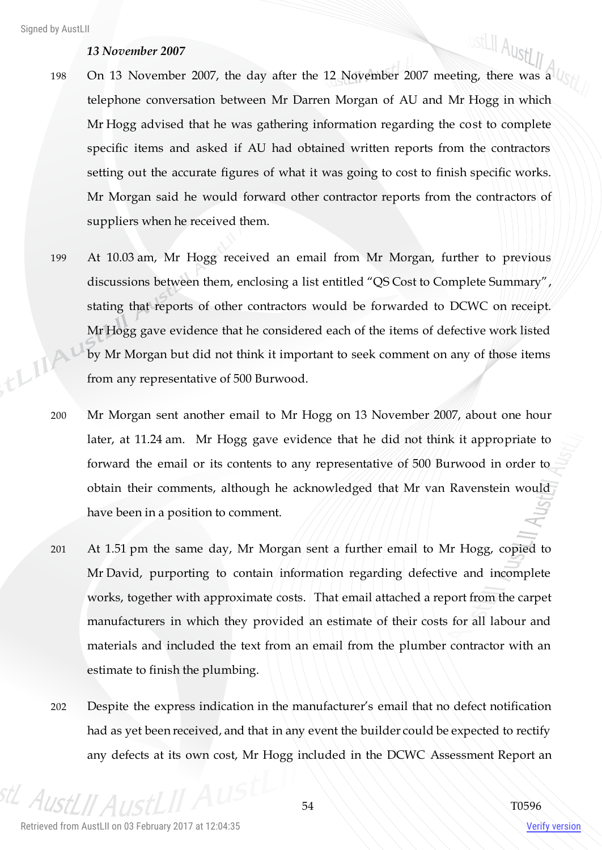## *13 November 2007*

- 198 On 13 November 2007, the day after the 12 November 2007 meeting, there was a telephone conversation between Mr Darren Morgan of AU and Mr Hogg in which Mr Hogg advised that he was gathering information regarding the cost to complete specific items and asked if AU had obtained written reports from the contractors setting out the accurate figures of what it was going to cost to finish specific works. Mr Morgan said he would forward other contractor reports from the contractors of suppliers when he received them.
- 199 At 10.03 am, Mr Hogg received an email from Mr Morgan, further to previous discussions between them, enclosing a list entitled "QS Cost to Complete Summary", stating that reports of other contractors would be forwarded to DCWC on receipt. Mr Hogg gave evidence that he considered each of the items of defective work listed ELIA by Mr Morgan but did not think it important to seek comment on any of those items from any representative of 500 Burwood.
	- 200 Mr Morgan sent another email to Mr Hogg on 13 November 2007, about one hour later, at 11.24 am. Mr Hogg gave evidence that he did not think it appropriate to forward the email or its contents to any representative of 500 Burwood in order to obtain their comments, although he acknowledged that Mr van Ravenstein would have been in a position to comment.
	- 201 At 1.51 pm the same day, Mr Morgan sent a further email to Mr Hogg, copied to Mr David, purporting to contain information regarding defective and incomplete works, together with approximate costs. That email attached a report from the carpet manufacturers in which they provided an estimate of their costs for all labour and materials and included the text from an email from the plumber contractor with an estimate to finish the plumbing.
	- 202 Despite the express indication in the manufacturer's email that no defect notification had as yet been received, and that in any event the builder could be expected to rectify any defects at its own cost, Mr Hogg included in the DCWC Assessment Report an

 $A_{II}$ 

ustLII AustLII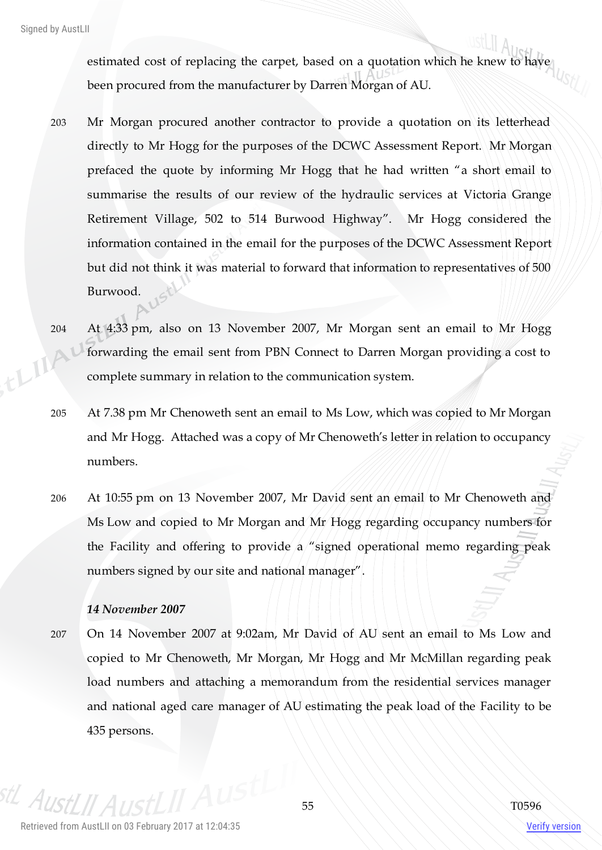estimated cost of replacing the carpet, based on a quotation which he knew to have been procured from the manufacturer by Darren Morgan of AU.

- 203 Mr Morgan procured another contractor to provide a quotation on its letterhead directly to Mr Hogg for the purposes of the DCWC Assessment Report. Mr Morgan prefaced the quote by informing Mr Hogg that he had written "a short email to summarise the results of our review of the hydraulic services at Victoria Grange Retirement Village, 502 to 514 Burwood Highway". Mr Hogg considered the information contained in the email for the purposes of the DCWC Assessment Report but did not think it was material to forward that information to representatives of 500 Burwood.
- 204 At 4:33 pm, also on 13 November 2007, Mr Morgan sent an email to Mr Hogg  $A^1$ forwarding the email sent from PBN Connect to Darren Morgan providing a cost to complete summary in relation to the communication system.
- 205 At 7.38 pm Mr Chenoweth sent an email to Ms Low, which was copied to Mr Morgan and Mr Hogg. Attached was a copy of Mr Chenoweth's letter in relation to occupancy numbers.
- 206 At 10:55 pm on 13 November 2007, Mr David sent an email to Mr Chenoweth and Ms Low and copied to Mr Morgan and Mr Hogg regarding occupancy numbers for the Facility and offering to provide a "signed operational memo regarding peak numbers signed by our site and national manager".

# *14 November 2007*

207 On 14 November 2007 at 9:02am, Mr David of AU sent an email to Ms Low and copied to Mr Chenoweth, Mr Morgan, Mr Hogg and Mr McMillan regarding peak load numbers and attaching a memorandum from the residential services manager and national aged care manager of AU estimating the peak load of the Facility to be 435 persons.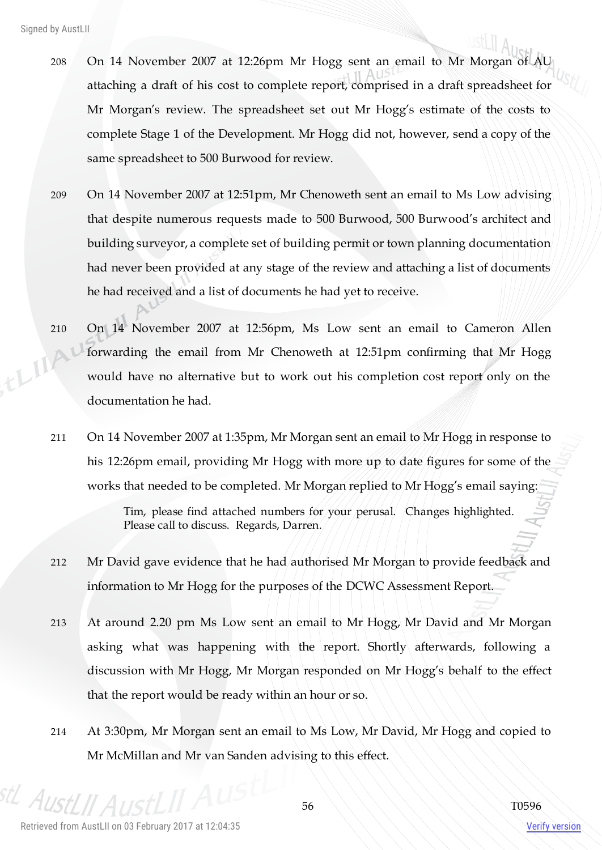- 208 On 14 November 2007 at 12:26pm Mr Hogg sent an email to Mr Morgan of AU attaching a draft of his cost to complete report, comprised in a draft spreadsheet for Mr Morgan's review. The spreadsheet set out Mr Hogg's estimate of the costs to complete Stage 1 of the Development. Mr Hogg did not, however, send a copy of the same spreadsheet to 500 Burwood for review.
- 209 On 14 November 2007 at 12:51pm, Mr Chenoweth sent an email to Ms Low advising that despite numerous requests made to 500 Burwood, 500 Burwood's architect and building surveyor, a complete set of building permit or town planning documentation had never been provided at any stage of the review and attaching a list of documents he had received and a list of documents he had yet to receive.
- 210 On 14 November 2007 at 12:56pm, Ms Low sent an email to Cameron Allen LLIIAI forwarding the email from Mr Chenoweth at 12:51pm confirming that Mr Hogg would have no alternative but to work out his completion cost report only on the documentation he had.
	- 211 On 14 November 2007 at 1:35pm, Mr Morgan sent an email to Mr Hogg in response to his 12:26pm email, providing Mr Hogg with more up to date figures for some of the works that needed to be completed. Mr Morgan replied to Mr Hogg's email saying:

Tim, please find attached numbers for your perusal. Changes highlighted. Please call to discuss. Regards, Darren.

- 212 Mr David gave evidence that he had authorised Mr Morgan to provide feedback and information to Mr Hogg for the purposes of the DCWC Assessment Report.
- 213 At around 2.20 pm Ms Low sent an email to Mr Hogg, Mr David and Mr Morgan asking what was happening with the report. Shortly afterwards, following a discussion with Mr Hogg, Mr Morgan responded on Mr Hogg's behalf to the effect that the report would be ready within an hour or so.
- 214 At 3:30pm, Mr Morgan sent an email to Ms Low, Mr David, Mr Hogg and copied to Mr McMillan and Mr van Sanden advising to this effect.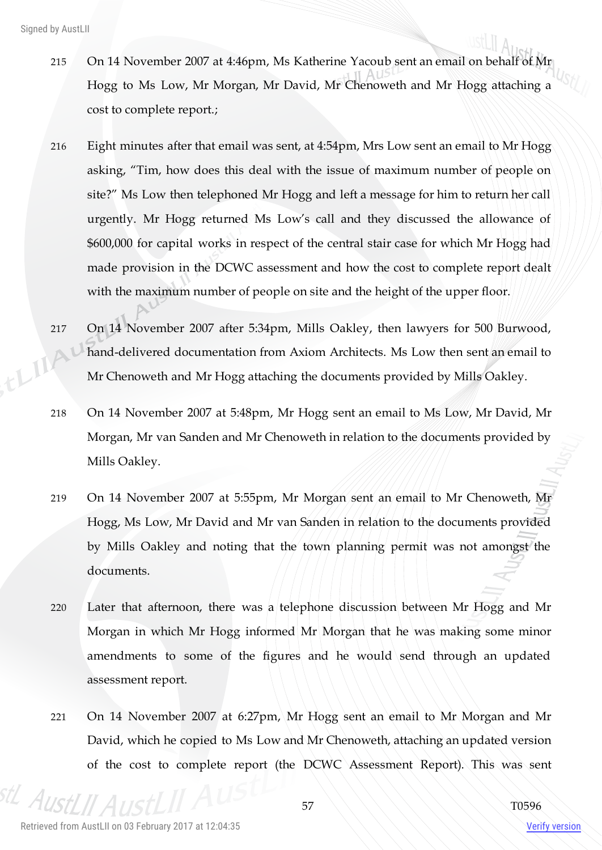$\mathbf{U}$ 

- 215 On 14 November 2007 at 4:46pm, Ms Katherine Yacoub sent an email on behalf of Mr Hogg to Ms Low, Mr Morgan, Mr David, Mr Chenoweth and Mr Hogg attaching a cost to complete report.;
- 216 Eight minutes after that email was sent, at 4:54pm, Mrs Low sent an email to Mr Hogg asking, "Tim, how does this deal with the issue of maximum number of people on site?" Ms Low then telephoned Mr Hogg and left a message for him to return her call urgently. Mr Hogg returned Ms Low's call and they discussed the allowance of \$600,000 for capital works in respect of the central stair case for which Mr Hogg had made provision in the DCWC assessment and how the cost to complete report dealt with the maximum number of people on site and the height of the upper floor.
- 217 On 14 November 2007 after 5:34pm, Mills Oakley, then lawyers for 500 Burwood, IA1 hand-delivered documentation from Axiom Architects. Ms Low then sent an email to Mr Chenoweth and Mr Hogg attaching the documents provided by Mills Oakley.
	- 218 On 14 November 2007 at 5:48pm, Mr Hogg sent an email to Ms Low, Mr David, Mr Morgan, Mr van Sanden and Mr Chenoweth in relation to the documents provided by Mills Oakley.
	- 219 On 14 November 2007 at 5:55pm, Mr Morgan sent an email to Mr Chenoweth, Mr Hogg, Ms Low, Mr David and Mr van Sanden in relation to the documents provided by Mills Oakley and noting that the town planning permit was not amongst the documents.
	- 220 Later that afternoon, there was a telephone discussion between Mr Hogg and Mr Morgan in which Mr Hogg informed Mr Morgan that he was making some minor amendments to some of the figures and he would send through an updated assessment report.
	- 221 On 14 November 2007 at 6:27pm, Mr Hogg sent an email to Mr Morgan and Mr David, which he copied to Ms Low and Mr Chenoweth, attaching an updated version of the cost to complete report (the DCWC Assessment Report). This was sent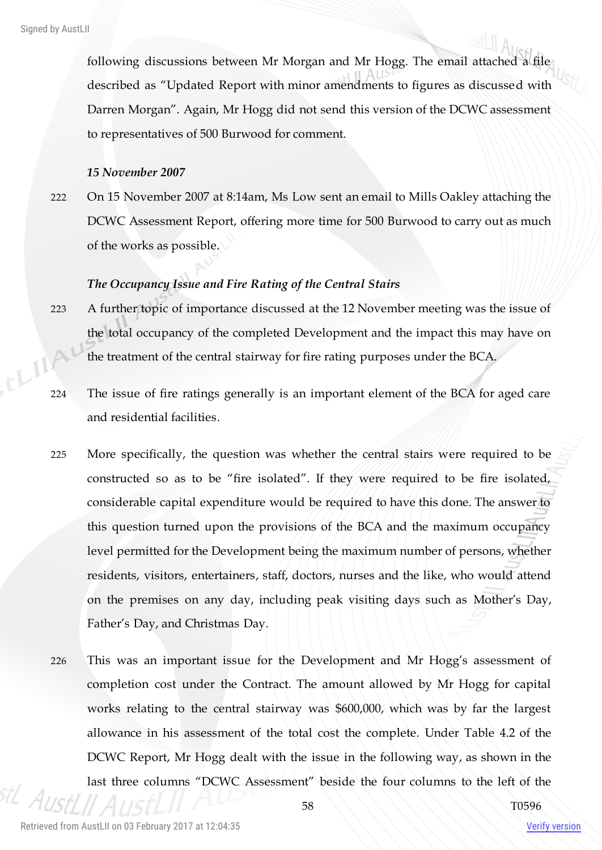following discussions between Mr Morgan and Mr Hogg. The email attached a file described as "Updated Report with minor amendments to figures as discussed with Darren Morgan". Again, Mr Hogg did not send this version of the DCWC assessment to representatives of 500 Burwood for comment.

#### *15 November 2007*

222 On 15 November 2007 at 8:14am, Ms Low sent an email to Mills Oakley attaching the DCWC Assessment Report, offering more time for 500 Burwood to carry out as much of the works as possible.

#### *The Occupancy Issue and Fire Rating of the Central Stairs*

- 223 A further topic of importance discussed at the 12 November meeting was the issue of the total occupancy of the completed Development and the impact this may have on the treatment of the central stairway for fire rating purposes under the BCA.
- 224 The issue of fire ratings generally is an important element of the BCA for aged care and residential facilities.
- 225 More specifically, the question was whether the central stairs were required to be constructed so as to be "fire isolated". If they were required to be fire isolated, considerable capital expenditure would be required to have this done. The answer to this question turned upon the provisions of the BCA and the maximum occupancy level permitted for the Development being the maximum number of persons, whether residents, visitors, entertainers, staff, doctors, nurses and the like, who would attend on the premises on any day, including peak visiting days such as Mother's Day, Father's Day, and Christmas Day.
- 226 This was an important issue for the Development and Mr Hogg's assessment of completion cost under the Contract. The amount allowed by Mr Hogg for capital works relating to the central stairway was \$600,000, which was by far the largest allowance in his assessment of the total cost the complete. Under Table 4.2 of the DCWC Report, Mr Hogg dealt with the issue in the following way, as shown in the last three columns "DCWC Assessment" beside the four columns to the left of the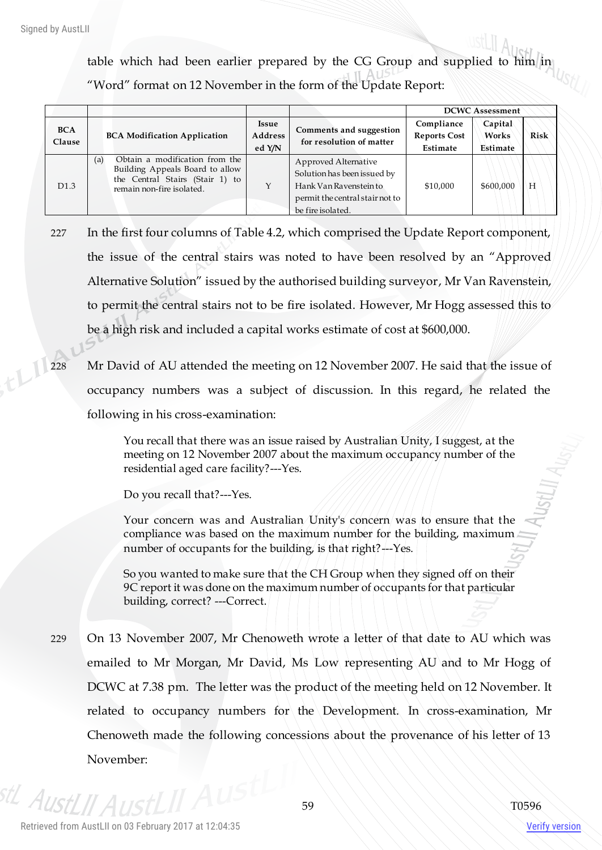table which had been earlier prepared by the CG Group and supplied to him in "Word" format on 12 November in the form of the Update Report:

|                      |                                                                                                                                          |                                   |                                                                                                                                       | <b>DCWC Assessment</b>                        |                              |      |
|----------------------|------------------------------------------------------------------------------------------------------------------------------------------|-----------------------------------|---------------------------------------------------------------------------------------------------------------------------------------|-----------------------------------------------|------------------------------|------|
| <b>BCA</b><br>Clause | <b>BCA Modification Application</b>                                                                                                      | <b>Issue</b><br>Address<br>ed Y/N | Comments and suggestion<br>for resolution of matter                                                                                   | Compliance<br><b>Reports Cost</b><br>Estimate | Capital<br>Works<br>Estimate | Risk |
| D <sub>1.3</sub>     | Obtain a modification from the<br>(a)<br>Building Appeals Board to allow<br>the Central Stairs (Stair 1) to<br>remain non-fire isolated. |                                   | Approved Alternative<br>Solution has been issued by<br>Hank Van Ravenstein to<br>permit the central stair not to<br>be fire isolated. | \$10,000                                      | \$600,000                    | Н    |

- 227 In the first four columns of Table 4.2, which comprised the Update Report component, the issue of the central stairs was noted to have been resolved by an "Approved Alternative Solution" issued by the authorised building surveyor, Mr Van Ravenstein, to permit the central stairs not to be fire isolated. However, Mr Hogg assessed this to be a high risk and included a capital works estimate of cost at \$600,000.
- 228 Mr David of AU attended the meeting on 12 November 2007. He said that the issue of occupancy numbers was a subject of discussion. In this regard, he related the following in his cross-examination:

You recall that there was an issue raised by Australian Unity, I suggest, at the meeting on 12 November 2007 about the maximum occupancy number of the residential aged care facility?---Yes.

Do you recall that?---Yes.

Your concern was and Australian Unity's concern was to ensure that the compliance was based on the maximum number for the building, maximum number of occupants for the building, is that right?---Yes.

So you wanted to make sure that the CH Group when they signed off on their 9C report it was done on the maximum number of occupants for that particular building, correct? ---Correct.

229 On 13 November 2007, Mr Chenoweth wrote a letter of that date to AU which was emailed to Mr Morgan, Mr David, Ms Low representing AU and to Mr Hogg of DCWC at 7.38 pm. The letter was the product of the meeting held on 12 November. It related to occupancy numbers for the Development. In cross-examination, Mr Chenoweth made the following concessions about the provenance of his letter of 13 November:

Aust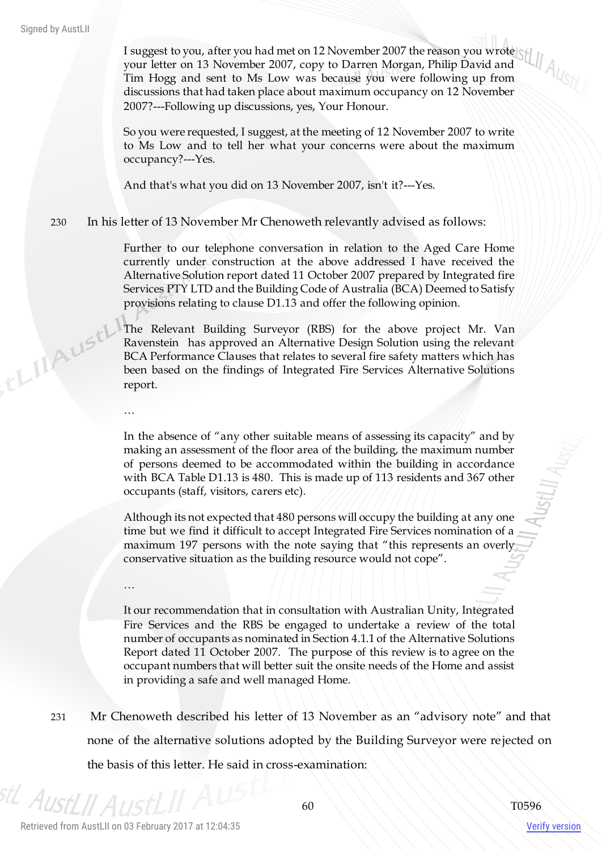th IIA ust!

I suggest to you, after you had met on 12 November 2007 the reason you wrote your letter on 13 November 2007, copy to Darren Morgan, Philip David and Tim Hogg and sent to Ms Low was because you were following up from discussions that had taken place about maximum occupancy on 12 November 2007?---Following up discussions, yes, Your Honour.

So you were requested, I suggest, at the meeting of 12 November 2007 to write to Ms Low and to tell her what your concerns were about the maximum occupancy?---Yes.

And that's what you did on 13 November 2007, isn't it?---Yes.

230 In his letter of 13 November Mr Chenoweth relevantly advised as follows:

Further to our telephone conversation in relation to the Aged Care Home currently under construction at the above addressed I have received the Alternative Solution report dated 11 October 2007 prepared by Integrated fire Services PTY LTD and the Building Code of Australia (BCA) Deemed to Satisfy provisions relating to clause D1.13 and offer the following opinion.

The Relevant Building Surveyor (RBS) for the above project Mr. Van Ravenstein has approved an Alternative Design Solution using the relevant BCA Performance Clauses that relates to several fire safety matters which has been based on the findings of Integrated Fire Services Alternative Solutions report.

In the absence of "any other suitable means of assessing its capacity" and by making an assessment of the floor area of the building, the maximum number of persons deemed to be accommodated within the building in accordance with BCA Table D1.13 is 480. This is made up of 113 residents and 367 other occupants (staff, visitors, carers etc).

Although its not expected that 480 persons will occupy the building at any one time but we find it difficult to accept Integrated Fire Services nomination of a maximum 197 persons with the note saying that "this represents an overly conservative situation as the building resource would not cope".

…

…

It our recommendation that in consultation with Australian Unity, Integrated Fire Services and the RBS be engaged to undertake a review of the total number of occupants as nominated in Section 4.1.1 of the Alternative Solutions Report dated 11 October 2007. The purpose of this review is to agree on the occupant numbers that will better suit the onsite needs of the Home and assist in providing a safe and well managed Home.

231 Mr Chenoweth described his letter of 13 November as an "advisory note" and that none of the alternative solutions adopted by the Building Surveyor were rejected on the basis of this letter. He said in cross-examination:

Verify version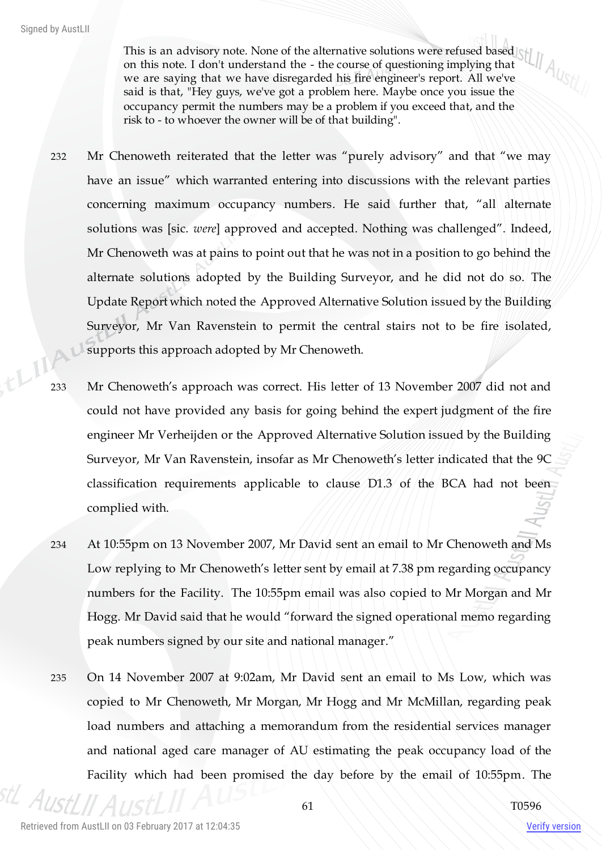This is an advisory note. None of the alternative solutions were refused based on this note. I don't understand the - the course of questioning implying that we are saying that we have disregarded his fire engineer's report. All we've said is that, "Hey guys, we've got a problem here. Maybe once you issue the occupancy permit the numbers may be a problem if you exceed that, and the risk to - to whoever the owner will be of that building".

- 232 Mr Chenoweth reiterated that the letter was "purely advisory" and that "we may have an issue" which warranted entering into discussions with the relevant parties concerning maximum occupancy numbers. He said further that, "all alternate solutions was [sic. *were*] approved and accepted. Nothing was challenged". Indeed, Mr Chenoweth was at pains to point out that he was not in a position to go behind the alternate solutions adopted by the Building Surveyor, and he did not do so. The Update Report which noted the Approved Alternative Solution issued by the Building Surveyor, Mr Van Ravenstein to permit the central stairs not to be fire isolated, supports this approach adopted by Mr Chenoweth.
- 233 Mr Chenoweth's approach was correct. His letter of 13 November 2007 did not and could not have provided any basis for going behind the expert judgment of the fire engineer Mr Verheijden or the Approved Alternative Solution issued by the Building Surveyor, Mr Van Ravenstein, insofar as Mr Chenoweth's letter indicated that the 9C classification requirements applicable to clause D1.3 of the BCA had not been complied with.
- 234 At 10:55pm on 13 November 2007, Mr David sent an email to Mr Chenoweth and Ms Low replying to Mr Chenoweth's letter sent by email at 7.38 pm regarding occupancy numbers for the Facility. The 10:55pm email was also copied to Mr Morgan and Mr Hogg. Mr David said that he would "forward the signed operational memo regarding peak numbers signed by our site and national manager."
- 235 On 14 November 2007 at 9:02am, Mr David sent an email to Ms Low, which was copied to Mr Chenoweth, Mr Morgan, Mr Hogg and Mr McMillan, regarding peak load numbers and attaching a memorandum from the residential services manager and national aged care manager of AU estimating the peak occupancy load of the Facility which had been promised the day before by the email of 10:55pm. The

 $A_D$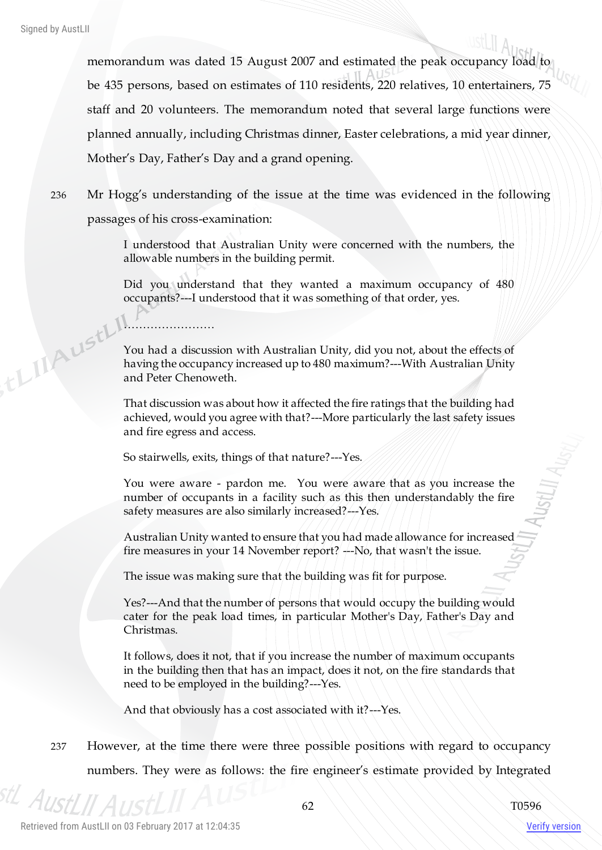tLIIAUStL

memorandum was dated 15 August 2007 and estimated the peak occupancy load to be 435 persons, based on estimates of 110 residents, 220 relatives, 10 entertainers, 75 staff and 20 volunteers. The memorandum noted that several large functions were planned annually, including Christmas dinner, Easter celebrations, a mid year dinner, Mother's Day, Father's Day and a grand opening.

236 Mr Hogg's understanding of the issue at the time was evidenced in the following passages of his cross-examination:

> I understood that Australian Unity were concerned with the numbers, the allowable numbers in the building permit.

> Did you understand that they wanted a maximum occupancy of 480 occupants?---I understood that it was something of that order, yes.

> You had a discussion with Australian Unity, did you not, about the effects of having the occupancy increased up to 480 maximum?---With Australian Unity and Peter Chenoweth.

> That discussion was about how it affected the fire ratings that the building had achieved, would you agree with that?---More particularly the last safety issues and fire egress and access.

So stairwells, exits, things of that nature?---Yes.

……………………

You were aware - pardon me. You were aware that as you increase the number of occupants in a facility such as this then understandably the fire safety measures are also similarly increased?---Yes.

Australian Unity wanted to ensure that you had made allowance for increased fire measures in your 14 November report? ---No, that wasn't the issue.

The issue was making sure that the building was fit for purpose.

Yes?---And that the number of persons that would occupy the building would cater for the peak load times, in particular Mother's Day, Father's Day and Christmas.

It follows, does it not, that if you increase the number of maximum occupants in the building then that has an impact, does it not, on the fire standards that need to be employed in the building?---Yes.

And that obviously has a cost associated with it?---Yes.

237 However, at the time there were three possible positions with regard to occupancy numbers. They were as follows: the fire engineer's estimate provided by Integrated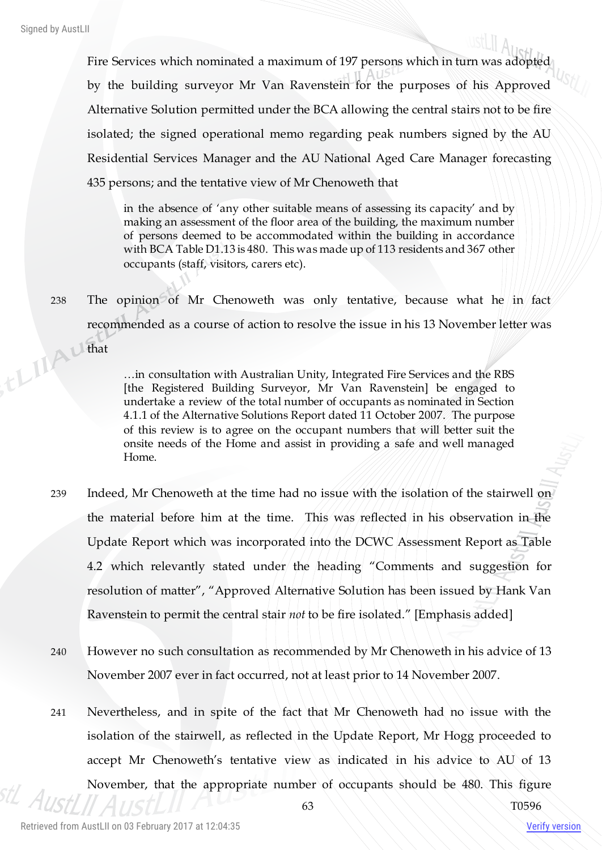Fire Services which nominated a maximum of 197 persons which in turn was adopted by the building surveyor Mr Van Ravenstein for the purposes of his Approved Alternative Solution permitted under the BCA allowing the central stairs not to be fire isolated; the signed operational memo regarding peak numbers signed by the AU Residential Services Manager and the AU National Aged Care Manager forecasting 435 persons; and the tentative view of Mr Chenoweth that

in the absence of 'any other suitable means of assessing its capacity' and by making an assessment of the floor area of the building, the maximum number of persons deemed to be accommodated within the building in accordance with BCA Table D1.13 is 480. This was made up of 113 residents and 367 other occupants (staff, visitors, carers etc).

238 The opinion of Mr Chenoweth was only tentative, because what he in fact recommended as a course of action to resolve the issue in his 13 November letter was that

…in consultation with Australian Unity, Integrated Fire Services and the RBS [the Registered Building Surveyor, Mr Van Ravenstein] be engaged to undertake a review of the total number of occupants as nominated in Section 4.1.1 of the Alternative Solutions Report dated 11 October 2007. The purpose of this review is to agree on the occupant numbers that will better suit the onsite needs of the Home and assist in providing a safe and well managed Home.

- 239 Indeed, Mr Chenoweth at the time had no issue with the isolation of the stairwell on the material before him at the time. This was reflected in his observation in the Update Report which was incorporated into the DCWC Assessment Report as Table 4.2 which relevantly stated under the heading "Comments and suggestion for resolution of matter", "Approved Alternative Solution has been issued by Hank Van Ravenstein to permit the central stair *not* to be fire isolated." [Emphasis added]
- 240 However no such consultation as recommended by Mr Chenoweth in his advice of 13 November 2007 ever in fact occurred, not at least prior to 14 November 2007.
- 241 Nevertheless, and in spite of the fact that Mr Chenoweth had no issue with the isolation of the stairwell, as reflected in the Update Report, Mr Hogg proceeded to accept Mr Chenoweth's tentative view as indicated in his advice to AU of 13 November, that the appropriate number of occupants should be 480. This figure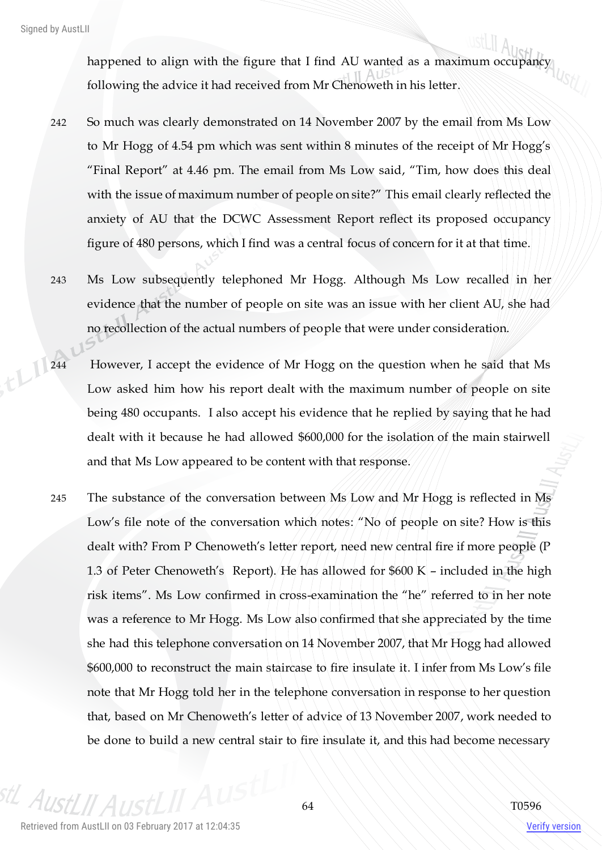happened to align with the figure that I find AU wanted as a maximum occupancy following the advice it had received from Mr Chenoweth in his letter.

- 242 So much was clearly demonstrated on 14 November 2007 by the email from Ms Low to Mr Hogg of 4.54 pm which was sent within 8 minutes of the receipt of Mr Hogg's "Final Report" at 4.46 pm. The email from Ms Low said, "Tim, how does this deal with the issue of maximum number of people on site?" This email clearly reflected the anxiety of AU that the DCWC Assessment Report reflect its proposed occupancy figure of 480 persons, which I find was a central focus of concern for it at that time.
- 243 Ms Low subsequently telephoned Mr Hogg. Although Ms Low recalled in her evidence that the number of people on site was an issue with her client AU, she had no recollection of the actual numbers of people that were under consideration.
- 244 However, I accept the evidence of Mr Hogg on the question when he said that Ms Low asked him how his report dealt with the maximum number of people on site being 480 occupants. I also accept his evidence that he replied by saying that he had dealt with it because he had allowed \$600,000 for the isolation of the main stairwell and that Ms Low appeared to be content with that response.
	- 245 The substance of the conversation between Ms Low and Mr Hogg is reflected in Ms Low's file note of the conversation which notes: "No of people on site? How is this dealt with? From P Chenoweth's letter report, need new central fire if more people (P 1.3 of Peter Chenoweth's Report). He has allowed for \$600 K – included in the high risk items". Ms Low confirmed in cross-examination the "he" referred to in her note was a reference to Mr Hogg. Ms Low also confirmed that she appreciated by the time she had this telephone conversation on 14 November 2007, that Mr Hogg had allowed \$600,000 to reconstruct the main staircase to fire insulate it. I infer from Ms Low's file note that Mr Hogg told her in the telephone conversation in response to her question that, based on Mr Chenoweth's letter of advice of 13 November 2007, work needed to be done to build a new central stair to fire insulate it, and this had become necessary

 $A_{IR}$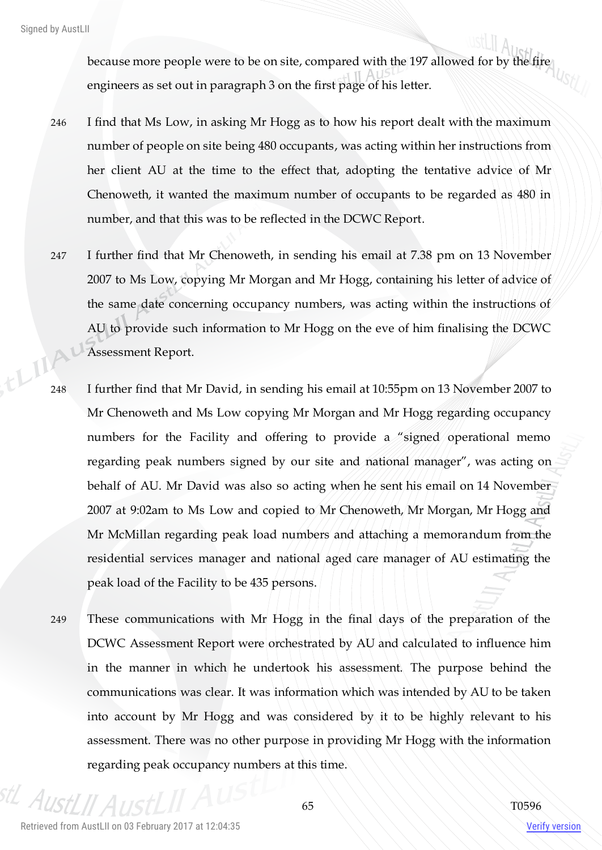because more people were to be on site, compared with the 197 allowed for by the fire engineers as set out in paragraph 3 on the first page of his letter.

- 246 I find that Ms Low, in asking Mr Hogg as to how his report dealt with the maximum number of people on site being 480 occupants, was acting within her instructions from her client AU at the time to the effect that, adopting the tentative advice of Mr Chenoweth, it wanted the maximum number of occupants to be regarded as 480 in number, and that this was to be reflected in the DCWC Report.
- 247 I further find that Mr Chenoweth, in sending his email at 7.38 pm on 13 November 2007 to Ms Low, copying Mr Morgan and Mr Hogg, containing his letter of advice of the same date concerning occupancy numbers, was acting within the instructions of AU to provide such information to Mr Hogg on the eve of him finalising the DCWC Assessment Report.
- 248 I further find that Mr David, in sending his email at 10:55pm on 13 November 2007 to Mr Chenoweth and Ms Low copying Mr Morgan and Mr Hogg regarding occupancy numbers for the Facility and offering to provide a "signed operational memo regarding peak numbers signed by our site and national manager", was acting on behalf of AU. Mr David was also so acting when he sent his email on 14 November 2007 at 9:02am to Ms Low and copied to Mr Chenoweth, Mr Morgan, Mr Hogg and Mr McMillan regarding peak load numbers and attaching a memorandum from the residential services manager and national aged care manager of AU estimating the peak load of the Facility to be 435 persons.
- 249 These communications with Mr Hogg in the final days of the preparation of the DCWC Assessment Report were orchestrated by AU and calculated to influence him in the manner in which he undertook his assessment. The purpose behind the communications was clear. It was information which was intended by AU to be taken into account by Mr Hogg and was considered by it to be highly relevant to his assessment. There was no other purpose in providing Mr Hogg with the information regarding peak occupancy numbers at this time.

 $A_{I}$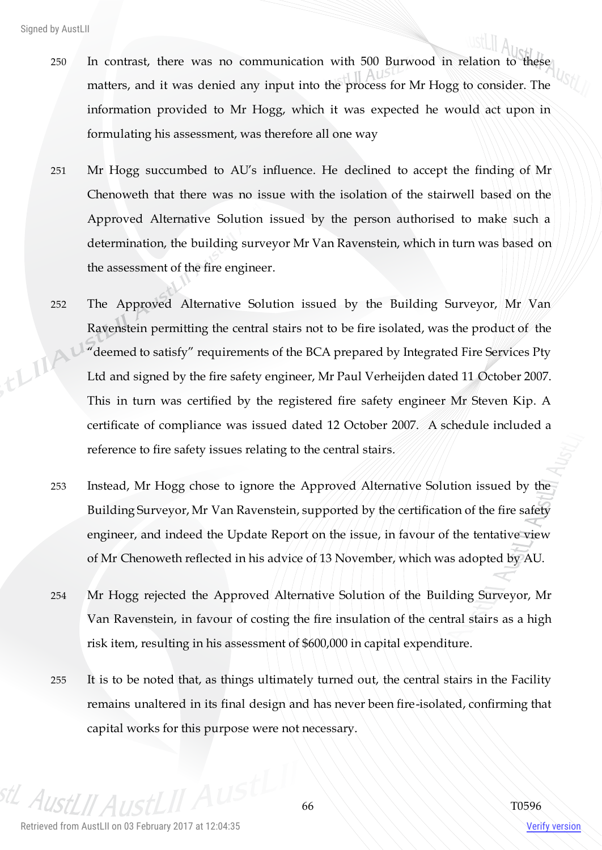- 250 In contrast, there was no communication with 500 Burwood in relation to these matters, and it was denied any input into the process for Mr Hogg to consider. The information provided to Mr Hogg, which it was expected he would act upon in formulating his assessment, was therefore all one way
- 251 Mr Hogg succumbed to AU's influence. He declined to accept the finding of Mr Chenoweth that there was no issue with the isolation of the stairwell based on the Approved Alternative Solution issued by the person authorised to make such a determination, the building surveyor Mr Van Ravenstein, which in turn was based on the assessment of the fire engineer.
- 252 The Approved Alternative Solution issued by the Building Surveyor, Mr Van Ravenstein permitting the central stairs not to be fire isolated, was the product of the ELIA "deemed to satisfy" requirements of the BCA prepared by Integrated Fire Services Pty Ltd and signed by the fire safety engineer, Mr Paul Verheijden dated 11 October 2007. This in turn was certified by the registered fire safety engineer Mr Steven Kip. A certificate of compliance was issued dated 12 October 2007. A schedule included a reference to fire safety issues relating to the central stairs.
	- 253 Instead, Mr Hogg chose to ignore the Approved Alternative Solution issued by the Building Surveyor, Mr Van Ravenstein, supported by the certification of the fire safety engineer, and indeed the Update Report on the issue, in favour of the tentative view of Mr Chenoweth reflected in his advice of 13 November, which was adopted by AU.
	- 254 Mr Hogg rejected the Approved Alternative Solution of the Building Surveyor, Mr Van Ravenstein, in favour of costing the fire insulation of the central stairs as a high risk item, resulting in his assessment of \$600,000 in capital expenditure.
	- 255 It is to be noted that, as things ultimately turned out, the central stairs in the Facility remains unaltered in its final design and has never been fire-isolated, confirming that capital works for this purpose were not necessary.

 $A_{II}$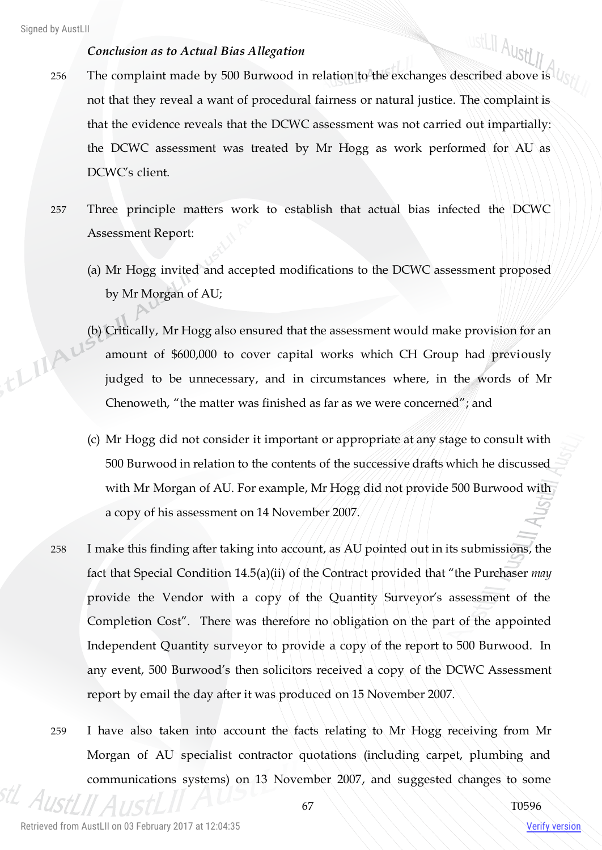thingu

### *Conclusion as to Actual Bias Allegation*

- ustLII AustLII 256 The complaint made by 500 Burwood in relation to the exchanges described above is  $\mathcal{U}_{\mathcal{S}}$ not that they reveal a want of procedural fairness or natural justice. The complaint is that the evidence reveals that the DCWC assessment was not carried out impartially: the DCWC assessment was treated by Mr Hogg as work performed for AU as DCWC's client.
- 257 Three principle matters work to establish that actual bias infected the DCWC Assessment Report:
	- (a) Mr Hogg invited and accepted modifications to the DCWC assessment proposed by Mr Morgan of AU;
	- (b) Critically, Mr Hogg also ensured that the assessment would make provision for an amount of \$600,000 to cover capital works which CH Group had previously judged to be unnecessary, and in circumstances where, in the words of Mr Chenoweth, "the matter was finished as far as we were concerned"; and
	- (c) Mr Hogg did not consider it important or appropriate at any stage to consult with 500 Burwood in relation to the contents of the successive drafts which he discussed with Mr Morgan of AU. For example, Mr Hogg did not provide 500 Burwood with a copy of his assessment on 14 November 2007.
- 258 I make this finding after taking into account, as AU pointed out in its submissions, the fact that Special Condition 14.5(a)(ii) of the Contract provided that "the Purchaser *may* provide the Vendor with a copy of the Quantity Surveyor's assessment of the Completion Cost". There was therefore no obligation on the part of the appointed Independent Quantity surveyor to provide a copy of the report to 500 Burwood. In any event, 500 Burwood's then solicitors received a copy of the DCWC Assessment report by email the day after it was produced on 15 November 2007.
- 259 I have also taken into account the facts relating to Mr Hogg receiving from Mr Morgan of AU specialist contractor quotations (including carpet, plumbing and communications systems) on 13 November 2007, and suggested changes to some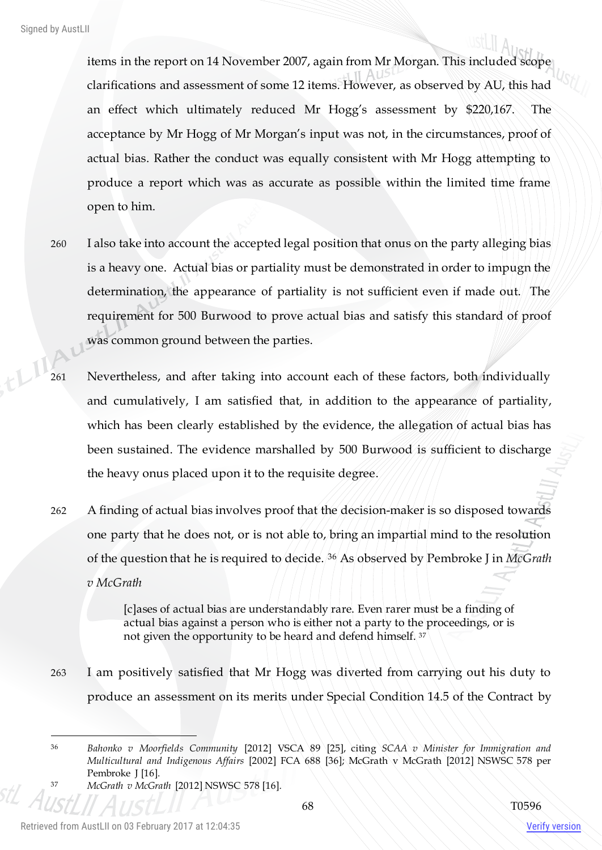items in the report on 14 November 2007, again from Mr Morgan. This included scope clarifications and assessment of some 12 items. However, as observed by AU, this had an effect which ultimately reduced Mr Hogg's assessment by \$220,167. The acceptance by Mr Hogg of Mr Morgan's input was not, in the circumstances, proof of actual bias. Rather the conduct was equally consistent with Mr Hogg attempting to produce a report which was as accurate as possible within the limited time frame open to him.

- 260 I also take into account the accepted legal position that onus on the party alleging bias is a heavy one. Actual bias or partiality must be demonstrated in order to impugn the determination, the appearance of partiality is not sufficient even if made out. The requirement for 500 Burwood to prove actual bias and satisfy this standard of proof was common ground between the parties.
- 261 Nevertheless, and after taking into account each of these factors, both individually and cumulatively, I am satisfied that, in addition to the appearance of partiality, which has been clearly established by the evidence, the allegation of actual bias has been sustained. The evidence marshalled by 500 Burwood is sufficient to discharge the heavy onus placed upon it to the requisite degree.
- 262 A finding of actual bias involves proof that the decision-maker is so disposed towards one party that he does not, or is not able to, bring an impartial mind to the resolution of the question that he is required to decide. <sup>36</sup> As observed by Pembroke J in *McGrath v McGrath*

[c]ases of actual bias are understandably rare. Even rarer must be a finding of actual bias against a person who is either not a party to the proceedings, or is not given the opportunity to be heard and defend himself. <sup>37</sup>

263 I am positively satisfied that Mr Hogg was diverted from carrying out his duty to produce an assessment on its merits under Special Condition 14.5 of the Contract by

<sup>37</sup> *McGrath v McGrath* [2012] NSWSC 578 [16].

 $\overline{a}$ 

<sup>36</sup> *Bahonko v Moorfields Community* [2012] VSCA 89 [25], citing *SCAA v Minister for Immigration and Multicultural and Indigenous Affairs* [2002] FCA 688 [36]; McGrath v McGrath [2012] NSWSC 578 per Pembroke J [16].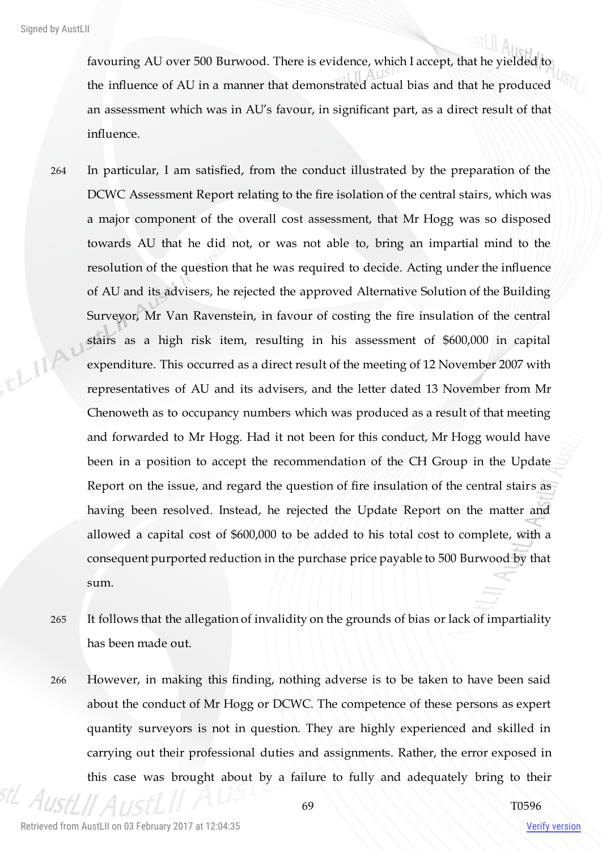favouring AU over 500 Burwood. There is evidence, which I accept, that he yielded to the influence of AU in a manner that demonstrated actual bias and that he produced an assessment which was in AU's favour, in significant part, as a direct result of that influence.

- 264 In particular, I am satisfied, from the conduct illustrated by the preparation of the DCWC Assessment Report relating to the fire isolation of the central stairs, which was a major component of the overall cost assessment, that Mr Hogg was so disposed towards AU that he did not, or was not able to, bring an impartial mind to the resolution of the question that he was required to decide. Acting under the influence of AU and its advisers, he rejected the approved Alternative Solution of the Building Surveyor, Mr Van Ravenstein, in favour of costing the fire insulation of the central thin stairs as a high risk item, resulting in his assessment of \$600,000 in capital expenditure. This occurred as a direct result of the meeting of 12 November 2007 with representatives of AU and its advisers, and the letter dated 13 November from Mr Chenoweth as to occupancy numbers which was produced as a result of that meeting and forwarded to Mr Hogg. Had it not been for this conduct, Mr Hogg would have been in a position to accept the recommendation of the CH Group in the Update Report on the issue, and regard the question of fire insulation of the central stairs as having been resolved. Instead, he rejected the Update Report on the matter and allowed a capital cost of \$600,000 to be added to his total cost to complete, with a consequent purported reduction in the purchase price payable to 500 Burwood by that sum.
	- 265 It follows that the allegation of invalidity on the grounds of bias or lack of impartiality has been made out.
	- 266 However, in making this finding, nothing adverse is to be taken to have been said about the conduct of Mr Hogg or DCWC. The competence of these persons as expert quantity surveyors is not in question. They are highly experienced and skilled in carrying out their professional duties and assignments. Rather, the error exposed in this case was brought about by a failure to fully and adequately bring to their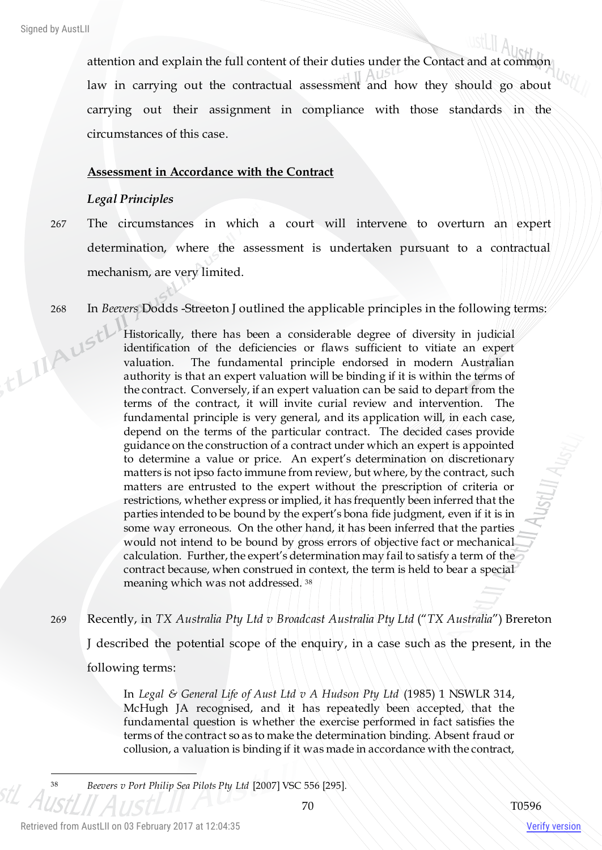attention and explain the full content of their duties under the Contact and at common law in carrying out the contractual assessment and how they should go about carrying out their assignment in compliance with those standards in the circumstances of this case.

#### **Assessment in Accordance with the Contract**

#### *Legal Principles*

- 267 The circumstances in which a court will intervene to overturn an expert determination, where the assessment is undertaken pursuant to a contractual mechanism, are very limited.
- 

268 In *Beevers* Dodds -Streeton J outlined the applicable principles in the following terms:<br>
Historically, there has been a considerable degree of diversity in judicial<br>
identification of the deficiencies or flaws suffic Historically, there has been a considerable degree of diversity in judicial identification of the deficiencies or flaws sufficient to vitiate an expert valuation. The fundamental principle endorsed in modern Australian authority is that an expert valuation will be binding if it is within the terms of the contract. Conversely, if an expert valuation can be said to depart from the terms of the contract, it will invite curial review and intervention. The fundamental principle is very general, and its application will, in each case, depend on the terms of the particular contract. The decided cases provide guidance on the construction of a contract under which an expert is appointed to determine a value or price. An expert's determination on discretionary matters is not ipso facto immune from review, but where, by the contract, such matters are entrusted to the expert without the prescription of criteria or restrictions, whether express or implied, it has frequently been inferred that the parties intended to be bound by the expert's bona fide judgment, even if it is in some way erroneous. On the other hand, it has been inferred that the parties would not intend to be bound by gross errors of objective fact or mechanical calculation. Further, the expert's determination may fail to satisfy a term of the contract because, when construed in context, the term is held to bear a special meaning which was not addressed. <sup>38</sup>

269 Recently, in *TX Australia Pty Ltd v Broadcast Australia Pty Ltd* ("*TX Australia*") Brereton

J described the potential scope of the enquiry, in a case such as the present, in the following terms:

In *Legal & General Life of Aust Ltd v A Hudson Pty Ltd* (1985) 1 NSWLR 314, McHugh JA recognised, and it has repeatedly been accepted, that the fundamental question is whether the exercise performed in fact satisfies the terms of the contract so as to make the determination binding. Absent fraud or collusion, a valuation is binding if it was made in accordance with the contract,

Verify version

 $\overline{a}$ 

<sup>38</sup> *Beevers v Port Philip Sea Pilots Pty Ltd* [2007] VSC 556 [295].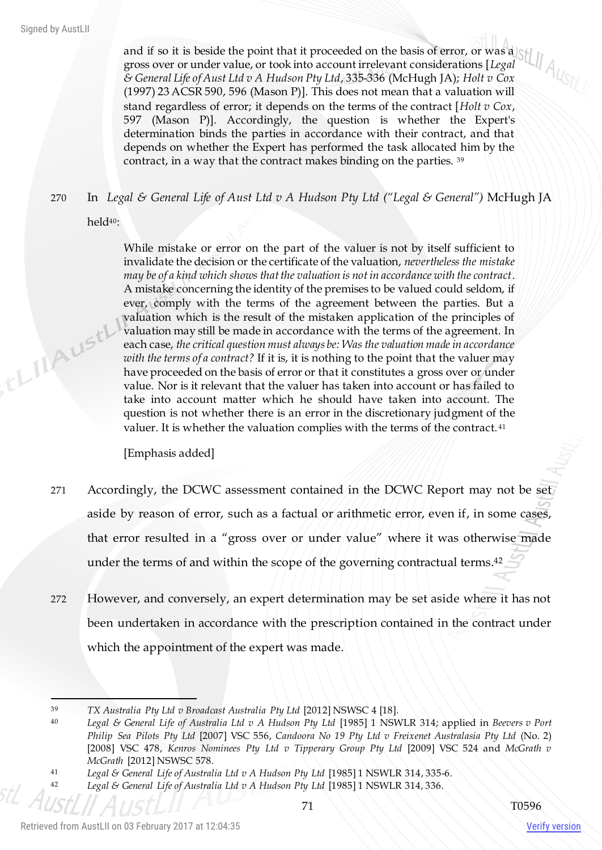,thishustl

and if so it is beside the point that it proceeded on the basis of error, or was a gross over or under value, or took into account irrelevant considerations [*Legal & General Life of Aust Ltd v A Hudson Pty Ltd*, 335-336 (McHugh JA); *Holt v Cox*  (1997) 23 ACSR 590, 596 (Mason P)]. This does not mean that a valuation will stand regardless of error; it depends on the terms of the contract [*Holt v Cox*, 597 (Mason P)]. Accordingly, the question is whether the Expert's determination binds the parties in accordance with their contract, and that depends on whether the Expert has performed the task allocated him by the contract, in a way that the contract makes binding on the parties. <sup>39</sup>

270 In *Legal & General Life of Aust Ltd v A Hudson Pty Ltd ("Legal & General")* McHugh JA

held40:

While mistake or error on the part of the valuer is not by itself sufficient to invalidate the decision or the certificate of the valuation, *nevertheless the mistake may be of a kind which shows that the valuation is not in accordance with the contract*. A mistake concerning the identity of the premises to be valued could seldom, if ever, comply with the terms of the agreement between the parties. But a valuation which is the result of the mistaken application of the principles of valuation may still be made in accordance with the terms of the agreement. In each case, *the critical question must always be: Was the valuation made in accordance with the terms of a contract?* If it is, it is nothing to the point that the valuer may have proceeded on the basis of error or that it constitutes a gross over or under value. Nor is it relevant that the valuer has taken into account or has failed to take into account matter which he should have taken into account. The question is not whether there is an error in the discretionary judgment of the valuer. It is whether the valuation complies with the terms of the contract. <sup>41</sup>

[Emphasis added]

- 271 Accordingly, the DCWC assessment contained in the DCWC Report may not be set aside by reason of error, such as a factual or arithmetic error, even if, in some cases, that error resulted in a "gross over or under value" where it was otherwise made under the terms of and within the scope of the governing contractual terms. 42
- 272 However, and conversely, an expert determination may be set aside where it has not been undertaken in accordance with the prescription contained in the contract under which the appointment of the expert was made.

 $\overline{a}$ <sup>39</sup> *TX Australia Pty Ltd v Broadcast Australia Pty Ltd* [2012] NSWSC 4 [18].

<sup>40</sup> *Legal & General Life of Australia Ltd v A Hudson Pty Ltd* [1985] 1 NSWLR 314; applied in *Beevers v Port Philip Sea Pilots Pty Ltd* [2007] VSC 556, *Candoora No 19 Pty Ltd v Freixenet Australasia Pty Ltd* (No. 2) [2008] VSC 478, *Kenros Nominees Pty Ltd v Tipperary Group Pty Ltd* [2009] VSC 524 and *McGrath v McGrath* [2012] NSWSC 578.

<sup>41</sup> *Legal & General Life of Australia Ltd v A Hudson Pty Ltd* [1985] 1 NSWLR 314, 335-6.

<sup>42</sup> *Legal & General Life of Australia Ltd v A Hudson Pty Ltd* [1985] 1 NSWLR 314, 336.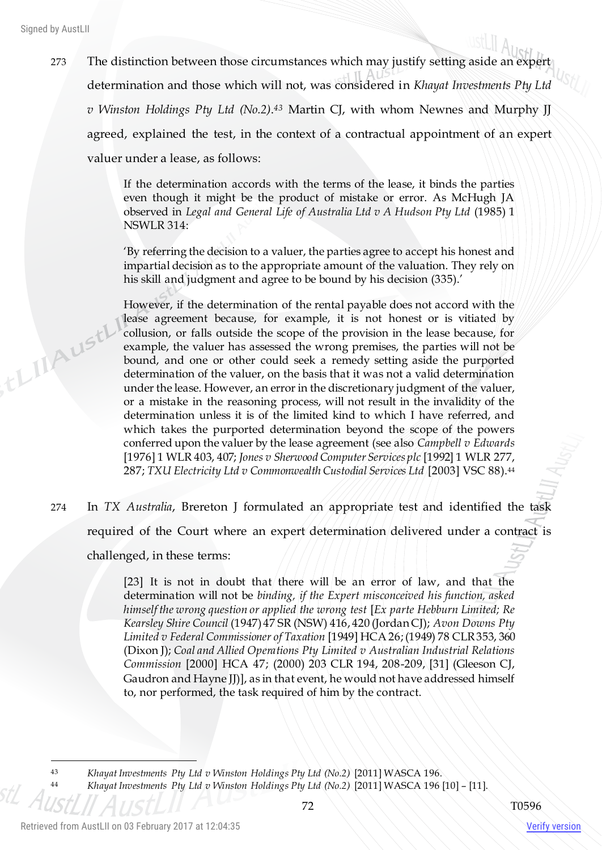,tLIIAust

273 The distinction between those circumstances which may justify setting aside an expert determination and those which will not, was considered in *Khayat Investments Pty Ltd v Winston Holdings Pty Ltd (No.2)*. *<sup>43</sup>* Martin CJ, with whom Newnes and Murphy JJ agreed, explained the test, in the context of a contractual appointment of an expert valuer under a lease, as follows:

> If the determination accords with the terms of the lease, it binds the parties even though it might be the product of mistake or error. As McHugh JA observed in *Legal and General Life of Australia Ltd v A Hudson Pty Ltd* (1985) 1 NSWLR 314:

> 'By referring the decision to a valuer, the parties agree to accept his honest and impartial decision as to the appropriate amount of the valuation. They rely on his skill and judgment and agree to be bound by his decision (335).'

> However, if the determination of the rental payable does not accord with the lease agreement because, for example, it is not honest or is vitiated by collusion, or falls outside the scope of the provision in the lease because, for example, the valuer has assessed the wrong premises, the parties will not be bound, and one or other could seek a remedy setting aside the purported determination of the valuer, on the basis that it was not a valid determination under the lease. However, an error in the discretionary judgment of the valuer, or a mistake in the reasoning process, will not result in the invalidity of the determination unless it is of the limited kind to which I have referred, and which takes the purported determination beyond the scope of the powers conferred upon the valuer by the lease agreement (see also *Campbell v Edwards*  [1976] 1 WLR 403, 407; *Jones v Sherwood Computer Services plc* [1992] 1 WLR 277, 287; *TXU Electricity Ltd v Commonwealth Custodial Services Ltd* [2003] VSC 88).<sup>44</sup>

274 In *TX Australia*, Brereton J formulated an appropriate test and identified the task required of the Court where an expert determination delivered under a contract is challenged, in these terms:

> [23] It is not in doubt that there will be an error of law, and that the determination will not be *binding, if the Expert misconceived his function, asked himself the wrong question or applied the wrong test* [*Ex parte Hebburn Limited; Re Kearsley Shire Council* (1947) 47 SR (NSW) 416, 420 (Jordan CJ); *Avon Downs Pty Limited v Federal Commissioner of Taxation* [1949] HCA 26; (1949) 78 CLR 353, 360 (Dixon J); *Coal and Allied Operations Pty Limited v Australian Industrial Relations Commission* [2000] HCA 47; (2000) 203 CLR 194, 208-209, [31] (Gleeson CJ, Gaudron and Hayne JJ)], as in that event, he would not have addressed himself to, nor performed, the task required of him by the contract.

 $\overline{a}$ 

<sup>43</sup> *Khayat Investments Pty Ltd v Winston Holdings Pty Ltd (No.2)* [2011] WASCA 196.

<sup>44</sup> *Khayat Investments Pty Ltd v Winston Holdings Pty Ltd (No.2)* [2011] WASCA 196 [10] – [11].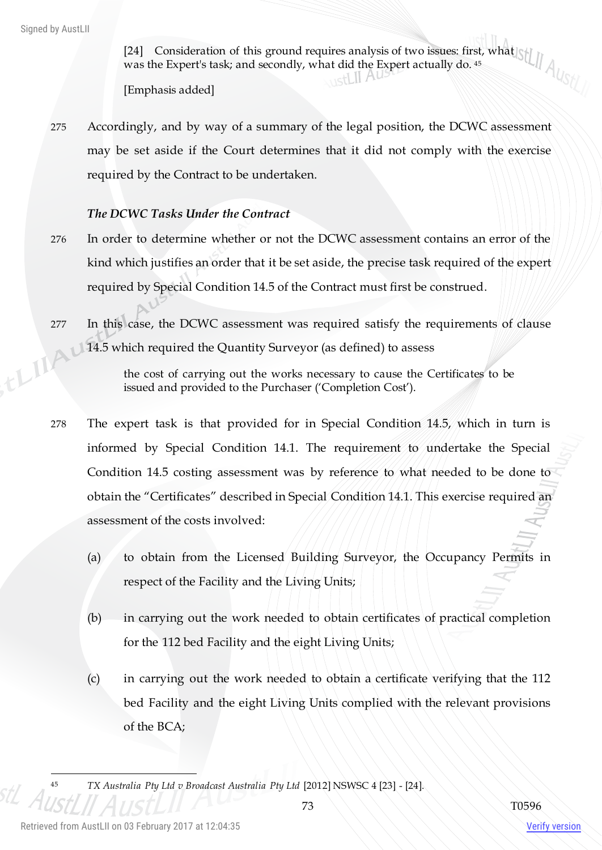[24] Consideration of this ground requires analysis of two issues: first, what was the Expert's task; and secondly, what did the Expert actually do. <sup>45</sup>

[Emphasis added]

275 Accordingly, and by way of a summary of the legal position, the DCWC assessment may be set aside if the Court determines that it did not comply with the exercise required by the Contract to be undertaken.

# *The DCWC Tasks Under the Contract*

- 276 In order to determine whether or not the DCWC assessment contains an error of the kind which justifies an order that it be set aside, the precise task required of the expert required by Special Condition 14.5 of the Contract must first be construed.
- 277 In this case, the DCWC assessment was required satisfy the requirements of clause ELIAU 14.5 which required the Quantity Surveyor (as defined) to assess

the cost of carrying out the works necessary to cause the Certificates to be issued and provided to the Purchaser ('Completion Cost').

- 278 The expert task is that provided for in Special Condition 14.5, which in turn is informed by Special Condition 14.1. The requirement to undertake the Special Condition 14.5 costing assessment was by reference to what needed to be done to obtain the "Certificates" described in Special Condition 14.1. This exercise required an assessment of the costs involved:
	- (a) to obtain from the Licensed Building Surveyor, the Occupancy Permits in respect of the Facility and the Living Units;
	- (b) in carrying out the work needed to obtain certificates of practical completion for the 112 bed Facility and the eight Living Units;
	- (c) in carrying out the work needed to obtain a certificate verifying that the 112 bed Facility and the eight Living Units complied with the relevant provisions of the BCA;

<sup>45</sup> *TX Australia Pty Ltd v Broadcast Australia Pty Ltd* [2012] NSWSC 4 [23] - [24].

Verify version

 $\overline{a}$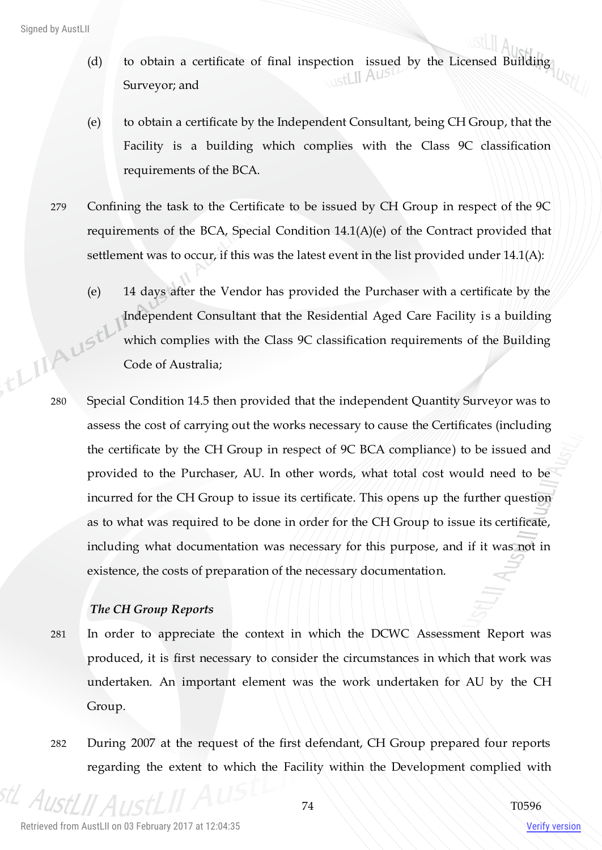- (d) to obtain a certificate of final inspection issued by the Licensed Building Surveyor; and
- (e) to obtain a certificate by the Independent Consultant, being CH Group, that the Facility is a building which complies with the Class 9C classification requirements of the BCA.
- 279 Confining the task to the Certificate to be issued by CH Group in respect of the 9C requirements of the BCA, Special Condition 14.1(A)(e) of the Contract provided that settlement was to occur, if this was the latest event in the list provided under 14.1(A):
- (e) 14 days after the Vendor has provided the Purchaser with a certificate by the Independent Consultant that the Residential Aged Care Facility is a building which complies with the Class 9C classification requirements of the Building Code of Australia; 280 Special Condition 14.5 then provided that the independent Quantity Surveyor was to
	- assess the cost of carrying out the works necessary to cause the Certificates (including the certificate by the CH Group in respect of 9C BCA compliance) to be issued and provided to the Purchaser, AU. In other words, what total cost would need to be incurred for the CH Group to issue its certificate. This opens up the further question as to what was required to be done in order for the CH Group to issue its certificate, including what documentation was necessary for this purpose, and if it was not in existence, the costs of preparation of the necessary documentation.

# *The CH Group Reports*

- 281 In order to appreciate the context in which the DCWC Assessment Report was produced, it is first necessary to consider the circumstances in which that work was undertaken. An important element was the work undertaken for AU by the CH Group.
- 282 During 2007 at the request of the first defendant, CH Group prepared four reports regarding the extent to which the Facility within the Development complied with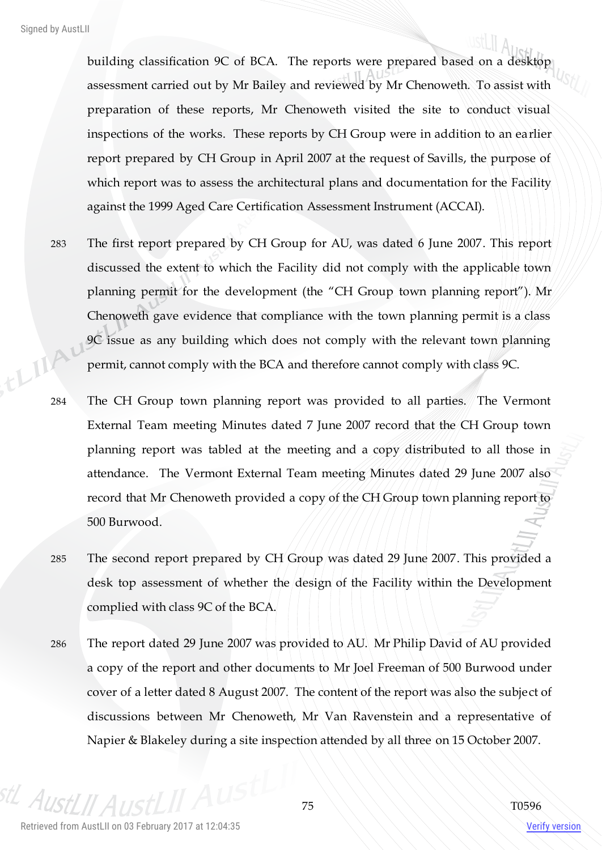building classification 9C of BCA. The reports were prepared based on a desktop assessment carried out by Mr Bailey and reviewed by Mr Chenoweth. To assist with preparation of these reports, Mr Chenoweth visited the site to conduct visual inspections of the works. These reports by CH Group were in addition to an earlier report prepared by CH Group in April 2007 at the request of Savills, the purpose of which report was to assess the architectural plans and documentation for the Facility against the 1999 Aged Care Certification Assessment Instrument (ACCAI).

- 283 The first report prepared by CH Group for AU, was dated 6 June 2007. This report discussed the extent to which the Facility did not comply with the applicable town planning permit for the development (the "CH Group town planning report"). Mr Chenoweth gave evidence that compliance with the town planning permit is a class 9C issue as any building which does not comply with the relevant town planning ELIA permit, cannot comply with the BCA and therefore cannot comply with class 9C.
	- 284 The CH Group town planning report was provided to all parties. The Vermont External Team meeting Minutes dated 7 June 2007 record that the CH Group town planning report was tabled at the meeting and a copy distributed to all those in attendance. The Vermont External Team meeting Minutes dated 29 June 2007 also record that Mr Chenoweth provided a copy of the CH Group town planning report to 500 Burwood.
	- 285 The second report prepared by CH Group was dated 29 June 2007. This provided a desk top assessment of whether the design of the Facility within the Development complied with class 9C of the BCA.
	- 286 The report dated 29 June 2007 was provided to AU. Mr Philip David of AU provided a copy of the report and other documents to Mr Joel Freeman of 500 Burwood under cover of a letter dated 8 August 2007. The content of the report was also the subject of discussions between Mr Chenoweth, Mr Van Ravenstein and a representative of Napier & Blakeley during a site inspection attended by all three on 15 October 2007.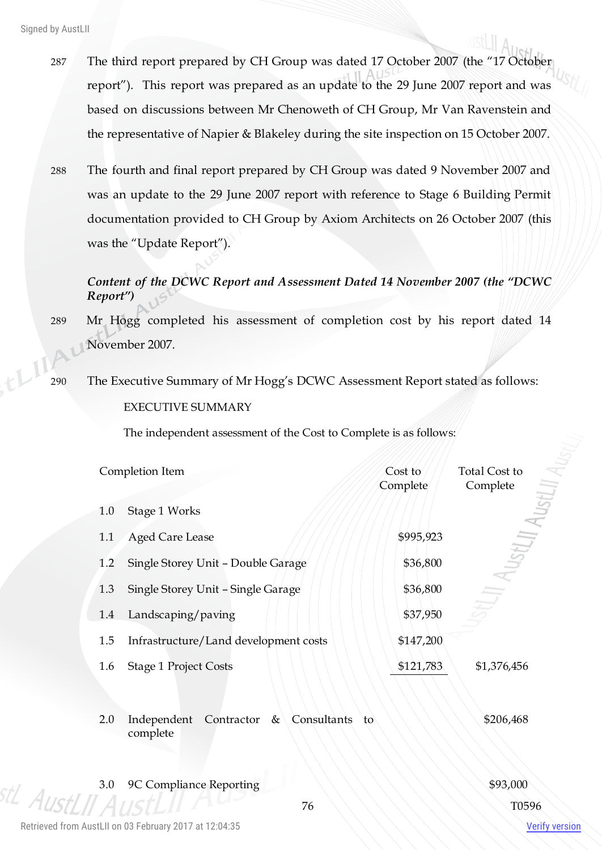- 287 The third report prepared by CH Group was dated 17 October 2007 (the "17 October report"). This report was prepared as an update to the 29 June 2007 report and was based on discussions between Mr Chenoweth of CH Group, Mr Van Ravenstein and the representative of Napier & Blakeley during the site inspection on 15 October 2007.
- 288 The fourth and final report prepared by CH Group was dated 9 November 2007 and was an update to the 29 June 2007 report with reference to Stage 6 Building Permit documentation provided to CH Group by Axiom Architects on 26 October 2007 (this was the "Update Report").

# *Content of the DCWC Report and Assessment Dated 14 November 2007 (the "DCWC Report")*

- 289 Mr Hogg completed his assessment of completion cost by his report dated 14 November 2007.
- 290 The Executive Summary of Mr Hogg's DCWC Assessment Report stated as follows: EXECUTIVE SUMMARY

The independent assessment of the Cost to Complete is as follows:

|     | Completion Item                                        | Cost to<br>Complete | Total Cost to<br>Complete |
|-----|--------------------------------------------------------|---------------------|---------------------------|
| 1.0 | Stage 1 Works                                          |                     |                           |
| 1.1 | <b>Aged Care Lease</b>                                 | \$995,923           | StLp                      |
| 1.2 | Single Storey Unit - Double Garage                     | \$36,800            |                           |
| 1.3 | Single Storey Unit - Single Garage                     | \$36,800            |                           |
| 1.4 | Landscaping/paving                                     | \$37,950            |                           |
| 1.5 | Infrastructure/Land development costs                  | \$147,200           |                           |
| 1.6 | <b>Stage 1 Project Costs</b>                           | \$121,783           | \$1,376,456               |
| 2.0 | Contractor &<br>Consultants<br>Independent<br>complete | to                  | \$206,468                 |
| 3.0 | 9C Compliance Reporting                                |                     | \$93,000                  |
|     | 76                                                     |                     | T0596                     |

Retrieved from AustLII on 03 February 2017 at 12:04:35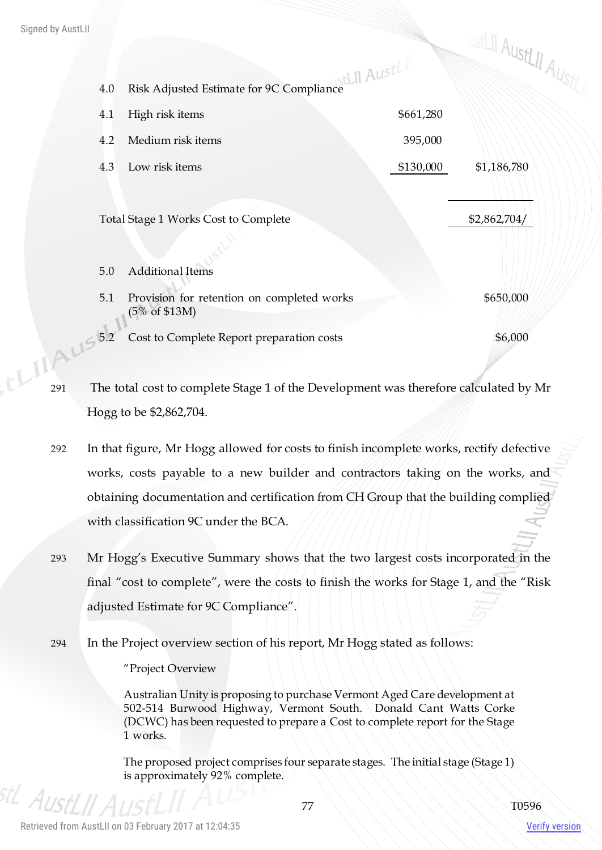| Signed by AustLII |       |                                                                                      |           | wstLII AustLII Aust/ |  |
|-------------------|-------|--------------------------------------------------------------------------------------|-----------|----------------------|--|
|                   |       |                                                                                      |           |                      |  |
|                   | 4.0   | Risk Adjusted Estimate for 9C Compliance<br>History                                  |           |                      |  |
|                   | 4.1   | High risk items                                                                      | \$661,280 |                      |  |
|                   | 4.2   | Medium risk items                                                                    | 395,000   |                      |  |
|                   | 4.3   | Low risk items                                                                       | \$130,000 | \$1,186,780          |  |
|                   |       |                                                                                      |           |                      |  |
|                   |       | Total Stage 1 Works Cost to Complete                                                 |           | \$2,862,704/         |  |
|                   |       |                                                                                      |           |                      |  |
|                   | $5.0$ | <b>Additional Items</b>                                                              |           |                      |  |
|                   | 5.1   | Provision for retention on completed works                                           |           | \$650,000            |  |
|                   |       | $(5\% \text{ of } $13M)$                                                             |           |                      |  |
|                   |       | Cost to Complete Report preparation costs                                            |           | \$6,000              |  |
| tLIAUSB2          |       |                                                                                      |           |                      |  |
| 291               |       | The total cost to complete Stage 1 of the Development was therefore calculated by Mr |           |                      |  |

- Hogg to be \$2,862,704.
- 292 In that figure, Mr Hogg allowed for costs to finish incomplete works, rectify defective works, costs payable to a new builder and contractors taking on the works, and obtaining documentation and certification from CH Group that the building complied with classification 9C under the BCA.
- 293 Mr Hogg's Executive Summary shows that the two largest costs incorporated in the final "cost to complete", were the costs to finish the works for Stage 1, and the "Risk adjusted Estimate for 9C Compliance".
- 294 In the Project overview section of his report, Mr Hogg stated as follows:

"Project Overview

Australian Unity is proposing to purchase Vermont Aged Care development at 502-514 Burwood Highway, Vermont South. Donald Cant Watts Corke (DCWC) has been requested to prepare a Cost to complete report for the Stage 1 works.

The proposed project comprises four separate stages. The initial stage (Stage 1) is approximately 92% complete.

<sup>stL</sup> AustLII A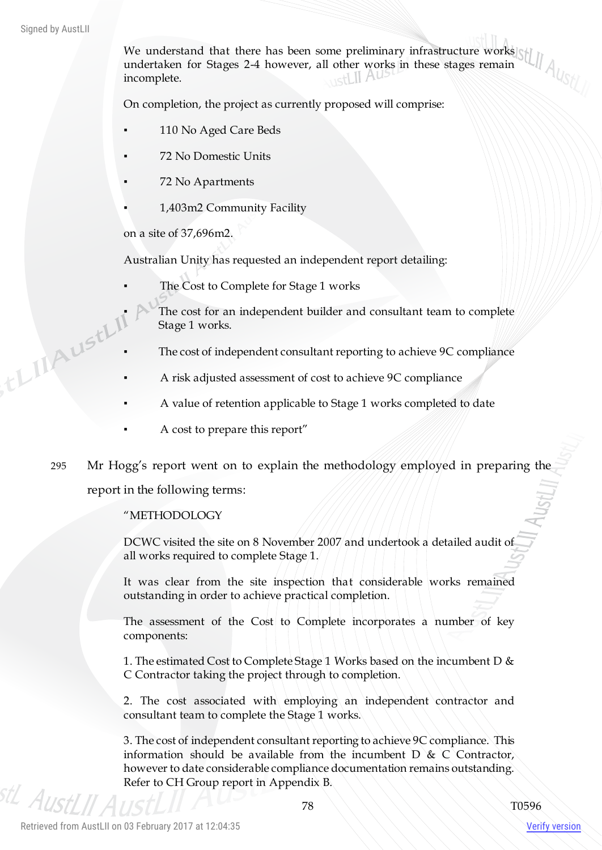We understand that there has been some preliminary infrastructure works undertaken for Stages 2-4 however, all other works in these stages remain incomplete.

On completion, the project as currently proposed will comprise:

- 110 No Aged Care Beds
- 72 No Domestic Units
- 72 No Apartments
- 1,403m2 Community Facility

on a site of 37,696m2.

Australian Unity has requested an independent report detailing:

- The Cost to Complete for Stage 1 works
- The cost for an independent builder and consultant team to complete<br>Stage 1 works.<br>The cost of independent consultant reporting to 2011.<br>A right is the cost of independent consultant reporting to 2011. Stage 1 works.
	- The cost of independent consultant reporting to achieve 9C compliance
	- A risk adjusted assessment of cost to achieve 9C compliance
	- A value of retention applicable to Stage 1 works completed to date
	- A cost to prepare this report"
	- 295 Mr Hogg's report went on to explain the methodology employed in preparing the report in the following terms:

#### "METHODOLOGY

DCWC visited the site on 8 November 2007 and undertook a detailed audit of all works required to complete Stage 1.

It was clear from the site inspection that considerable works remained outstanding in order to achieve practical completion.

The assessment of the Cost to Complete incorporates a number of key components:

1. The estimated Cost to Complete Stage 1 Works based on the incumbent D & C Contractor taking the project through to completion.

2. The cost associated with employing an independent contractor and consultant team to complete the Stage 1 works.

3. The cost of independent consultant reporting to achieve 9C compliance. This information should be available from the incumbent  $D \& C$  Contractor, however to date considerable compliance documentation remains outstanding. Refer to CH Group report in Appendix B.

AustI II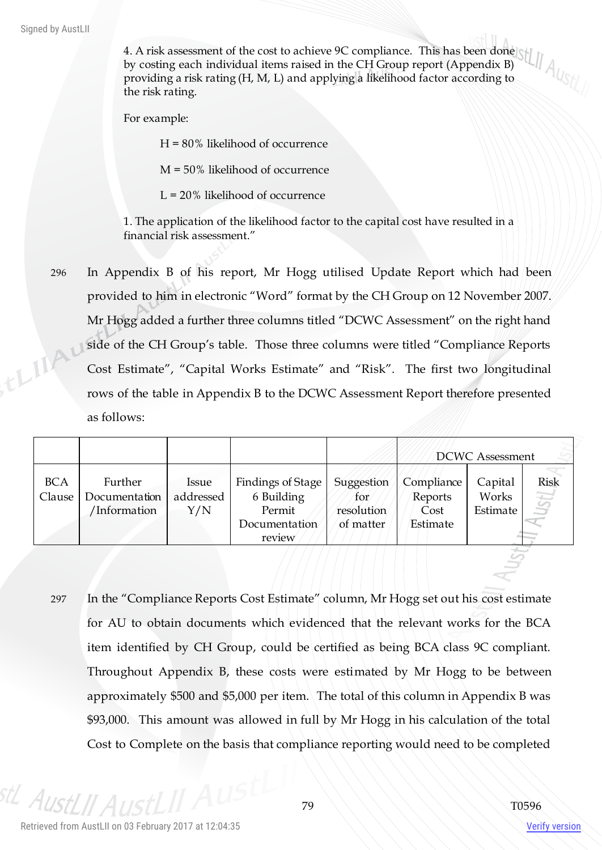Signed by AustLII

4. A risk assessment of the cost to achieve 9C compliance. This has been done by costing each individual items raised in the CH Group report (Appendix B) providing a risk rating (H, M, L) and applying a likelihood factor according to the risk rating.

For example:

H = 80% likelihood of occurrence

M = 50% likelihood of occurrence

L = 20% likelihood of occurrence

1. The application of the likelihood factor to the capital cost have resulted in a financial risk assessment."

296 In Appendix B of his report, Mr Hogg utilised Update Report which had been provided to him in electronic "Word" format by the CH Group on 12 November 2007. Mr Hogg added a further three columns titled "DCWC Assessment" on the right hand thingu side of the CH Group's table. Those three columns were titled "Compliance Reports Cost Estimate", "Capital Works Estimate" and "Risk". The first two longitudinal rows of the table in Appendix B to the DCWC Assessment Report therefore presented as follows:

|                      |                                          |                           |                                                                      |                                              |                                           | <b>DCWC</b> Assessment       |                     |
|----------------------|------------------------------------------|---------------------------|----------------------------------------------------------------------|----------------------------------------------|-------------------------------------------|------------------------------|---------------------|
| <b>BCA</b><br>Clause | Further<br>Documentation<br>'Information | Issue<br>addressed<br>Y/N | Findings of Stage<br>6 Building<br>Permit<br>Documentation<br>review | Suggestion<br>for<br>resolution<br>of matter | Compliance<br>Reports<br>Cost<br>Estimate | Capital<br>Works<br>Estimate | Risk<br><b>ISPI</b> |

297 In the "Compliance Reports Cost Estimate" column, Mr Hogg set out his cost estimate for AU to obtain documents which evidenced that the relevant works for the BCA item identified by CH Group, could be certified as being BCA class 9C compliant. Throughout Appendix B, these costs were estimated by Mr Hogg to be between approximately \$500 and \$5,000 per item. The total of this column in Appendix B was \$93,000. This amount was allowed in full by Mr Hogg in his calculation of the total Cost to Complete on the basis that compliance reporting would need to be completed

<sup>stL</sup> AustLII A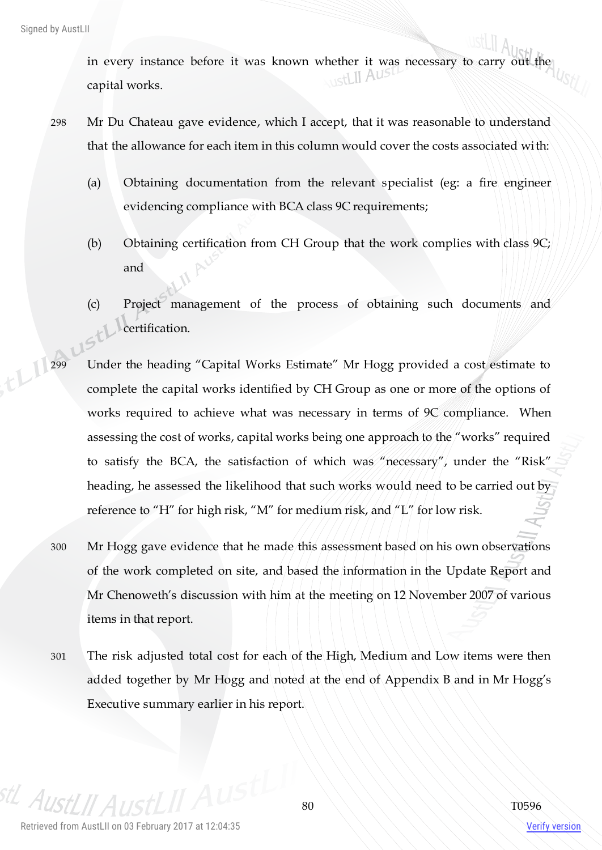in every instance before it was known whether it was necessary to carry out the canital works capital works.

- 298 Mr Du Chateau gave evidence, which I accept, that it was reasonable to understand that the allowance for each item in this column would cover the costs associated with:
	- (a) Obtaining documentation from the relevant specialist (eg: a fire engineer evidencing compliance with BCA class 9C requirements;
	- (b) Obtaining certification from CH Group that the work complies with class 9C; and
	- (c) Project management of the process of obtaining such documents and certification.
- 299 Under the heading "Capital Works Estimate" Mr Hogg provided a cost estimate to complete the capital works identified by CH Group as one or more of the options of works required to achieve what was necessary in terms of 9C compliance. When assessing the cost of works, capital works being one approach to the "works" required to satisfy the BCA, the satisfaction of which was "necessary", under the "Risk" heading, he assessed the likelihood that such works would need to be carried out by reference to "H" for high risk, "M" for medium risk, and "L" for low risk.
	- 300 Mr Hogg gave evidence that he made this assessment based on his own observations of the work completed on site, and based the information in the Update Report and Mr Chenoweth's discussion with him at the meeting on 12 November 2007 of various items in that report.
	- 301 The risk adjusted total cost for each of the High, Medium and Low items were then added together by Mr Hogg and noted at the end of Appendix B and in Mr Hogg's Executive summary earlier in his report.

 $A$ lis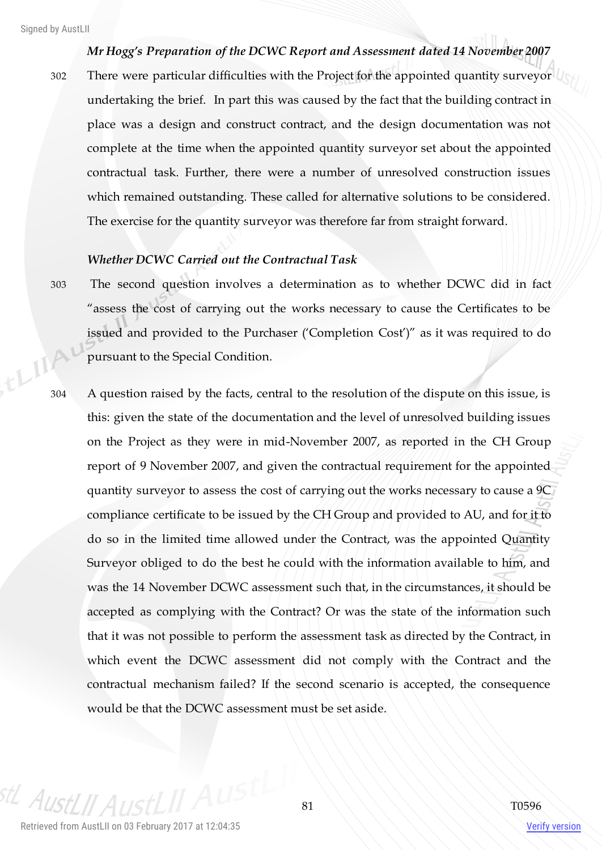*Mr Hogg's Preparation of the DCWC Report and Assessment dated 14 November 2007*

302 There were particular difficulties with the Project for the appointed quantity surveyor undertaking the brief. In part this was caused by the fact that the building contract in place was a design and construct contract, and the design documentation was not complete at the time when the appointed quantity surveyor set about the appointed contractual task. Further, there were a number of unresolved construction issues which remained outstanding. These called for alternative solutions to be considered. The exercise for the quantity surveyor was therefore far from straight forward.

## *Whether DCWC Carried out the Contractual Task*

- 303 The second question involves a determination as to whether DCWC did in fact "assess the cost of carrying out the works necessary to cause the Certificates to be issued and provided to the Purchaser ('Completion Cost')" as it was required to do pursuant to the Special Condition.
- 304 A question raised by the facts, central to the resolution of the dispute on this issue, is this: given the state of the documentation and the level of unresolved building issues on the Project as they were in mid-November 2007, as reported in the CH Group report of 9 November 2007, and given the contractual requirement for the appointed quantity surveyor to assess the cost of carrying out the works necessary to cause a 9C compliance certificate to be issued by the CH Group and provided to AU, and for it to do so in the limited time allowed under the Contract, was the appointed Quantity Surveyor obliged to do the best he could with the information available to him, and was the 14 November DCWC assessment such that, in the circumstances, it should be accepted as complying with the Contract? Or was the state of the information such that it was not possible to perform the assessment task as directed by the Contract, in which event the DCWC assessment did not comply with the Contract and the contractual mechanism failed? If the second scenario is accepted, the consequence would be that the DCWC assessment must be set aside.

<sup>stL</sup> AustLII A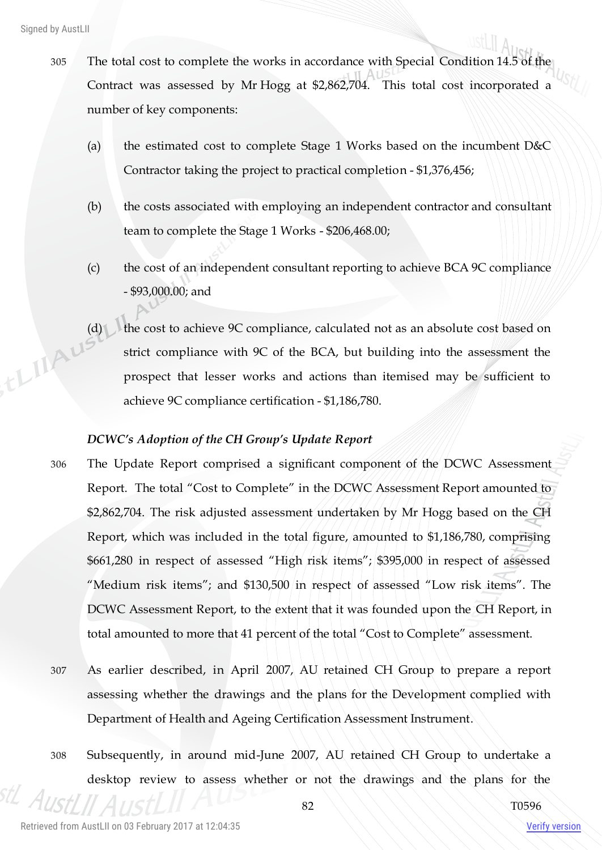Signed by AustLII

- 305 The total cost to complete the works in accordance with Special Condition 14.5 of the Contract was assessed by Mr Hogg at \$2,862,704. This total cost incorporated a number of key components:
	- (a) the estimated cost to complete Stage 1 Works based on the incumbent D&C Contractor taking the project to practical completion - \$1,376,456;
	- (b) the costs associated with employing an independent contractor and consultant team to complete the Stage 1 Works - \$206,468.00;
	- (c) the cost of an independent consultant reporting to achieve BCA 9C compliance - \$93,000.00; and
- (d) the cost to achieve 9C compliance, calculated not as an absolute cost based on strict compliance with 9C of the BCA, but building into the assessment the prospect that lesser words strict compliance with 9C of the BCA, but building into the assessment the prospect that lesser works and actions than itemised may be sufficient to achieve 9C compliance certification - \$1,186,780.

# *DCWC's Adoption of the CH Group's Update Report*

- 306 The Update Report comprised a significant component of the DCWC Assessment Report. The total "Cost to Complete" in the DCWC Assessment Report amounted to \$2,862,704. The risk adjusted assessment undertaken by Mr Hogg based on the CH Report, which was included in the total figure, amounted to \$1,186,780, comprising \$661,280 in respect of assessed "High risk items"; \$395,000 in respect of assessed "Medium risk items"; and \$130,500 in respect of assessed "Low risk items". The DCWC Assessment Report, to the extent that it was founded upon the CH Report, in total amounted to more that 41 percent of the total "Cost to Complete" assessment.
- 307 As earlier described, in April 2007, AU retained CH Group to prepare a report assessing whether the drawings and the plans for the Development complied with Department of Health and Ageing Certification Assessment Instrument.
- 308 Subsequently, in around mid-June 2007, AU retained CH Group to undertake a desktop review to assess whether or not the drawings and the plans for the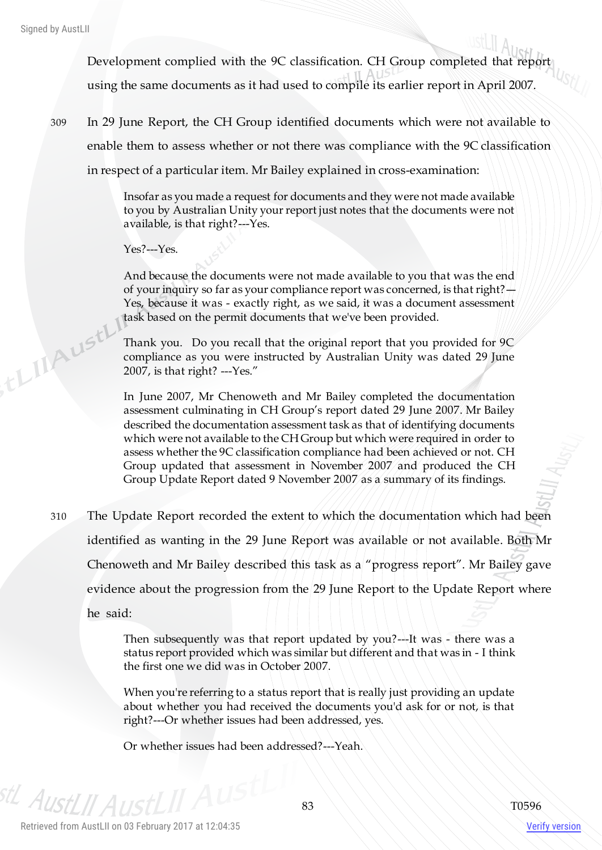,tLIIAUstl

Development complied with the 9C classification. CH Group completed that report using the same documents as it had used to compile its earlier report in April 2007.

309 In 29 June Report, the CH Group identified documents which were not available to enable them to assess whether or not there was compliance with the 9C classification in respect of a particular item. Mr Bailey explained in cross-examination:

> Insofar as you made a request for documents and they were not made available to you by Australian Unity your report just notes that the documents were not available, is that right?---Yes.

Yes?---Yes.

And because the documents were not made available to you that was the end of your inquiry so far as your compliance report was concerned, is that right? $-$ Yes, because it was - exactly right, as we said, it was a document assessment task based on the permit documents that we've been provided.

Thank you. Do you recall that the original report that you provided for 9C compliance as you were instructed by Australian Unity was dated 29 June 2007, is that right? ---Yes."

In June 2007, Mr Chenoweth and Mr Bailey completed the documentation assessment culminating in CH Group's report dated 29 June 2007. Mr Bailey described the documentation assessment task as that of identifying documents which were not available to the CH Group but which were required in order to assess whether the 9C classification compliance had been achieved or not. CH Group updated that assessment in November 2007 and produced the CH Group Update Report dated 9 November 2007 as a summary of its findings.

310 The Update Report recorded the extent to which the documentation which had been identified as wanting in the 29 June Report was available or not available. Both Mr Chenoweth and Mr Bailey described this task as a "progress report". Mr Bailey gave evidence about the progression from the 29 June Report to the Update Report where he said:

> Then subsequently was that report updated by you?---It was - there was a status report provided which was similar but different and that was in - I think the first one we did was in October 2007.

> When you're referring to a status report that is really just providing an update about whether you had received the documents you'd ask for or not, is that right?---Or whether issues had been addressed, yes.

Or whether issues had been addressed?---Yeah.

<sup>stL</sup> AustLII A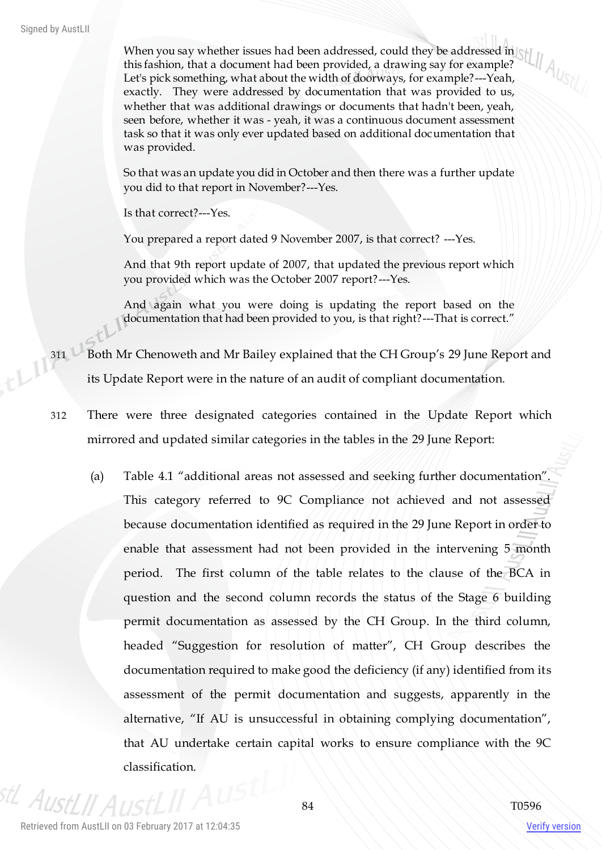When you say whether issues had been addressed, could they be addressed in this fashion, that a document had been provided, a drawing say for example? Let's pick something, what about the width of doorways, for example?---Yeah, exactly. They were addressed by documentation that was provided to us, whether that was additional drawings or documents that hadn't been, yeah, seen before, whether it was - yeah, it was a continuous document assessment task so that it was only ever updated based on additional documentation that was provided.

So that was an update you did in October and then there was a further update you did to that report in November?---Yes.

Is that correct?---Yes.

You prepared a report dated 9 November 2007, is that correct? ---Yes.

And that 9th report update of 2007, that updated the previous report which you provided which was the October 2007 report?---Yes.

And again what you were doing is updating the report based on the documentation that had been provided to you, is that right?---That is correct."

311 Both Mr Chenoweth and Mr Bailey explained that the CH Group's 29 June Report and its Update Report were in the nature of an audit of compliant documentation.

- 312 There were three designated categories contained in the Update Report which mirrored and updated similar categories in the tables in the 29 June Report:
	- (a) Table 4.1 "additional areas not assessed and seeking further documentation". This category referred to 9C Compliance not achieved and not assessed because documentation identified as required in the 29 June Report in order to enable that assessment had not been provided in the intervening 5 month period. The first column of the table relates to the clause of the BCA in question and the second column records the status of the Stage 6 building permit documentation as assessed by the CH Group. In the third column, headed "Suggestion for resolution of matter", CH Group describes the documentation required to make good the deficiency (if any) identified from its assessment of the permit documentation and suggests, apparently in the alternative, "If AU is unsuccessful in obtaining complying documentation", that AU undertake certain capital works to ensure compliance with the 9C classification.

<sup>stL</sup> AustLII A

Verify version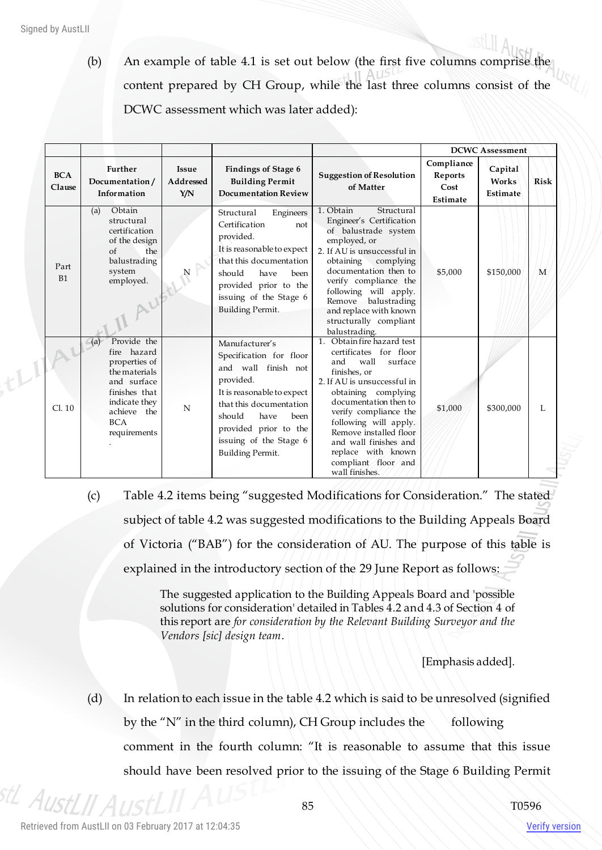$t^{[1]}$ 

(b) An example of table 4.1 is set out below (the first five columns comprise the content prepared by CH Group, while the last three columns consist of the DCWC assessment which was later added):

|                      |                                                                                                                                                                   |                                  |                                                                                                                                                                                                                                         |                                                                                                                                                                                                                                                                                                                                                   |                                           | <b>DCWC Assessment</b>       |              |
|----------------------|-------------------------------------------------------------------------------------------------------------------------------------------------------------------|----------------------------------|-----------------------------------------------------------------------------------------------------------------------------------------------------------------------------------------------------------------------------------------|---------------------------------------------------------------------------------------------------------------------------------------------------------------------------------------------------------------------------------------------------------------------------------------------------------------------------------------------------|-------------------------------------------|------------------------------|--------------|
| <b>BCA</b><br>Clause | Further<br>Documentation/<br>Information                                                                                                                          | <b>Issue</b><br>Addressed<br>Y/N | <b>Findings of Stage 6</b><br><b>Building Permit</b><br><b>Documentation Review</b>                                                                                                                                                     | <b>Suggestion of Resolution</b><br>of Matter                                                                                                                                                                                                                                                                                                      | Compliance<br>Reports<br>Cost<br>Estimate | Capital<br>Works<br>Estimate | <b>Risk</b>  |
| Part<br>B1           | Obtain<br>(a)<br>structural<br>certification<br>of the design<br>of<br>the<br>balustrading<br>system<br>employed.<br>· Aut                                        | $N_{\rm}$                        | Structural<br>Engineers<br>Certification<br>not<br>provided.<br>It is reasonable to expect<br>that this documentation<br>should<br>have<br>been<br>provided prior to the<br>issuing of the Stage 6<br><b>Building Permit.</b>           | 1. Obtain<br>Structural<br>Engineer's Certification<br>of balustrade system<br>employed, or<br>2. If AU is unsuccessful in<br>obtaining complying<br>documentation then to<br>verify compliance the<br>following will apply.<br>balustrading<br>Remove<br>and replace with known<br>structurally compliant<br>balustrading.                       | \$5,000                                   | \$150,000                    | M            |
| Cl. 10               | Provide the<br>(a)<br>fire hazard<br>properties of<br>the materials<br>and surface<br>finishes that<br>indicate they<br>achieve the<br><b>BCA</b><br>requirements | N                                | Manufacturer's<br>Specification for floor<br>and wall finish not<br>provided.<br>It is reasonable to expect<br>that this documentation<br>should<br>have<br>been<br>provided prior to the<br>issuing of the Stage 6<br>Building Permit. | 1. Obtain fire hazard test<br>certificates for floor<br>wall<br>and<br>surface<br>finishes, or<br>2. If AU is unsuccessful in<br>obtaining complying<br>documentation then to<br>verify compliance the<br>following will apply.<br>Remove installed floor<br>and wall finishes and<br>replace with known<br>compliant floor and<br>wall finishes. | \$1,000                                   | \$300,000                    | $\mathbf{L}$ |

(c) Table 4.2 items being "suggested Modifications for Consideration." The stated subject of table 4.2 was suggested modifications to the Building Appeals Board of Victoria ("BAB") for the consideration of AU. The purpose of this table is explained in the introductory section of the 29 June Report as follows:

> The suggested application to the Building Appeals Board and 'possible solutions for consideration' detailed in Tables 4.2 and 4.3 of Section 4 of this report are *for consideration by the Relevant Building Surveyor and the Vendors [sic] design team*.

> > [Emphasis added].

(d) In relation to each issue in the table 4.2 which is said to be unresolved (signified by the "N" in the third column), CH Group includes the  $\setminus$  following comment in the fourth column: "It is reasonable to assume that this issue should have been resolved prior to the issuing of the Stage 6 Building Permit

stL AustLII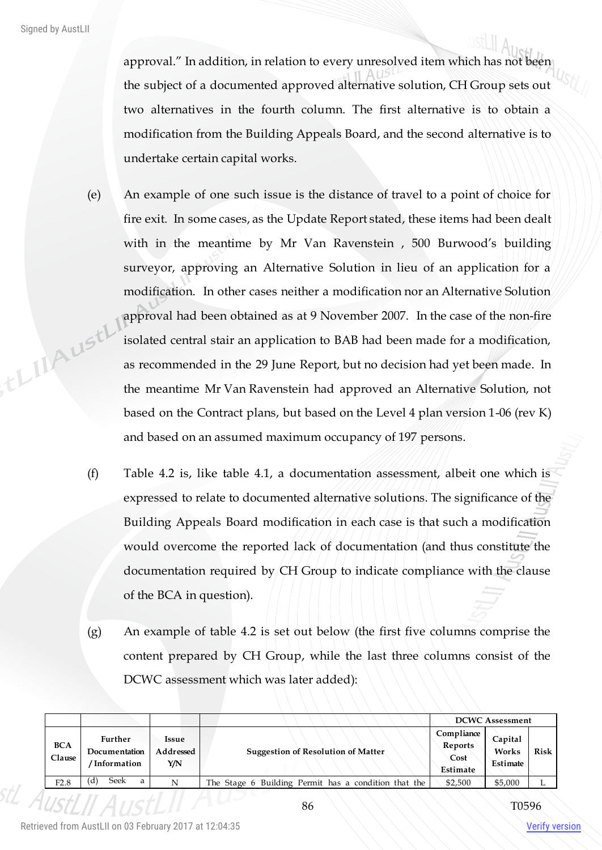approval." In addition, in relation to every unresolved item which has not been the subject of a documented approved alternative solution, CH Group sets out two alternatives in the fourth column. The first alternative is to obtain a modification from the Building Appeals Board, and the second alternative is to undertake certain capital works.

- (e) An example of one such issue is the distance of travel to a point of choice for fire exit. In some cases, as the Update Report stated, these items had been dealt with in the meantime by Mr Van Ravenstein , 500 Burwood's building surveyor, approving an Alternative Solution in lieu of an application for a modification. In other cases neither a modification nor an Alternative Solution approval had been obtained as at 9 November 2007. In the case of the non-fire th Linesth isolated central stair an application to BAB had been made for a modification, as recommended in the 29 June Report, but no decision had yet been made. In the meantime Mr Van Ravenstein had approved an Alternative Solution, not based on the Contract plans, but based on the Level 4 plan version 1-06 (rev K) and based on an assumed maximum occupancy of 197 persons.
	- (f) Table 4.2 is, like table 4.1, a documentation assessment, albeit one which is expressed to relate to documented alternative solutions. The significance of the Building Appeals Board modification in each case is that such a modification would overcome the reported lack of documentation (and thus constitute the documentation required by CH Group to indicate compliance with the clause of the BCA in question).
	- (g) An example of table 4.2 is set out below (the first five columns comprise the content prepared by CH Group, while the last three columns consist of the DCWC assessment which was later added):

|                      |                                           |                           |                                                      |                                           | <b>DCWC Assessment</b>       |             |
|----------------------|-------------------------------------------|---------------------------|------------------------------------------------------|-------------------------------------------|------------------------------|-------------|
| <b>BCA</b><br>Clause | Further<br>Documentation<br>' Information | Issue<br>Addressed<br>Y/N | <b>Suggestion of Resolution of Matter</b>            | Compliance<br>Reports<br>Cost<br>Estimate | Capital<br>Works<br>Estimate | <b>Risk</b> |
| F2.8                 | Seek<br>'d)<br>a                          | N                         | The Stage 6 Building Permit has a condition that the | \$2,500                                   | \$5,000                      |             |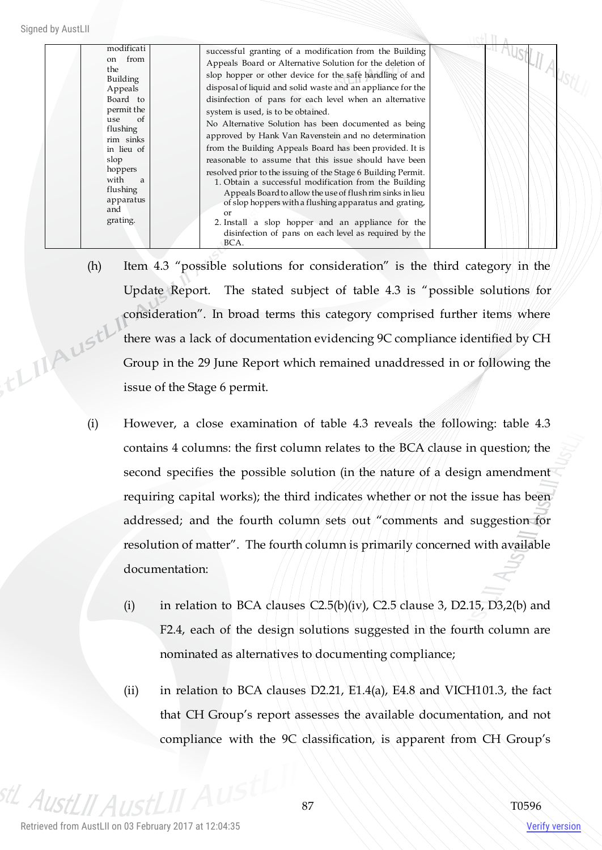modificati on from the Building Appeals Board to permit the use of flushing rim sinks in lieu of slop hoppers with a flushing apparatus and grating.

AustLII AustL successful granting of a modification from the Building Appeals Board or Alternative Solution for the deletion of slop hopper or other device for the safe handling of and disposal of liquid and solid waste and an appliance for the disinfection of pans for each level when an alternative system is used, is to be obtained. No Alternative Solution has been documented as being approved by Hank Van Ravenstein and no determination from the Building Appeals Board has been provided. It is reasonable to assume that this issue should have been resolved prior to the issuing of the Stage 6 Building Permit. 1. Obtain a successful modification from the Building Appeals Board to allow the use of flush rim sinks in lieu of slop hoppers with a flushing apparatus and grating, or 2. Install a slop hopper and an appliance for the disinfection of pans on each level as required by the BCA.

- (h) Item 4.3 "possible solutions for consideration" is the third category in the Update Report. The stated subject of table 4.3 is "possible solutions for consideration". In broad terms this category comprised further items where , the MAUSTL' there was a lack of documentation evidencing 9C compliance identified by CH Group in the 29 June Report which remained unaddressed in or following the issue of the Stage 6 permit.
	- (i) However, a close examination of table 4.3 reveals the following: table 4.3 contains 4 columns: the first column relates to the BCA clause in question; the second specifies the possible solution (in the nature of a design amendment requiring capital works); the third indicates whether or not the issue has been addressed; and the fourth column sets out "comments and suggestion for resolution of matter". The fourth column is primarily concerned with available documentation:
		- (i) in relation to BCA clauses  $C2.5(b)(iv)$ , C2.5 clause 3, D2.15, D3,2(b) and F2.4, each of the design solutions suggested in the fourth column are nominated as alternatives to documenting compliance;
		- (ii) in relation to BCA clauses D2.21, E1.4(a), E4.8 and VICH101.3, the fact that CH Group's report assesses the available documentation, and not compliance with the 9C classification, is apparent from CH Group's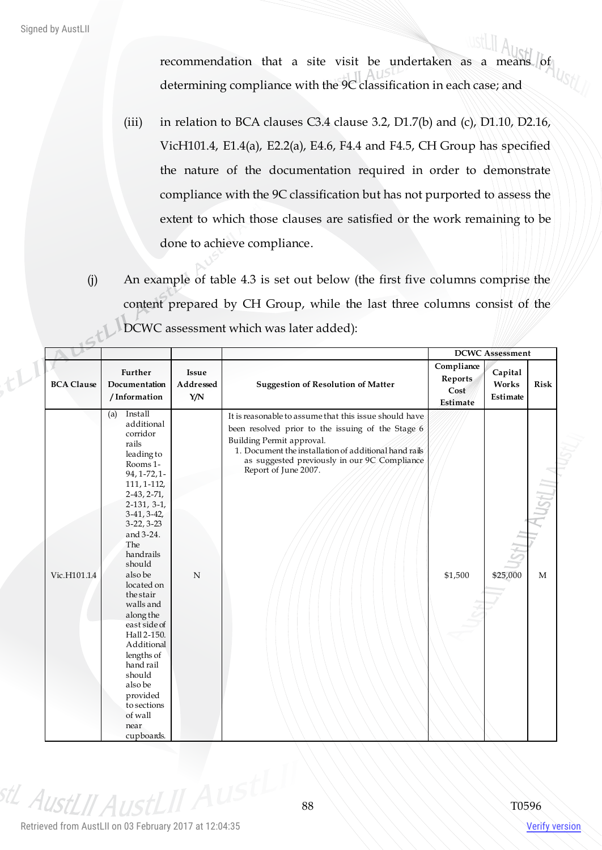$t^{1}$ 

recommendation that a site visit be undertaken as a means  $|$  of determining compliance with the 9C classification in each case; and

- (iii) in relation to BCA clauses C3.4 clause 3.2, D1.7(b) and (c), D1.10, D2.16, VicH101.4, E1.4(a), E2.2(a), E4.6, F4.4 and F4.5, CH Group has specified the nature of the documentation required in order to demonstrate compliance with the 9C classification but has not purported to assess the extent to which those clauses are satisfied or the work remaining to be done to achieve compliance.
- (j) An example of table 4.3 is set out below (the first five columns comprise the content prepared by CH Group, while the last three columns consist of the DCWC assessment which was later added):

|                   |                                                                                                                                                                                                                                                                                                                                                                                                                                                        |                           |                                                                                                                                                                                                                                                                           |                                                  | <b>DCWC</b> Assessment       |                      |
|-------------------|--------------------------------------------------------------------------------------------------------------------------------------------------------------------------------------------------------------------------------------------------------------------------------------------------------------------------------------------------------------------------------------------------------------------------------------------------------|---------------------------|---------------------------------------------------------------------------------------------------------------------------------------------------------------------------------------------------------------------------------------------------------------------------|--------------------------------------------------|------------------------------|----------------------|
| <b>BCA Clause</b> | Further<br>Documentation<br>/Information                                                                                                                                                                                                                                                                                                                                                                                                               | Issue<br>Addressed<br>Y/N | <b>Suggestion of Resolution of Matter</b>                                                                                                                                                                                                                                 | Compliance<br><b>Reports</b><br>Cost<br>Estimate | Capital<br>Works<br>Estimate | <b>Risk</b>          |
| Vic.H101.1.4      | Install<br>(a)<br>additional<br>corridor<br>rails<br>leading to<br>Rooms 1-<br>$94, 1 - 72, 1 -$<br>111, 1-112,<br>$2-43, 2-71,$<br>$2-131, 3-1,$<br>$3-41, 3-42,$<br>$3-22, 3-23$<br>and 3-24.<br>The<br>handrails<br>should<br>also be<br>located on<br>the stair<br>walls and<br>along the<br>east side of<br>Hall 2-150.<br>Additional<br>lengths of<br>hand rail<br>should<br>also be<br>provided<br>to sections<br>of wall<br>near<br>cupboards. | $\mathbf N$               | It is reasonable to assume that this issue should have<br>been resolved prior to the issuing of the Stage 6<br>Building Permit approval.<br>1. Document the installation of additional hand rails<br>as suggested previously in our 9C Compliance<br>Report of June 2007. | \$1,500                                          | \$25,000                     | SH <sub>I</sub><br>M |

<sup>stL</sup> AustLII Aus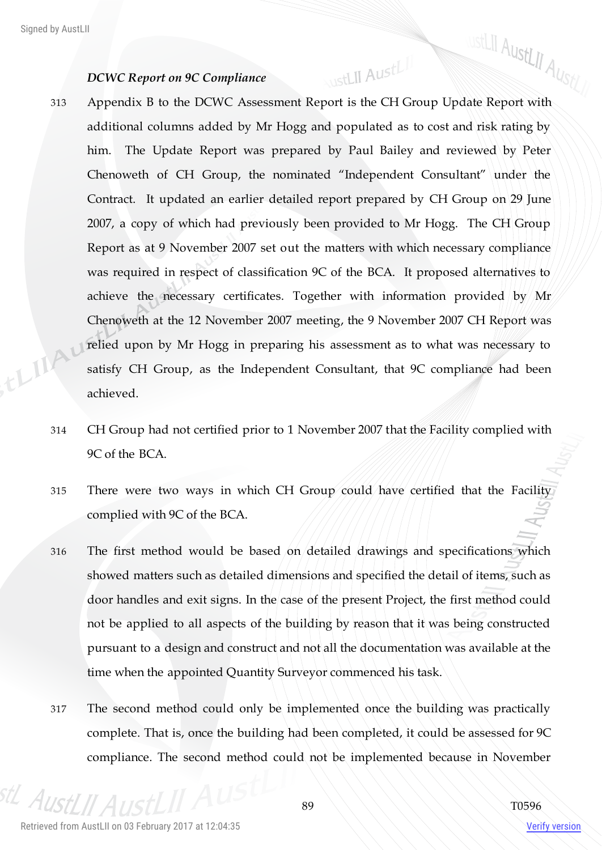## *DCWC Report on 9C Compliance*

by AustLII<br>DCWC Report on 9C Compliance<br>313 Appendix B to the DCWC Assessment Report is the CH Group Update Report with additional columns added by Mr Hogg and populated as to cost and risk rating by him. The Update Report was prepared by Paul Bailey and reviewed by Peter Chenoweth of CH Group, the nominated "Independent Consultant" under the Contract. It updated an earlier detailed report prepared by CH Group on 29 June 2007, a copy of which had previously been provided to Mr Hogg. The CH Group Report as at 9 November 2007 set out the matters with which necessary compliance was required in respect of classification 9C of the BCA. It proposed alternatives to achieve the necessary certificates. Together with information provided by Mr Chenoweth at the 12 November 2007 meeting, the 9 November 2007 CH Report was thingu relied upon by Mr Hogg in preparing his assessment as to what was necessary to satisfy CH Group, as the Independent Consultant, that 9C compliance had been achieved.

WstLII AustLII

- 314 CH Group had not certified prior to 1 November 2007 that the Facility complied with 9C of the BCA.
- 315 There were two ways in which CH Group could have certified that the Facility complied with 9C of the BCA.
- 316 The first method would be based on detailed drawings and specifications which showed matters such as detailed dimensions and specified the detail of items, such as door handles and exit signs. In the case of the present Project, the first method could not be applied to all aspects of the building by reason that it was being constructed pursuant to a design and construct and not all the documentation was available at the time when the appointed Quantity Surveyor commenced his task.
- 317 The second method could only be implemented once the building was practically complete. That is, once the building had been completed, it could be assessed for 9C compliance. The second method could not be implemented because in November

 $A_{I}$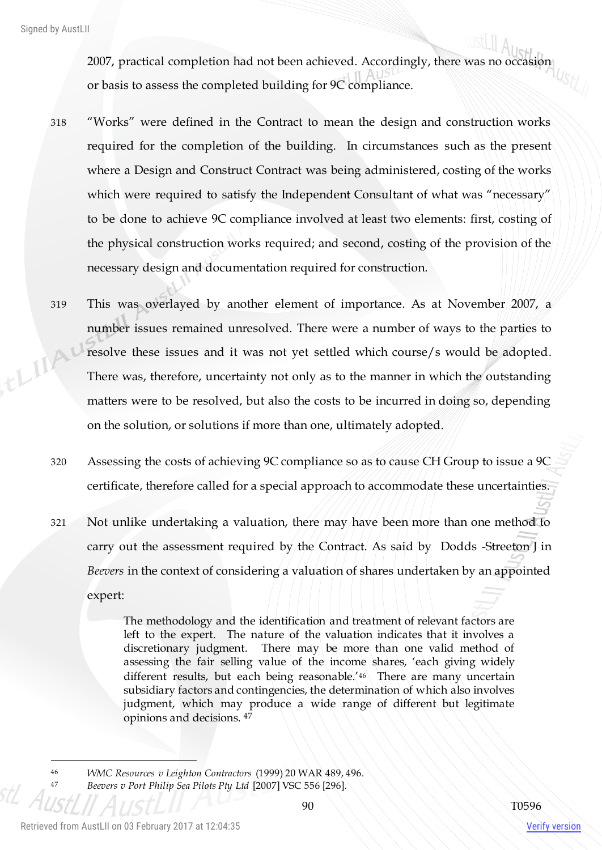2007, practical completion had not been achieved. Accordingly, there was no occasion or basis to assess the completed building for 9C compliance.

- 318 "Works" were defined in the Contract to mean the design and construction works required for the completion of the building. In circumstances such as the present where a Design and Construct Contract was being administered, costing of the works which were required to satisfy the Independent Consultant of what was "necessary" to be done to achieve 9C compliance involved at least two elements: first, costing of the physical construction works required; and second, costing of the provision of the necessary design and documentation required for construction.
- 319 This was overlayed by another element of importance. As at November 2007, a number issues remained unresolved. There were a number of ways to the parties to thing! resolve these issues and it was not yet settled which course/s would be adopted. There was, therefore, uncertainty not only as to the manner in which the outstanding matters were to be resolved, but also the costs to be incurred in doing so, depending on the solution, or solutions if more than one, ultimately adopted.
	- 320 Assessing the costs of achieving 9C compliance so as to cause CH Group to issue a 9C certificate, therefore called for a special approach to accommodate these uncertainties.
	- 321 Not unlike undertaking a valuation, there may have been more than one method to carry out the assessment required by the Contract. As said by Dodds -Streeton J in *Beevers* in the context of considering a valuation of shares undertaken by an appointed expert:

The methodology and the identification and treatment of relevant factors are left to the expert. The nature of the valuation indicates that it involves a discretionary judgment. There may be more than one valid method of assessing the fair selling value of the income shares, 'each giving widely different results, but each being reasonable.<sup>'46</sup> There are many uncertain subsidiary factors and contingencies, the determination of which also involves judgment, which may produce a wide range of different but legitimate opinions and decisions. <sup>47</sup>

 $\overline{a}$ 

<sup>46</sup> *WMC Resources v Leighton Contractors* (1999) 20 WAR 489, 496. <sup>47</sup> *Beevers v Port Philip Sea Pilots Pty Ltd* [2007] VSC 556 [296].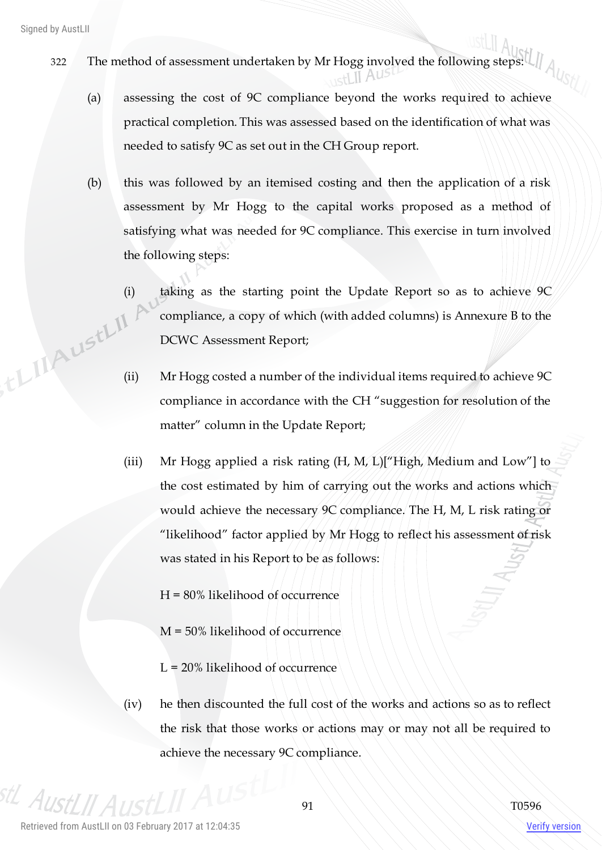- $\begin{array}{c|c} \text{322} & \text{The method of assessment undertaken by Mr Hogg involved the following steps:} \end{array}$ 
	- (a) assessing the cost of 9C compliance beyond the works required to achieve practical completion. This was assessed based on the identification of what was needed to satisfy 9C as set out in the CH Group report.
	- (b) this was followed by an itemised costing and then the application of a risk assessment by Mr Hogg to the capital works proposed as a method of satisfying what was needed for 9C compliance. This exercise in turn involved the following steps:
- (i) taking as the starting point the Update Report so as to achieve 9C<br>compliance, a copy of which (with added columns) is Annexure B to the<br>DCWC Assessment Report;<br>(ii)  $Mr Hc$ compliance, a copy of which (with added columns) is Annexure B to the DCWC Assessment Report;
	- Mr Hogg costed a number of the individual items required to achieve 9C compliance in accordance with the CH "suggestion for resolution of the matter" column in the Update Report;
	- (iii) Mr Hogg applied a risk rating (H, M, L)["High, Medium and Low"] to the cost estimated by him of carrying out the works and actions which would achieve the necessary 9C compliance. The H, M, L risk rating or "likelihood" factor applied by Mr Hogg to reflect his assessment of risk was stated in his Report to be as follows:
		- H = 80% likelihood of occurrence
		- M = 50% likelihood of occurrence
		- L = 20% likelihood of occurrence
	- (iv) he then discounted the full cost of the works and actions so as to reflect the risk that those works or actions may or may not all be required to achieve the necessary 9C compliance.

AustI II A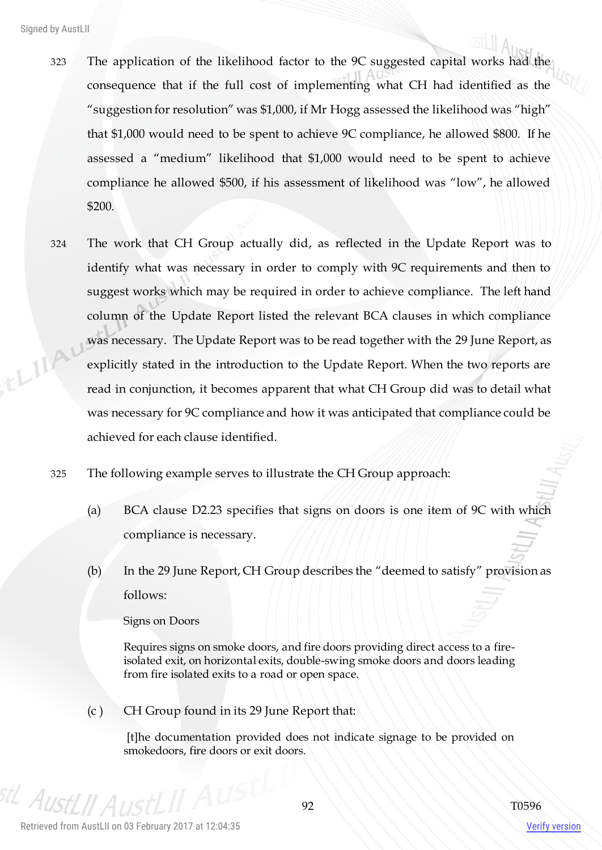- 323 The application of the likelihood factor to the 9C suggested capital works had the consequence that if the full cost of implementing what CH had identified as the "suggestion for resolution" was \$1,000, if Mr Hogg assessed the likelihood was "high" that \$1,000 would need to be spent to achieve 9C compliance, he allowed \$800. If he assessed a "medium" likelihood that \$1,000 would need to be spent to achieve compliance he allowed \$500, if his assessment of likelihood was "low", he allowed \$200.
- 324 The work that CH Group actually did, as reflected in the Update Report was to identify what was necessary in order to comply with 9C requirements and then to suggest works which may be required in order to achieve compliance. The left hand column of the Update Report listed the relevant BCA clauses in which compliance thing was necessary. The Update Report was to be read together with the 29 June Report, as explicitly stated in the introduction to the Update Report. When the two reports are read in conjunction, it becomes apparent that what CH Group did was to detail what was necessary for 9C compliance and how it was anticipated that compliance could be achieved for each clause identified.
	- 325 The following example serves to illustrate the CH Group approach:
		- (a) BCA clause D2.23 specifies that signs on doors is one item of 9C with which compliance is necessary.
		- (b) In the 29 June Report, CH Group describes the "deemed to satisfy" provision as follows:

Signs on Doors

Requires signs on smoke doors, and fire doors providing direct access to a fireisolated exit, on horizontal exits, double-swing smoke doors and doors leading from fire isolated exits to a road or open space.

(c ) CH Group found in its 29 June Report that:

[t]he documentation provided does not indicate signage to be provided on smokedoors, fire doors or exit doors.

 $A_{I\!I\!S}$ 

Verify version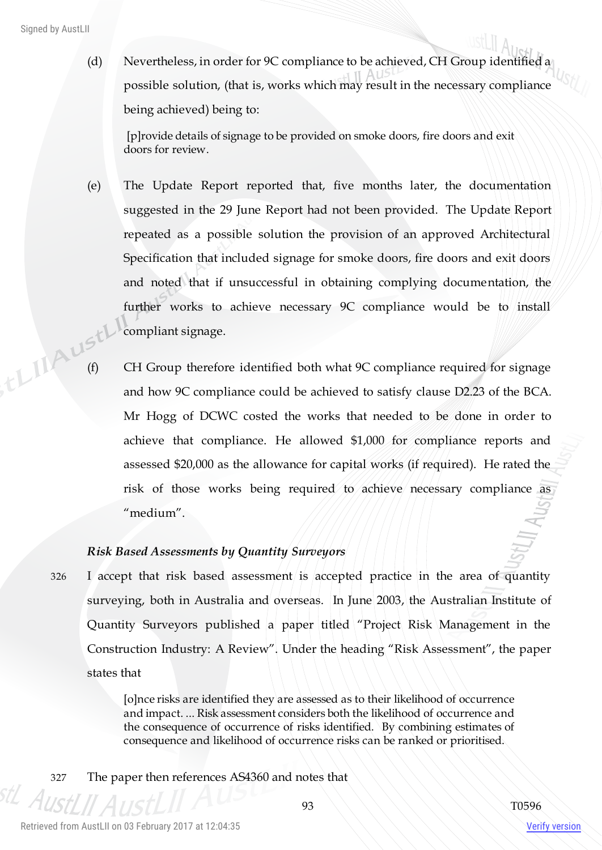(d) Nevertheless, in order for 9C compliance to be achieved, CH Group identified a possible solution, (that is, works which may result in the necessary compliance being achieved) being to:

[p]rovide details of signage to be provided on smoke doors, fire doors and exit doors for review.

- (e) The Update Report reported that, five months later, the documentation suggested in the 29 June Report had not been provided. The Update Report repeated as a possible solution the provision of an approved Architectural Specification that included signage for smoke doors, fire doors and exit doors and noted that if unsuccessful in obtaining complying documentation, the further works to achieve necessary 9C compliance would be to install compliant signage.
- (f) CH Group therefore identified both what 9C compliance required for signage<br>and how 9C compliance required for signage and how 9C compliance could be achieved to satisfy clause D2.23 of the BCA. Mr Hogg of DCWC costed the works that needed to be done in order to achieve that compliance. He allowed \$1,000 for compliance reports and assessed \$20,000 as the allowance for capital works (if required). He rated the risk of those works being required to achieve necessary compliance as "medium".

## *Risk Based Assessments by Quantity Surveyors*

326 I accept that risk based assessment is accepted practice in the area of quantity surveying, both in Australia and overseas. In June 2003, the Australian Institute of Quantity Surveyors published a paper titled "Project Risk Management in the Construction Industry: A Review". Under the heading "Risk Assessment", the paper states that

> [o]nce risks are identified they are assessed as to their likelihood of occurrence and impact. ... Risk assessment considers both the likelihood of occurrence and the consequence of occurrence of risks identified. By combining estimates of consequence and likelihood of occurrence risks can be ranked or prioritised.

327 The paper then references AS4360 and notes that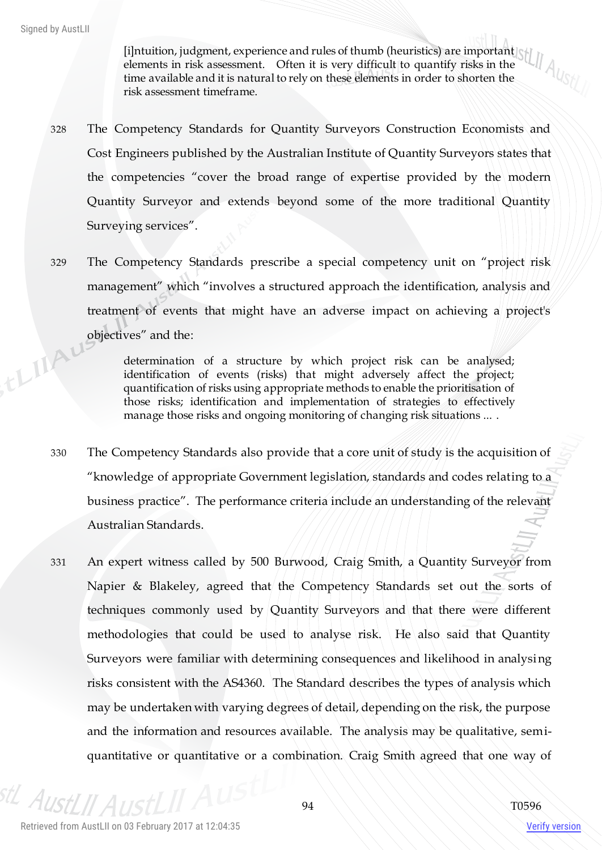[i]ntuition, judgment, experience and rules of thumb (heuristics) are important elements in risk assessment. Often it is very difficult to quantify risks in the time available and it is natural to rely on these elements in order to shorten the risk assessment timeframe.

- 328 The Competency Standards for Quantity Surveyors Construction Economists and Cost Engineers published by the Australian Institute of Quantity Surveyors states that the competencies "cover the broad range of expertise provided by the modern Quantity Surveyor and extends beyond some of the more traditional Quantity Surveying services".
- 329 The Competency Standards prescribe a special competency unit on "project risk management" which "involves a structured approach the identification, analysis and treatment of events that might have an adverse impact on achieving a project's objectives" and the: thingu

determination of a structure by which project risk can be analysed; identification of events (risks) that might adversely affect the project; quantification of risks using appropriate methods to enable the prioritisation of those risks; identification and implementation of strategies to effectively manage those risks and ongoing monitoring of changing risk situations ... .

- 330 The Competency Standards also provide that a core unit of study is the acquisition of "knowledge of appropriate Government legislation, standards and codes relating to a business practice". The performance criteria include an understanding of the relevant Australian Standards.
- 331 An expert witness called by 500 Burwood, Craig Smith, a Quantity Surveyor from Napier & Blakeley, agreed that the Competency Standards set out the sorts of techniques commonly used by Quantity Surveyors and that there were different methodologies that could be used to analyse risk. He also said that Quantity Surveyors were familiar with determining consequences and likelihood in analysing risks consistent with the AS4360. The Standard describes the types of analysis which may be undertaken with varying degrees of detail, depending on the risk, the purpose and the information and resources available. The analysis may be qualitative, semiquantitative or quantitative or a combination. Craig Smith agreed that one way of

stL AustI

Verify version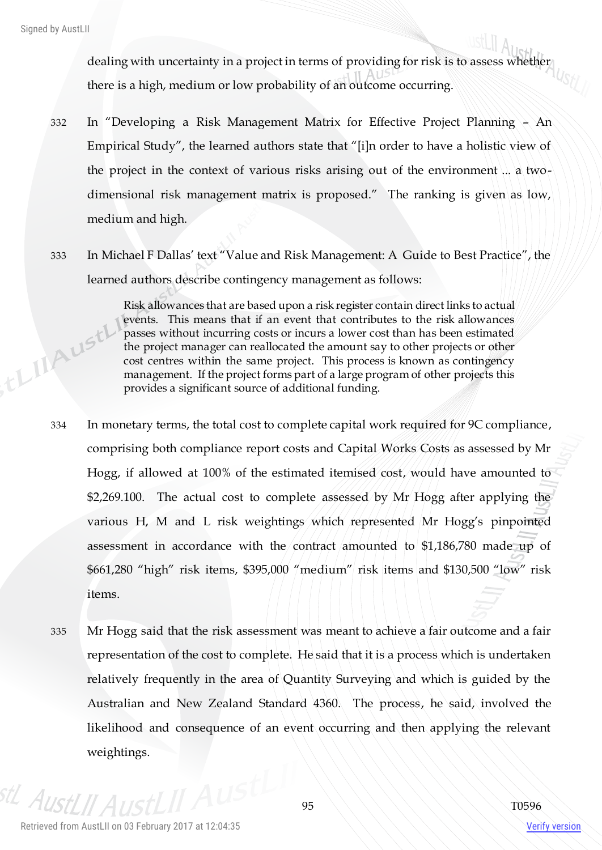,tLIIAust

dealing with uncertainty in a project in terms of providing for risk is to assess whether there is a high, medium or low probability of an outcome occurring.

- 332 In "Developing a Risk Management Matrix for Effective Project Planning An Empirical Study", the learned authors state that "[i]n order to have a holistic view of the project in the context of various risks arising out of the environment ... a twodimensional risk management matrix is proposed." The ranking is given as low, medium and high.
- 333 In Michael F Dallas' text "Value and Risk Management: A Guide to Best Practice", the learned authors describe contingency management as follows:

Risk allowances that are based upon a risk register contain direct links to actual events. This means that if an event that contributes to the risk allowances passes without incurring costs or incurs a lower cost than has been estimated the project manager can reallocated the amount say to other projects or other cost centres within the same project. This process is known as contingency management. If the project forms part of a large program of other projects this provides a significant source of additional funding.

- 334 In monetary terms, the total cost to complete capital work required for 9C compliance, comprising both compliance report costs and Capital Works Costs as assessed by Mr Hogg, if allowed at 100% of the estimated itemised cost, would have amounted to \$2,269.100. The actual cost to complete assessed by Mr Hogg after applying the various H, M and L risk weightings which represented Mr Hogg's pinpointed assessment in accordance with the contract amounted to \$1,186,780 made up of \$661,280 "high" risk items, \$395,000 "medium" risk items and \$130,500 "low" risk items.
- 335 Mr Hogg said that the risk assessment was meant to achieve a fair outcome and a fair representation of the cost to complete. He said that it is a process which is undertaken relatively frequently in the area of Quantity Surveying and which is guided by the Australian and New Zealand Standard 4360. The process, he said, involved the likelihood and consequence of an event occurring and then applying the relevant weightings.

stL AustL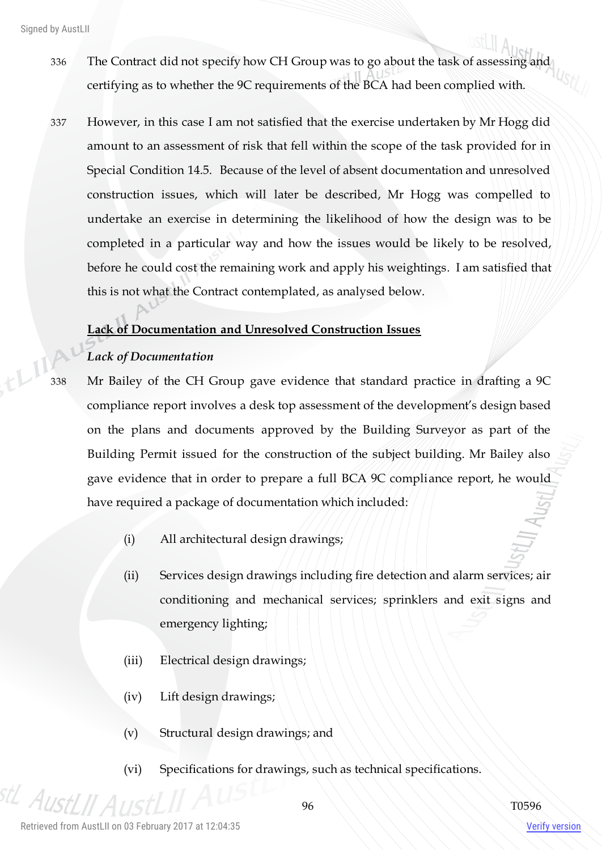- 336 The Contract did not specify how CH Group was to go about the task of assessing and certifying as to whether the 9C requirements of the BCA had been complied with.
- 337 However, in this case I am not satisfied that the exercise undertaken by Mr Hogg did amount to an assessment of risk that fell within the scope of the task provided for in Special Condition 14.5. Because of the level of absent documentation and unresolved construction issues, which will later be described, Mr Hogg was compelled to undertake an exercise in determining the likelihood of how the design was to be completed in a particular way and how the issues would be likely to be resolved, before he could cost the remaining work and apply his weightings. I am satisfied that this is not what the Contract contemplated, as analysed below.

# **Lack of Documentation and Unresolved Construction Issues**

# *Lack of Documentation*

338 Mr Bailey of the CH Group gave evidence that standard practice in drafting a 9C compliance report involves a desk top assessment of the development's design based on the plans and documents approved by the Building Surveyor as part of the Building Permit issued for the construction of the subject building. Mr Bailey also gave evidence that in order to prepare a full BCA 9C compliance report, he would have required a package of documentation which included:

(i) All architectural design drawings;

- (ii) Services design drawings including fire detection and alarm services; air conditioning and mechanical services; sprinklers and exit signs and emergency lighting;
- (iii) Electrical design drawings;
- (iv) Lift design drawings;
- (v) Structural design drawings; and
- (vi) Specifications for drawings, such as technical specifications.

 $A_{I\overline{R}}$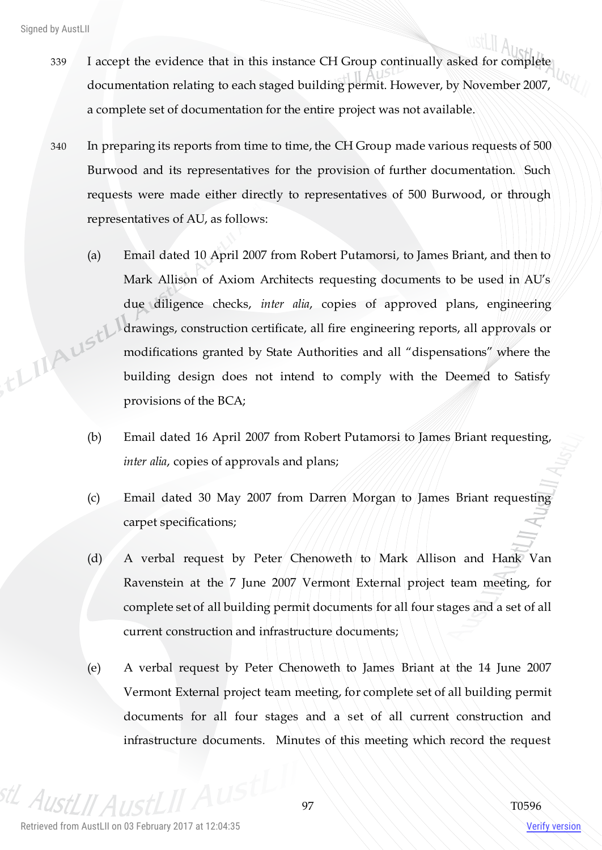- 339 I accept the evidence that in this instance CH Group continually asked for complete documentation relating to each staged building permit. However, by November 2007, a complete set of documentation for the entire project was not available.
- 340 In preparing its reports from time to time, the CH Group made various requests of 500 Burwood and its representatives for the provision of further documentation. Such requests were made either directly to representatives of 500 Burwood, or through representatives of AU, as follows:
- (a) Email dated 10 April 2007 from Robert Putamorsi, to James Briant, and then to Mark Allison of Axiom Architects requesting documents to be used in AU's due diligence checks, *inter alia*, copies of approved plans, engineering , EL IIAUSTL' drawings, construction certificate, all fire engineering reports, all approvals or modifications granted by State Authorities and all "dispensations" where the building design does not intend to comply with the Deemed to Satisfy provisions of the BCA;
	- (b) Email dated 16 April 2007 from Robert Putamorsi to James Briant requesting, *inter alia*, copies of approvals and plans;
	- (c) Email dated 30 May 2007 from Darren Morgan to James Briant requesting carpet specifications;
	- (d) A verbal request by Peter Chenoweth to Mark Allison and Hank Van Ravenstein at the 7 June 2007 Vermont External project team meeting, for complete set of all building permit documents for all four stages and a set of all current construction and infrastructure documents;
	- (e) A verbal request by Peter Chenoweth to James Briant at the 14 June 2007 Vermont External project team meeting, for complete set of all building permit documents for all four stages and a set of all current construction and infrastructure documents. Minutes of this meeting which record the request

 $A$ IIc

Verify version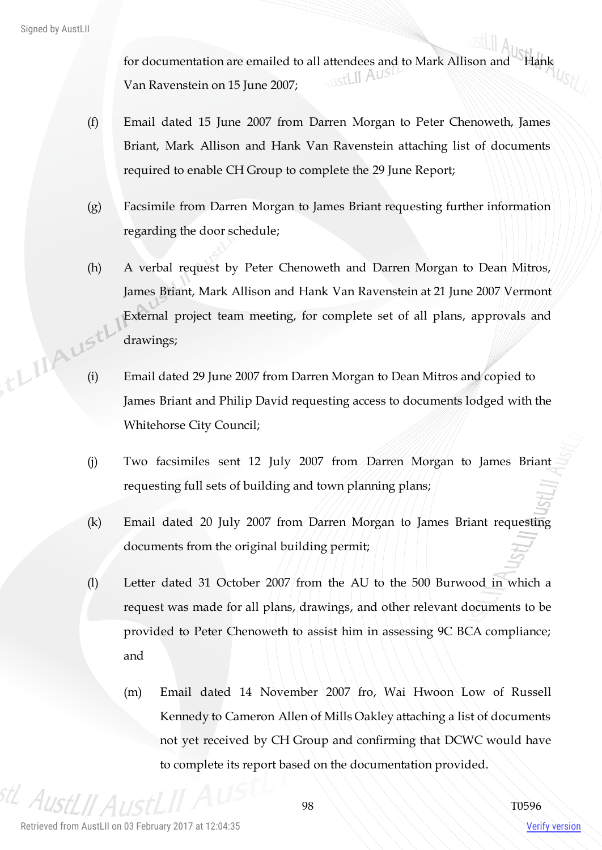for documentation are emailed to all attendees and to Mark Allison and Hank Van Ravenstein on 15 June 2007;

- (f) Email dated 15 June 2007 from Darren Morgan to Peter Chenoweth, James Briant, Mark Allison and Hank Van Ravenstein attaching list of documents required to enable CH Group to complete the 29 June Report;
- (g) Facsimile from Darren Morgan to James Briant requesting further information regarding the door schedule;
- (h) A verbal request by Peter Chenoweth and Darren Morgan to Dean Mitros, James Briant, Mark Allison and Hank Van Ravenstein at 21 June 2007 Vermont External project team meeting, for complete set of all plans, approvals and drawings; (i) Email dated 29 June 2007 from Darren Morgan to Dean Mitros and copied to
	- James Briant and Philip David requesting access to documents lodged with the Whitehorse City Council;
	- (j) Two facsimiles sent 12 July 2007 from Darren Morgan to James Briant requesting full sets of building and town planning plans;
	- (k) Email dated 20 July 2007 from Darren Morgan to James Briant requesting documents from the original building permit;
	- (l) Letter dated 31 October 2007 from the AU to the 500 Burwood in which a request was made for all plans, drawings, and other relevant documents to be provided to Peter Chenoweth to assist him in assessing 9C BCA compliance; and
		- (m) Email dated 14 November 2007 fro, Wai Hwoon Low of Russell Kennedy to Cameron Allen of Mills Oakley attaching a list of documents not yet received by CH Group and confirming that DCWC would have to complete its report based on the documentation provided.

stL AustLII

Verify version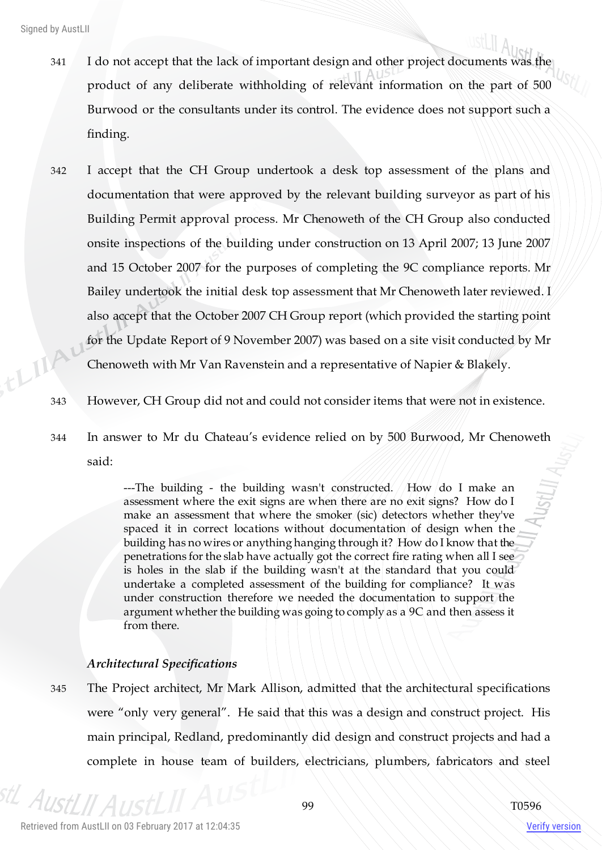- 341 I do not accept that the lack of important design and other project documents was the product of any deliberate withholding of relevant information on the part of 500 Burwood or the consultants under its control. The evidence does not support such a finding.
- 342 I accept that the CH Group undertook a desk top assessment of the plans and documentation that were approved by the relevant building surveyor as part of his Building Permit approval process. Mr Chenoweth of the CH Group also conducted onsite inspections of the building under construction on 13 April 2007; 13 June 2007 and 15 October 2007 for the purposes of completing the 9C compliance reports. Mr Bailey undertook the initial desk top assessment that Mr Chenoweth later reviewed. I also accept that the October 2007 CH Group report (which provided the starting point for the Update Report of 9 November 2007) was based on a site visit conducted by Mr this Chenoweth with Mr Van Ravenstein and a representative of Napier & Blakely.
	- 343 However, CH Group did not and could not consider items that were not in existence.
	- 344 In answer to Mr du Chateau's evidence relied on by 500 Burwood, Mr Chenoweth said:

---The building - the building wasn't constructed.  $/How/do I$  make an assessment where the exit signs are when there are no exit signs? How do I make an assessment that where the smoker (sic) detectors whether they've spaced it in correct locations without documentation of design when the building has no wires or anything hanging through it? How do I know that the penetrations for the slab have actually got the correct fire rating when all I see is holes in the slab if the building wasn't at the standard that you could undertake a completed assessment of the building for compliance? It was under construction therefore we needed the documentation to support the argument whether the building was going to comply as a 9C and then assess it from there.

#### *Architectural Specifications*

345 The Project architect, Mr Mark Allison, admitted that the architectural specifications were "only very general". He said that this was a design and construct project. His main principal, Redland, predominantly did design and construct projects and had a complete in house team of builders, electricians, plumbers, fabricators and steel

stL Aus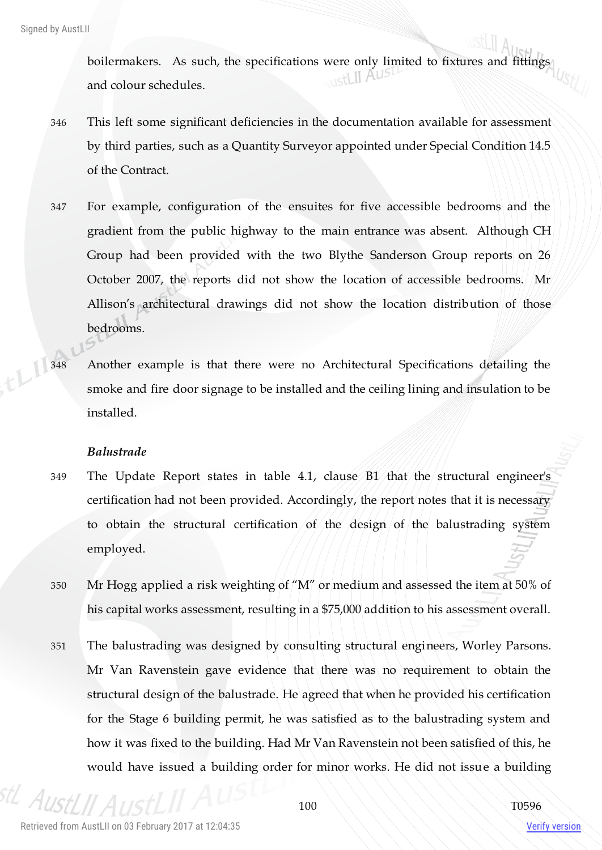boilermakers. As such, the specifications were only limited to fixtures and fittings and colour schedules.

- 346 This left some significant deficiencies in the documentation available for assessment by third parties, such as a Quantity Surveyor appointed under Special Condition 14.5 of the Contract.
- 347 For example, configuration of the ensuites for five accessible bedrooms and the gradient from the public highway to the main entrance was absent. Although CH Group had been provided with the two Blythe Sanderson Group reports on 26 October 2007, the reports did not show the location of accessible bedrooms. Mr Allison's architectural drawings did not show the location distribution of those bedrooms.
- 348 Another example is that there were no Architectural Specifications detailing the smoke and fire door signage to be installed and the ceiling lining and insulation to be installed.

#### *Balustrade*

- 349 The Update Report states in table 4.1, clause B1 that the structural engineer's certification had not been provided. Accordingly, the report notes that it is necessary to obtain the structural certification of the design of the balustrading system employed.
- 350 Mr Hogg applied a risk weighting of "M" or medium and assessed the item at 50% of his capital works assessment, resulting in a \$75,000 addition to his assessment overall.
- 351 The balustrading was designed by consulting structural engineers, Worley Parsons. Mr Van Ravenstein gave evidence that there was no requirement to obtain the structural design of the balustrade. He agreed that when he provided his certification for the Stage 6 building permit, he was satisfied as to the balustrading system and how it was fixed to the building. Had Mr Van Ravenstein not been satisfied of this, he would have issued a building order for minor works. He did not issue a building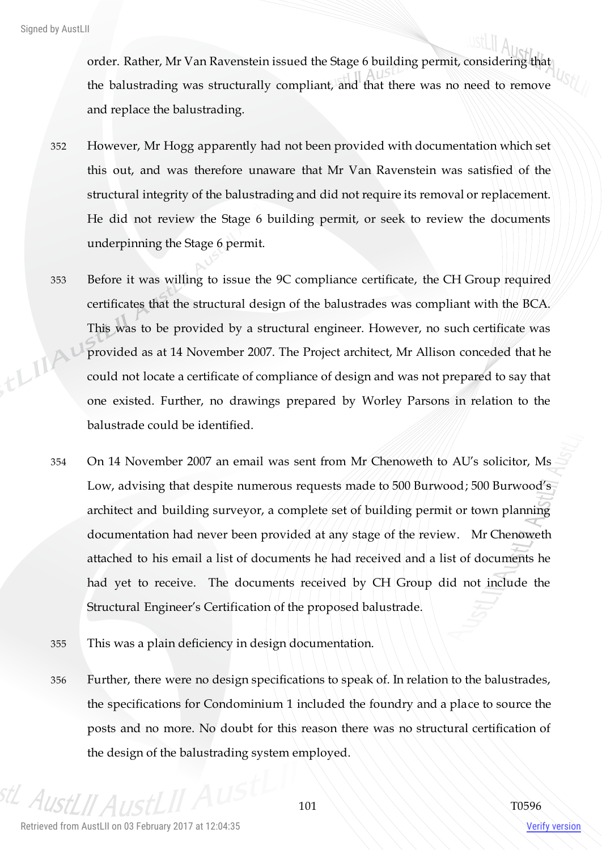order. Rather, Mr Van Ravenstein issued the Stage 6 building permit, considering that the balustrading was structurally compliant, and that there was no need to remove and replace the balustrading.

- 352 However, Mr Hogg apparently had not been provided with documentation which set this out, and was therefore unaware that Mr Van Ravenstein was satisfied of the structural integrity of the balustrading and did not require its removal or replacement. He did not review the Stage 6 building permit, or seek to review the documents underpinning the Stage 6 permit.
- 353 Before it was willing to issue the 9C compliance certificate, the CH Group required certificates that the structural design of the balustrades was compliant with the BCA. This was to be provided by a structural engineer. However, no such certificate was thinky provided as at 14 November 2007. The Project architect, Mr Allison conceded that he could not locate a certificate of compliance of design and was not prepared to say that one existed. Further, no drawings prepared by Worley Parsons in relation to the balustrade could be identified.
	- 354 On 14 November 2007 an email was sent from Mr Chenoweth to AU's solicitor, Ms Low, advising that despite numerous requests made to 500 Burwood; 500 Burwood's architect and building surveyor, a complete set of building permit or town planning documentation had never been provided at any stage of the review. Mr Chenoweth attached to his email a list of documents he had received and a list of documents he had yet to receive. The documents received by CH Group did not include the Structural Engineer's Certification of the proposed balustrade.
	- 355 This was a plain deficiency in design documentation.
	- 356 Further, there were no design specifications to speak of. In relation to the balustrades, the specifications for Condominium 1 included the foundry and a place to source the posts and no more. No doubt for this reason there was no structural certification of the design of the balustrading system employed.

 $A_{II}$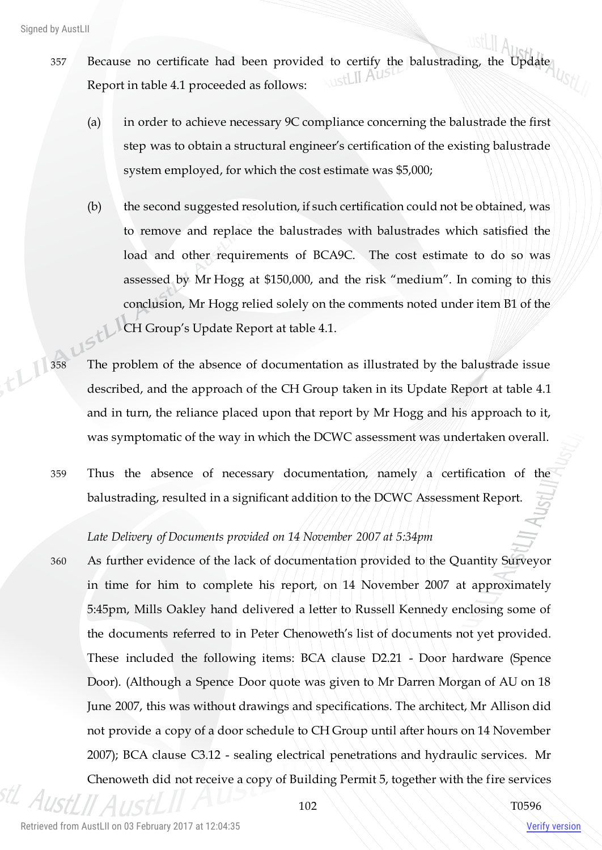- 357 Because no certificate had been provided to certify the balustrading, the Update Report in table 4.1 proceeded as follows:
	- (a) in order to achieve necessary 9C compliance concerning the balustrade the first step was to obtain a structural engineer's certification of the existing balustrade system employed, for which the cost estimate was \$5,000;
	- (b) the second suggested resolution, if such certification could not be obtained, was to remove and replace the balustrades with balustrades which satisfied the load and other requirements of BCA9C. The cost estimate to do so was assessed by Mr Hogg at \$150,000, and the risk "medium". In coming to this conclusion, Mr Hogg relied solely on the comments noted under item B1 of the CH Group's Update Report at table 4.1.
- 358 The problem of the absence of documentation as illustrated by the balustrade issue described, and the approach of the CH Group taken in its Update Report at table 4.1 and in turn, the reliance placed upon that report by Mr Hogg and his approach to it, was symptomatic of the way in which the DCWC assessment was undertaken overall.
	- 359 Thus the absence of necessary documentation, namely a certification of the balustrading, resulted in a significant addition to the DCWC Assessment Report.

#### *Late Delivery of Documents provided on 14 November 2007 at 5:34pm*

360 As further evidence of the lack of documentation provided to the Quantity Surveyor in time for him to complete his report, on 14 November 2007 at approximately 5:45pm, Mills Oakley hand delivered a letter to Russell Kennedy enclosing some of the documents referred to in Peter Chenoweth's list of documents not yet provided. These included the following items: BCA clause D2.21 - Door hardware (Spence Door). (Although a Spence Door quote was given to Mr Darren Morgan of AU on 18 June 2007, this was without drawings and specifications. The architect, Mr Allison did not provide a copy of a door schedule to CH Group until after hours on 14 November 2007); BCA clause C3.12 - sealing electrical penetrations and hydraulic services. Mr Chenoweth did not receive a copy of Building Permit 5, together with the fire services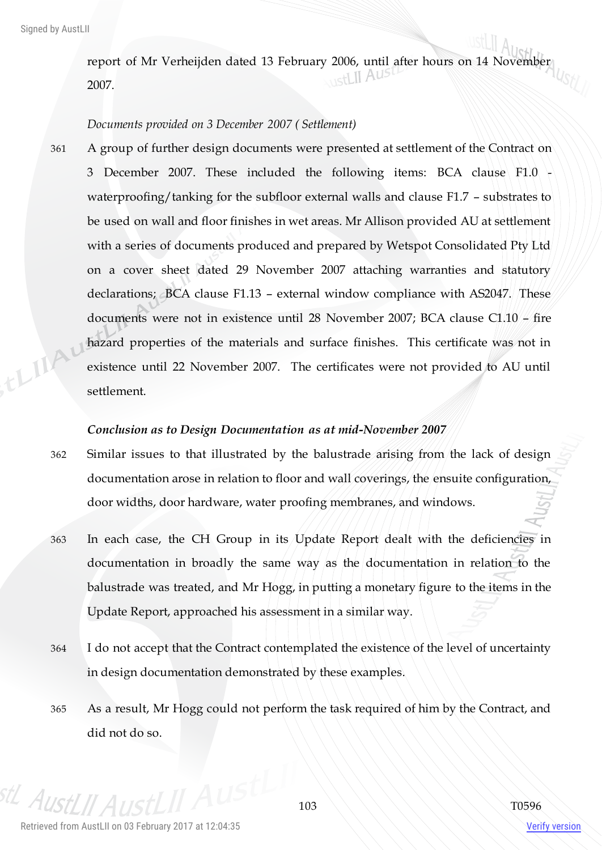report of Mr Verheijden dated 13 February 2006, until after hours on 14 November 2007.

## *Documents provided on 3 December 2007 ( Settlement)*

361 A group of further design documents were presented at settlement of the Contract on 3 December 2007. These included the following items: BCA clause F1.0 waterproofing/tanking for the subfloor external walls and clause F1.7 - substrates to be used on wall and floor finishes in wet areas. Mr Allison provided AU at settlement with a series of documents produced and prepared by Wetspot Consolidated Pty Ltd on a cover sheet dated 29 November 2007 attaching warranties and statutory declarations; BCA clause F1.13 – external window compliance with AS2047. These documents were not in existence until 28 November 2007; BCA clause C1.10 – fire thing hazard properties of the materials and surface finishes. This certificate was not in existence until 22 November 2007. The certificates were not provided to AU until settlement.

#### *Conclusion as to Design Documentation as at mid-November 2007*

- 362 Similar issues to that illustrated by the balustrade arising from the lack of design documentation arose in relation to floor and wall coverings, the ensuite configuration, door widths, door hardware, water proofing membranes, and windows.
- 363 In each case, the CH Group in its Update Report dealt with the deficiencies in documentation in broadly the same way as the documentation in relation to the balustrade was treated, and Mr Hogg, in putting a monetary figure to the items in the Update Report, approached his assessment in a similar way.
- 364 I do not accept that the Contract contemplated the existence of the level of uncertainty in design documentation demonstrated by these examples.
- 365 As a result, Mr Hogg could not perform the task required of him by the Contract, and did not do so.

<sup>stL</sup> AustLII A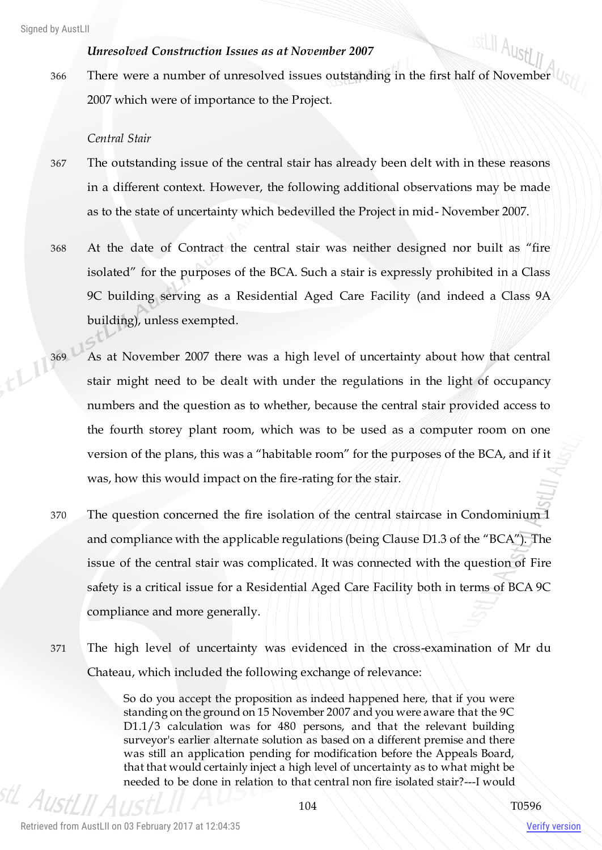# *Unresolved Construction Issues as at November 2007*

ustLII AustLII 366 There were a number of unresolved issues outstanding in the first half of November 2007 which were of importance to the Project.

#### *Central Stair*

- 367 The outstanding issue of the central stair has already been delt with in these reasons in a different context. However, the following additional observations may be made as to the state of uncertainty which bedevilled the Project in mid- November 2007.
- 368 At the date of Contract the central stair was neither designed nor built as "fire isolated" for the purposes of the BCA. Such a stair is expressly prohibited in a Class 9C building serving as a Residential Aged Care Facility (and indeed a Class 9A building), unless exempted.
- 369 As at November 2007 there was a high level of uncertainty about how that central stair might need to be don't with stair might need to be dealt with under the regulations in the light of occupancy numbers and the question as to whether, because the central stair provided access to the fourth storey plant room, which was to be used as a computer room on one version of the plans, this was a "habitable room" for the purposes of the BCA, and if it was, how this would impact on the fire-rating for the stair.
	- 370 The question concerned the fire isolation of the central staircase in Condominium 1 and compliance with the applicable regulations (being Clause D1.3 of the "BCA"). The issue of the central stair was complicated. It was connected with the question of Fire safety is a critical issue for a Residential Aged Care Facility both in terms of BCA 9C compliance and more generally.
	- 371 The high level of uncertainty was evidenced in the cross-examination of Mr du Chateau, which included the following exchange of relevance:

So do you accept the proposition as indeed happened here, that if you were standing on the ground on 15 November 2007 and you were aware that the 9C D1.1/3 calculation was for 480 persons, and that the relevant building surveyor's earlier alternate solution as based on a different premise and there was still an application pending for modification before the Appeals Board, that that would certainly inject a high level of uncertainty as to what might be needed to be done in relation to that central non fire isolated stair?---I would

 $A_{IR}$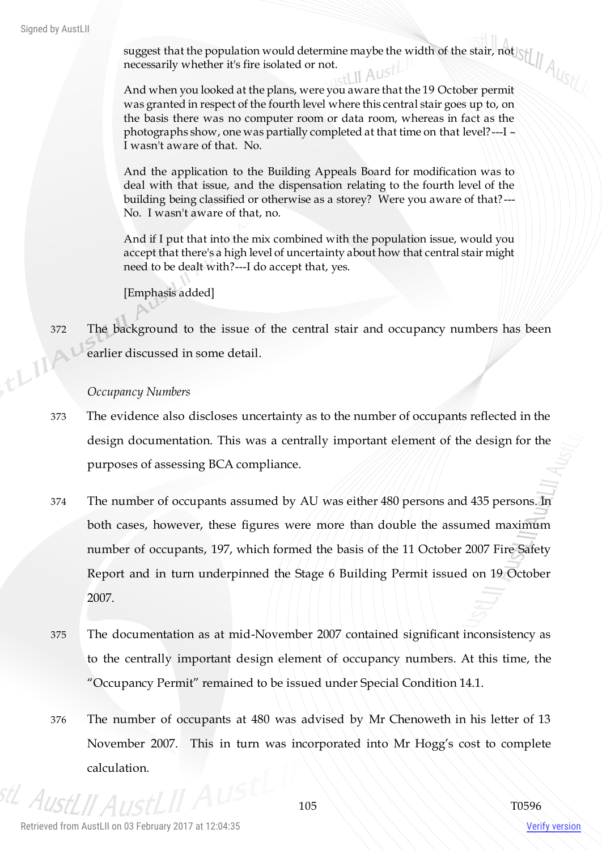suggest that the population would determine maybe the width of the stair, not necessarily whether it's fire isolated or not.

And when you looked at the plans, were you aware that the 19 October permit was granted in respect of the fourth level where this central stair goes up to, on the basis there was no computer room or data room, whereas in fact as the photographs show, one was partially completed at that time on that level? $-1$ I wasn't aware of that. No.

And the application to the Building Appeals Board for modification was to deal with that issue, and the dispensation relating to the fourth level of the building being classified or otherwise as a storey? Were you aware of that?--- No. I wasn't aware of that, no.

And if I put that into the mix combined with the population issue, would you accept that there's a high level of uncertainty about how that central stair might need to be dealt with?---I do accept that, yes.

[Emphasis added]

372 The background to the issue of the central stair and occupancy numbers has been ELIA' earlier discussed in some detail.

# *Occupancy Numbers*

- 373 The evidence also discloses uncertainty as to the number of occupants reflected in the design documentation. This was a centrally important element of the design for the purposes of assessing BCA compliance.
- 374 The number of occupants assumed by AU was either 480 persons and 435 persons. In both cases, however, these figures were more than double the assumed maximum number of occupants, 197, which formed the basis of the 11 October 2007 Fire Safety Report and in turn underpinned the Stage 6 Building Permit issued on 19 October 2007.
- 375 The documentation as at mid-November 2007 contained significant inconsistency as to the centrally important design element of occupancy numbers. At this time, the "Occupancy Permit" remained to be issued under Special Condition 14.1.
- 376 The number of occupants at 480 was advised by Mr Chenoweth in his letter of 13 November 2007. This in turn was incorporated into Mr Hogg's cost to complete calculation.

 $A$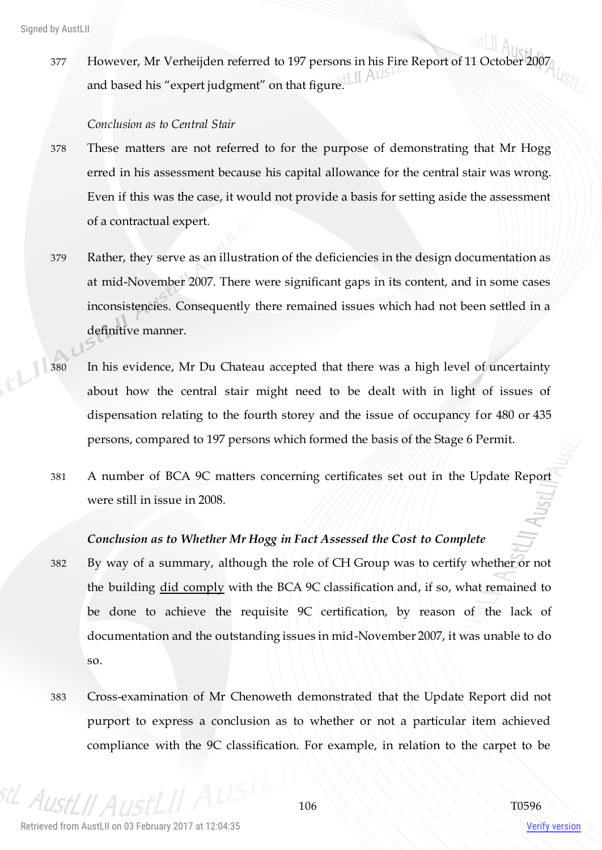377 However, Mr Verheijden referred to 197 persons in his Fire Report of 11 October 2007 and based his "expert judgment" on that figure.  $\Box$  AUST

#### *Conclusion as to Central Stair*

- 378 These matters are not referred to for the purpose of demonstrating that Mr Hogg erred in his assessment because his capital allowance for the central stair was wrong. Even if this was the case, it would not provide a basis for setting aside the assessment of a contractual expert.
- 379 Rather, they serve as an illustration of the deficiencies in the design documentation as at mid-November 2007. There were significant gaps in its content, and in some cases inconsistencies. Consequently there remained issues which had not been settled in a definitive manner.
- 380 In his evidence, Mr Du Chateau accepted that there was a high level of uncertainty about how the central stair might need to be dealt with in light of issues of dispensation relating to the fourth storey and the issue of occupancy for 480 or 435 persons, compared to 197 persons which formed the basis of the Stage 6 Permit.
- 381 A number of BCA 9C matters concerning certificates set out in the Update Report were still in issue in 2008.

# *Conclusion as to Whether Mr Hogg in Fact Assessed the Cost to Complete*

- 382 By way of a summary, although the role of CH Group was to certify whether or not the building did comply with the BCA 9C classification and, if so, what remained to be done to achieve the requisite 9C certification, by reason of the lack of documentation and the outstanding issues in mid-November 2007, it was unable to do so.
- 383 Cross-examination of Mr Chenoweth demonstrated that the Update Report did not purport to express a conclusion as to whether or not a particular item achieved compliance with the 9C classification. For example, in relation to the carpet to be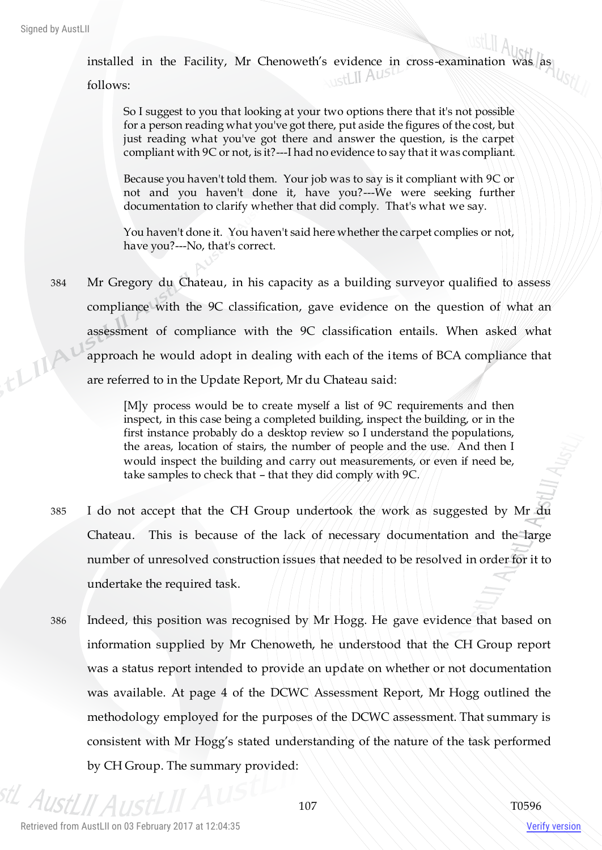installed in the Facility, Mr Chenoweth's evidence in cross-examination was  $\begin{bmatrix} \text{as} \\ \text{as} \end{bmatrix}$ 

follows:

So I suggest to you that looking at your two options there that it's not possible for a person reading what you've got there, put aside the figures of the cost, but just reading what you've got there and answer the question, is the carpet compliant with 9C or not, is it?---I had no evidence to say that it was compliant.

Because you haven't told them. Your job was to say is it compliant with 9C or not and you haven't done it, have you?---We were seeking further documentation to clarify whether that did comply. That's what we say.

You haven't done it. You haven't said here whether the carpet complies or not, have you?---No, that's correct.

384 Mr Gregory du Chateau, in his capacity as a building surveyor qualified to assess compliance with the 9C classification, gave evidence on the question of what an assessment of compliance with the 9C classification entails. When asked what things approach he would adopt in dealing with each of the items of BCA compliance that are referred to in the Update Report, Mr du Chateau said:

> [M]y process would be to create myself a list of 9C requirements and then inspect, in this case being a completed building, inspect the building, or in the first instance probably do a desktop review so I understand the populations, the areas, location of stairs, the number of people and the use. And then I would inspect the building and carry out measurements, or even if need be, take samples to check that – that they did comply with 9C.

- 385 I do not accept that the CH Group undertook the work as suggested by Mr du Chateau. This is because of the lack of necessary documentation and the large number of unresolved construction issues that needed to be resolved in order for it to undertake the required task.
- 386 Indeed, this position was recognised by Mr Hogg. He gave evidence that based on information supplied by Mr Chenoweth, he understood that the CH Group report was a status report intended to provide an update on whether or not documentation was available. At page 4 of the DCWC Assessment Report, Mr Hogg outlined the methodology employed for the purposes of the DCWC assessment. That summary is consistent with Mr Hogg's stated understanding of the nature of the task performed by CH Group. The summary provided:

stL Aust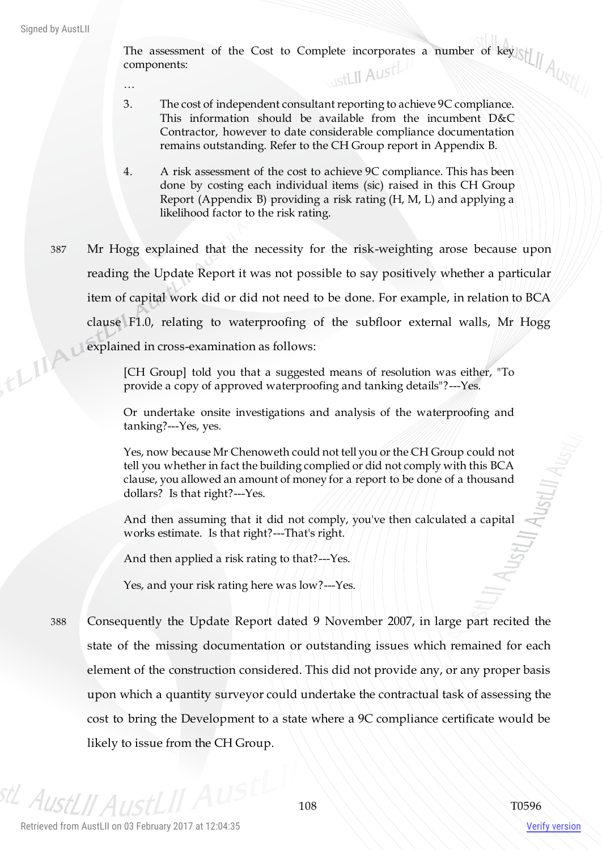The assessment of the Cost to Complete incorporates a number of key components:

…

- 3. The cost of independent consultant reporting to achieve 9C compliance. This information should be available from the incumbent D&C Contractor, however to date considerable compliance documentation remains outstanding. Refer to the CH Group report in Appendix B.
- 4. A risk assessment of the cost to achieve 9C compliance. This has been done by costing each individual items (sic) raised in this CH Group Report (Appendix B) providing a risk rating (H, M, L) and applying a likelihood factor to the risk rating.
- 387 Mr Hogg explained that the necessity for the risk-weighting arose because upon reading the Update Report it was not possible to say positively whether a particular item of capital work did or did not need to be done. For example, in relation to BCA clause F1.0, relating to waterproofing of the subfloor external walls, Mr Hogg thingu explained in cross-examination as follows:

[CH Group] told you that a suggested means of resolution was either, "To provide a copy of approved waterproofing and tanking details"?---Yes.

Or undertake onsite investigations and analysis of the waterproofing and tanking?---Yes, yes.

Yes, now because Mr Chenoweth could not tell you or the CH Group could not tell you whether in fact the building complied or did not comply with this BCA clause, you allowed an amount of money for a report to be done of a thousand dollars? Is that right?---Yes.

And then assuming that it did not comply, you've then calculated a capital works estimate. Is that right?---That's right.

And then applied a risk rating to that?---Yes.

Yes, and your risk rating here was low?---Yes.

388 Consequently the Update Report dated 9 November 2007, in large part recited the state of the missing documentation or outstanding issues which remained for each element of the construction considered. This did not provide any, or any proper basis upon which a quantity surveyor could undertake the contractual task of assessing the cost to bring the Development to a state where a 9C compliance certificate would be likely to issue from the CH Group.

<sup>stL</sup> AustLII A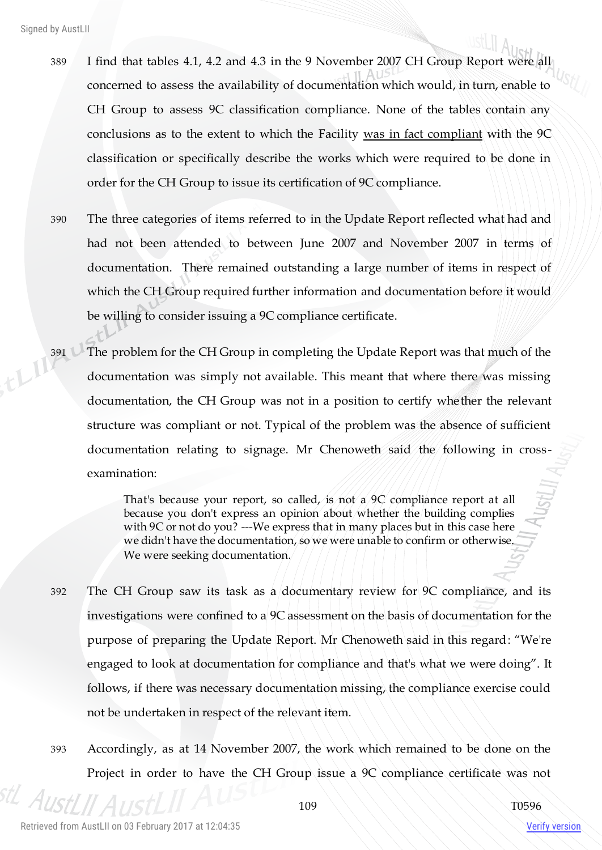- 389 I find that tables 4.1, 4.2 and 4.3 in the 9 November 2007 CH Group Report were all concerned to assess the availability of documentation which would, in turn, enable to CH Group to assess 9C classification compliance. None of the tables contain any conclusions as to the extent to which the Facility was in fact compliant with the 9C classification or specifically describe the works which were required to be done in order for the CH Group to issue its certification of 9C compliance.
- 390 The three categories of items referred to in the Update Report reflected what had and had not been attended to between June 2007 and November 2007 in terms of documentation. There remained outstanding a large number of items in respect of which the CH Group required further information and documentation before it would be willing to consider issuing a 9C compliance certificate.
- 391 The problem for the CH Group in completing the Update Report was that much of the documentation was simply not available. This meant that where there was missing documentation, the CH Group was not in a position to certify whether the relevant structure was compliant or not. Typical of the problem was the absence of sufficient documentation relating to signage. Mr Chenoweth said the following in cross examination:

That's because your report, so called, is not a 9C compliance report at all because you don't express an opinion about whether the building complies with 9C or not do you? ---We express that in many places but in this case here we didn't have the documentation, so we were unable to confirm or otherwise. We were seeking documentation.

- 392 The CH Group saw its task as a documentary review for 9C compliance, and its investigations were confined to a 9C assessment on the basis of documentation for the purpose of preparing the Update Report. Mr Chenoweth said in this regard: "We're engaged to look at documentation for compliance and that's what we were doing". It follows, if there was necessary documentation missing, the compliance exercise could not be undertaken in respect of the relevant item.
- 393 Accordingly, as at 14 November 2007, the work which remained to be done on the Project in order to have the CH Group issue a 9C compliance certificate was not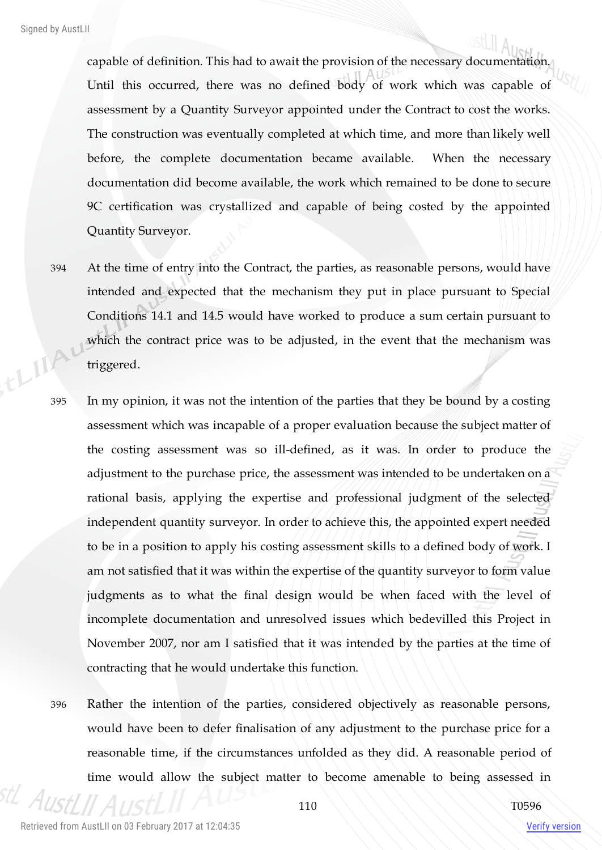capable of definition. This had to await the provision of the necessary documentation. Until this occurred, there was no defined body of work which was capable of assessment by a Quantity Surveyor appointed under the Contract to cost the works. The construction was eventually completed at which time, and more than likely well before, the complete documentation became available. When the necessary documentation did become available, the work which remained to be done to secure 9C certification was crystallized and capable of being costed by the appointed Quantity Surveyor.

- 394 At the time of entry into the Contract, the parties, as reasonable persons, would have intended and expected that the mechanism they put in place pursuant to Special Conditions 14.1 and 14.5 would have worked to produce a sum certain pursuant to which the contract price was to be adjusted, in the event that the mechanism was thing triggered.
	- 395 In my opinion, it was not the intention of the parties that they be bound by a costing assessment which was incapable of a proper evaluation because the subject matter of the costing assessment was so ill-defined, as it was. In order to produce the adjustment to the purchase price, the assessment was intended to be undertaken on a rational basis, applying the expertise and professional judgment of the selected independent quantity surveyor. In order to achieve this, the appointed expert needed to be in a position to apply his costing assessment skills to a defined body of work. I am not satisfied that it was within the expertise of the quantity surveyor to form value judgments as to what the final design would be when faced with the level of incomplete documentation and unresolved issues which bedevilled this Project in November 2007, nor am I satisfied that it was intended by the parties at the time of contracting that he would undertake this function.
	- 396 Rather the intention of the parties, considered objectively as reasonable persons, would have been to defer finalisation of any adjustment to the purchase price for a reasonable time, if the circumstances unfolded as they did. A reasonable period of time would allow the subject matter to become amenable to being assessed in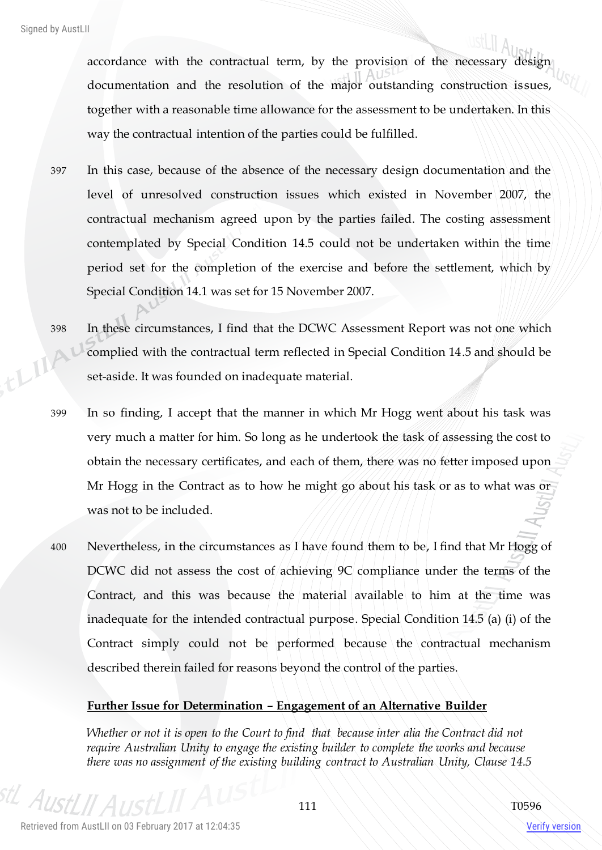accordance with the contractual term, by the provision of the necessary design documentation and the resolution of the major outstanding construction is sues, together with a reasonable time allowance for the assessment to be undertaken. In this way the contractual intention of the parties could be fulfilled.

397 In this case, because of the absence of the necessary design documentation and the level of unresolved construction issues which existed in November 2007, the contractual mechanism agreed upon by the parties failed. The costing assessment contemplated by Special Condition 14.5 could not be undertaken within the time period set for the completion of the exercise and before the settlement, which by Special Condition 14.1 was set for 15 November 2007.

- 398 In these circumstances, I find that the DCWC Assessment Report was not one which ELIIA complied with the contractual term reflected in Special Condition 14.5 and should be set-aside. It was founded on inadequate material.
	- 399 In so finding, I accept that the manner in which Mr Hogg went about his task was very much a matter for him. So long as he undertook the task of assessing the cost to obtain the necessary certificates, and each of them, there was no fetter imposed upon Mr Hogg in the Contract as to how he might go about his task or as to what was or was not to be included.
	- 400 Nevertheless, in the circumstances as I have found them to be, I find that Mr Hogg of DCWC did not assess the cost of achieving 9C compliance under the terms of the Contract, and this was because the material available to him at the time was inadequate for the intended contractual purpose. Special Condition 14.5 (a) (i) of the Contract simply could not be performed because the contractual mechanism described therein failed for reasons beyond the control of the parties.

## **Further Issue for Determination – Engagement of an Alternative Builder**

*Whether or not it is open to the Court to find that because inter alia the Contract did not require Australian Unity to engage the existing builder to complete the works and because there was no assignment of the existing building contract to Australian Unity, Clause 14.5* 

 $A_{I}$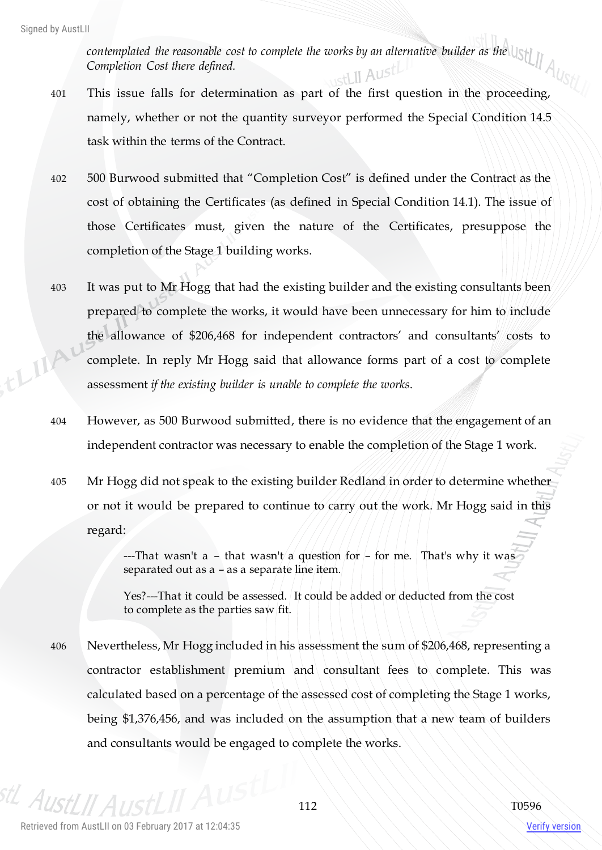*contemplated the reasonable cost to complete the works by an alternative builder as the Completion Cost there defined.*  stLII Austl

- 401 This issue falls for determination as part of the first question in the proceeding, namely, whether or not the quantity surveyor performed the Special Condition 14.5 task within the terms of the Contract.
- 402 500 Burwood submitted that "Completion Cost" is defined under the Contract as the cost of obtaining the Certificates (as defined in Special Condition 14.1). The issue of those Certificates must, given the nature of the Certificates, presuppose the completion of the Stage 1 building works.
- 403 It was put to Mr Hogg that had the existing builder and the existing consultants been prepared to complete the works, it would have been unnecessary for him to include the allowance of \$206,468 for independent contractors' and consultants' costs to ELIAN complete. In reply Mr Hogg said that allowance forms part of a cost to complete assessment *if the existing builder is unable to complete the works*.
	- 404 However, as 500 Burwood submitted, there is no evidence that the engagement of an independent contractor was necessary to enable the completion of the Stage 1 work.
	- 405 Mr Hogg did not speak to the existing builder Redland in order to determine whether or not it would be prepared to continue to carry out the work. Mr Hogg said in this regard:

---That wasn't a – that wasn't a question for – for me. That's why it was separated out as a – as a separate line item.

Yes?---That it could be assessed. It could be added or deducted from the cost to complete as the parties saw fit.

406 Nevertheless, Mr Hogg included in his assessment the sum of \$206,468, representing a contractor establishment premium and consultant fees to complete. This was calculated based on a percentage of the assessed cost of completing the Stage 1 works, being \$1,376,456, and was included on the assumption that a new team of builders and consultants would be engaged to complete the works.

 $An$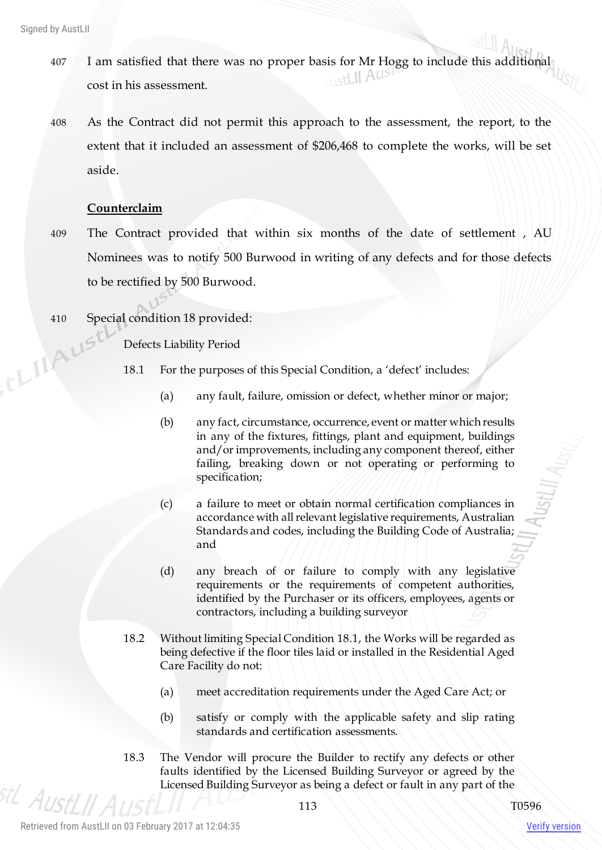thing

- 407 I am satisfied that there was no proper basis for Mr Hogg to include this additional cost in his assessment.
- 408 As the Contract did not permit this approach to the assessment, the report, to the extent that it included an assessment of \$206,468 to complete the works, will be set aside.

## **Counterclaim**

- 409 The Contract provided that within six months of the date of settlement , AU Nominees was to notify 500 Burwood in writing of any defects and for those defects to be rectified by 500 Burwood.
- 410 Special condition 18 provided:

Defects Liability Period

- 18.1 For the purposes of this Special Condition, a 'defect' includes:
	- (a) any fault, failure, omission or defect, whether minor or major;
	- (b) any fact, circumstance, occurrence, event or matter which results in any of the fixtures, fittings, plant and equipment, buildings and/or improvements, including any component thereof, either failing, breaking down or not operating or performing to specification;
	- (c) a failure to meet or obtain normal certification compliances in accordance with all relevant legislative requirements, Australian Standards and codes, including the Building Code of Australia; and
	- (d) any breach of or failure to comply with any legislative requirements or the requirements of competent authorities, identified by the Purchaser or its officers, employees, agents or contractors, including a building surveyor
- 18.2 Without limiting Special Condition 18.1, the Works will be regarded as being defective if the floor tiles laid or installed in the Residential Aged Care Facility do not:
	- (a) meet accreditation requirements under the Aged Care Act; or
	- (b) satisfy or comply with the applicable safety and slip rating standards and certification assessments.
- 18.3 The Vendor will procure the Builder to rectify any defects or other faults identified by the Licensed Building Surveyor or agreed by the Licensed Building Surveyor as being a defect or fault in any part of the

stL AustLII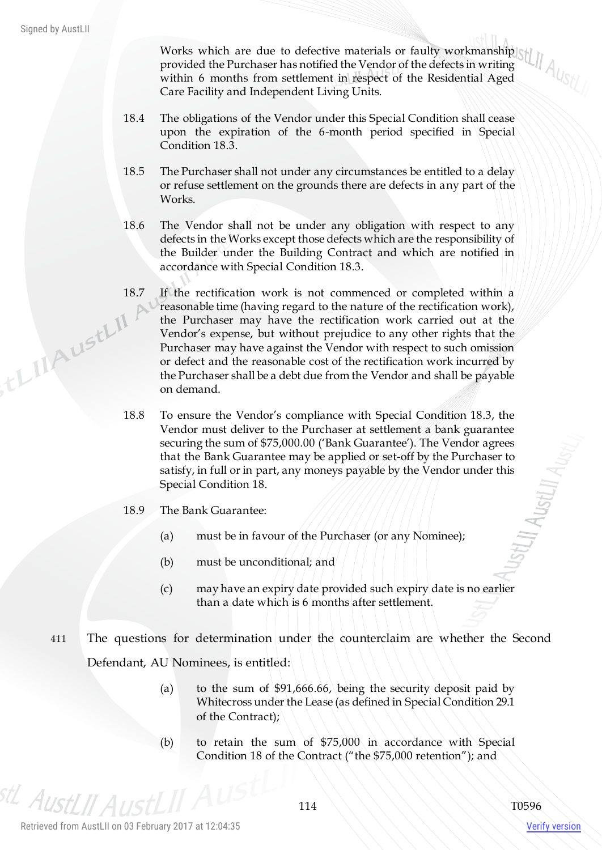Works which are due to defective materials or faulty workmanship provided the Purchaser has notified the Vendor of the defects in writing within 6 months from settlement in respect of the Residential Aged Care Facility and Independent Living Units.

- 18.4 The obligations of the Vendor under this Special Condition shall cease upon the expiration of the 6-month period specified in Special Condition 18.3.
- 18.5 The Purchaser shall not under any circumstances be entitled to a delay or refuse settlement on the grounds there are defects in any part of the Works.
- 18.6 The Vendor shall not be under any obligation with respect to any defects in the Works except those defects which are the responsibility of the Builder under the Building Contract and which are notified in accordance with Special Condition 18.3.
- 18.7 If the rectification work is not commenced or completed within a reasonable time (having regard to the nature of the rectification work), ,tLIIAustLII the Purchaser may have the rectification work carried out at the Vendor's expense, but without prejudice to any other rights that the Purchaser may have against the Vendor with respect to such omission or defect and the reasonable cost of the rectification work incurred by the Purchaser shall be a debt due from the Vendor and shall be payable on demand.
	- 18.8 To ensure the Vendor's compliance with Special Condition 18.3, the Vendor must deliver to the Purchaser at settlement a bank guarantee securing the sum of \$75,000.00 ('Bank Guarantee'). The Vendor agrees that the Bank Guarantee may be applied or set-off by the Purchaser to satisfy, in full or in part, any moneys payable by the Vendor under this Special Condition 18.
	- 18.9 The Bank Guarantee:
		- (a) must be in favour of the Purchaser (or any Nominee);
		- (b) must be unconditional; and
		- (c) may have an expiry date provided such expiry date is no earlier than a date which is 6 months after settlement.
	- 411 The questions for determination under the counterclaim are whether the Second Defendant, AU Nominees, is entitled:
		- (a) to the sum of \$91,666.66, being the security deposit paid by Whitecross under the Lease (as defined in Special Condition 29.1 of the Contract);
		- (b) to retain the sum of \$75,000 in accordance with Special Condition 18 of the Contract ("the \$75,000 retention"); and

<sup>stL</sup> AustLII A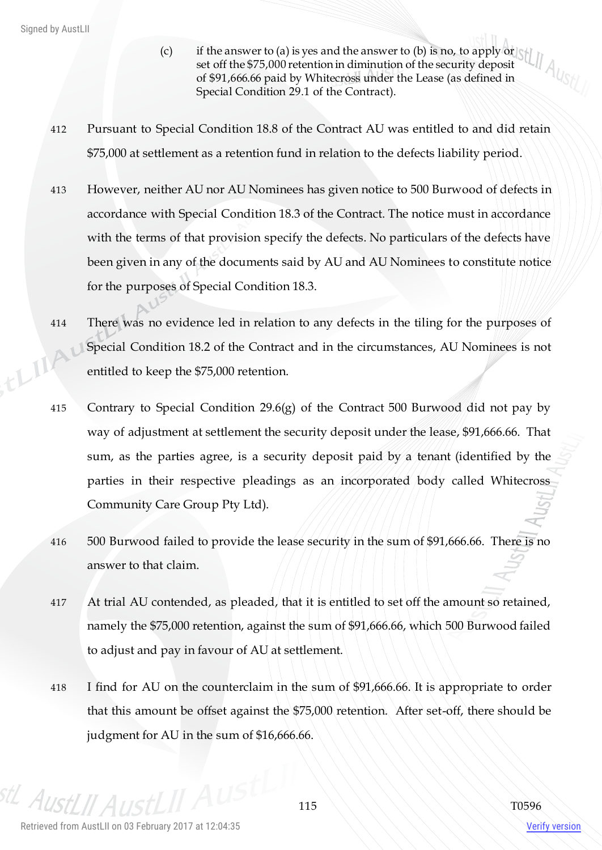- $(c)$  if the answer to (a) is yes and the answer to (b) is no, to apply or set off the \$75,000 retention in diminution of the security deposit of \$91,666.66 paid by Whitecross under the Lease (as defined in Special Condition 29.1 of the Contract).
- 412 Pursuant to Special Condition 18.8 of the Contract AU was entitled to and did retain \$75,000 at settlement as a retention fund in relation to the defects liability period.
- 413 However, neither AU nor AU Nominees has given notice to 500 Burwood of defects in accordance with Special Condition 18.3 of the Contract. The notice must in accordance with the terms of that provision specify the defects. No particulars of the defects have been given in any of the documents said by AU and AU Nominees to constitute notice for the purposes of Special Condition 18.3.
- 414 There was no evidence led in relation to any defects in the tiling for the purposes of thinky Special Condition 18.2 of the Contract and in the circumstances, AU Nominees is not entitled to keep the \$75,000 retention.
	- 415 Contrary to Special Condition 29.6(g) of the Contract 500 Burwood did not pay by way of adjustment at settlement the security deposit under the lease, \$91,666.66. That sum, as the parties agree, is a security deposit paid by a tenant (identified by the parties in their respective pleadings as an incorporated body called Whitecross Community Care Group Pty Ltd).
	- 416 500 Burwood failed to provide the lease security in the sum of \$91,666.66. There is no answer to that claim.
	- 417 At trial AU contended, as pleaded, that it is entitled to set off the amount so retained, namely the \$75,000 retention, against the sum of \$91,666.66, which 500 Burwood failed to adjust and pay in favour of AU at settlement.
	- 418 I find for AU on the counterclaim in the sum of \$91,666.66. It is appropriate to order that this amount be offset against the \$75,000 retention. After set-off, there should be judgment for AU in the sum of \$16,666.66.

<sup>stL</sup> AustLII A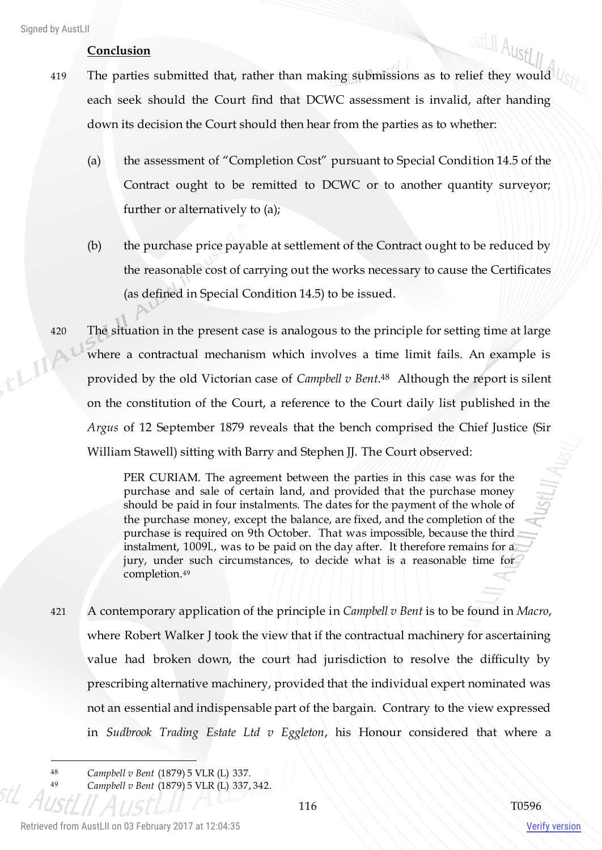## **Conclusion**

- ustLII AustLII 419 The parties submitted that, rather than making submissions as to relief they would each seek should the Court find that DCWC assessment is invalid, after handing down its decision the Court should then hear from the parties as to whether:
	- (a) the assessment of "Completion Cost" pursuant to Special Condition 14.5 of the Contract ought to be remitted to DCWC or to another quantity surveyor; further or alternatively to (a);
	- (b) the purchase price payable at settlement of the Contract ought to be reduced by the reasonable cost of carrying out the works necessary to cause the Certificates (as defined in Special Condition 14.5) to be issued.
- 420 The situation in the present case is analogous to the principle for setting time at large thing! where a contractual mechanism which involves a time limit fails. An example is provided by the old Victorian case of *Campbell v Bent*. <sup>48</sup> Although the report is silent on the constitution of the Court, a reference to the Court daily list published in the *Argus* of 12 September 1879 reveals that the bench comprised the Chief Justice (Sir William Stawell) sitting with Barry and Stephen JJ. The Court observed:

PER CURIAM. The agreement between the parties in this case was for the purchase and sale of certain land, and provided that the purchase money should be paid in four instalments. The dates for the payment of the whole of the purchase money, except the balance, are fixed, and the completion of the purchase is required on 9th October. That was impossible, because the third instalment, 1009l., was to be paid on the day after. It therefore remains for a jury, under such circumstances, to decide what is a reasonable time for completion.<sup>49</sup>

421 A contemporary application of the principle in *Campbell v Bent* is to be found in *Macro*, where Robert Walker J took the view that if the contractual machinery for ascertaining value had broken down, the court had jurisdiction to resolve the difficulty by prescribing alternative machinery, provided that the individual expert nominated was not an essential and indispensable part of the bargain. Contrary to the view expressed in *Sudbrook Trading Estate Ltd v Eggleton*, his Honour considered that where a

 $\overline{a}$ 

<sup>48</sup> *Campbell v Bent* (1879) 5 VLR (L) 337.

<sup>49</sup> *Campbell v Bent* (1879) 5 VLR (L) 337, 342.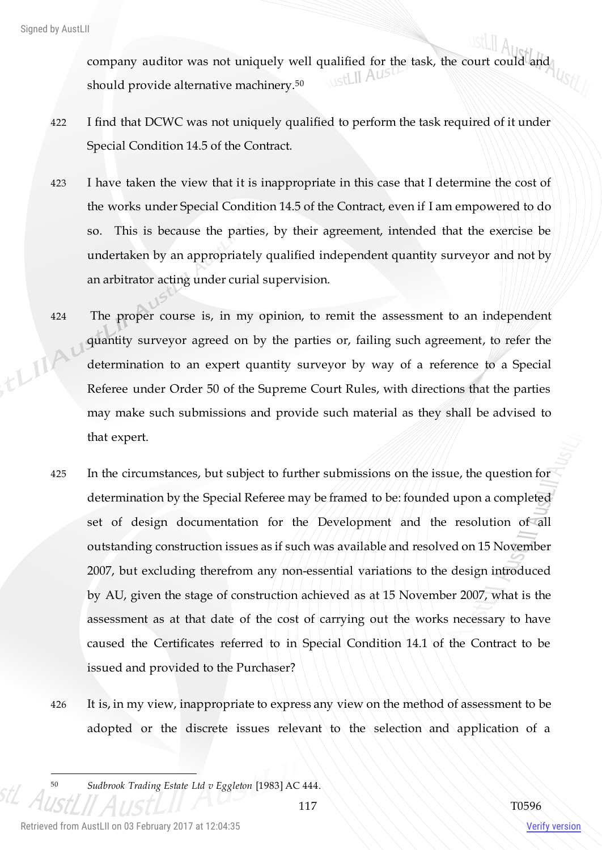company auditor was not uniquely well qualified for the task, the court could and should provide alternative machinery.<sup>50</sup>

- 422 I find that DCWC was not uniquely qualified to perform the task required of it under Special Condition 14.5 of the Contract.
- 423 I have taken the view that it is inappropriate in this case that I determine the cost of the works under Special Condition 14.5 of the Contract, even if I am empowered to do so. This is because the parties, by their agreement, intended that the exercise be undertaken by an appropriately qualified independent quantity surveyor and not by an arbitrator acting under curial supervision.
- 424 The proper course is, in my opinion, to remit the assessment to an independent quantity surveyor agreed on by the parties or, failing such agreement, to refer the this determination to an expert quantity surveyor by way of a reference to a Special Referee under Order 50 of the Supreme Court Rules, with directions that the parties may make such submissions and provide such material as they shall be advised to that expert.
	- 425 In the circumstances, but subject to further submissions on the issue, the question for determination by the Special Referee may be framed to be: founded upon a completed set of design documentation for the Development and the resolution of all outstanding construction issues as if such was available and resolved on 15 November 2007, but excluding therefrom any non-essential variations to the design introduced by AU, given the stage of construction achieved as at 15 November 2007, what is the assessment as at that date of the cost of carrying out the works necessary to have caused the Certificates referred to in Special Condition 14.1 of the Contract to be issued and provided to the Purchaser?
	- 426 It is, in my view, inappropriate to express any view on the method of assessment to be adopted or the discrete issues relevant to the selection and application of a

<sup>50</sup> *Sudbrook Trading Estate Ltd v Eggleton* [1983] AC 444.

 $\overline{a}$